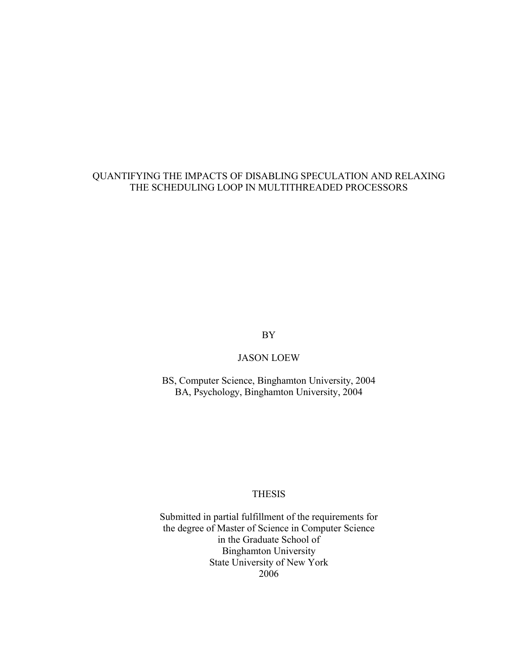#### QUANTIFYING THE IMPACTS OF DISABLING SPECULATION AND RELAXING THE SCHEDULING LOOP IN MULTITHREADED PROCESSORS

BY

#### JASON LOEW

BS, Computer Science, Binghamton University, 2004 BA, Psychology, Binghamton University, 2004

#### **THESIS**

Submitted in partial fulfillment of the requirements for the degree of Master of Science in Computer Science in the Graduate School of Binghamton University State University of New York 2006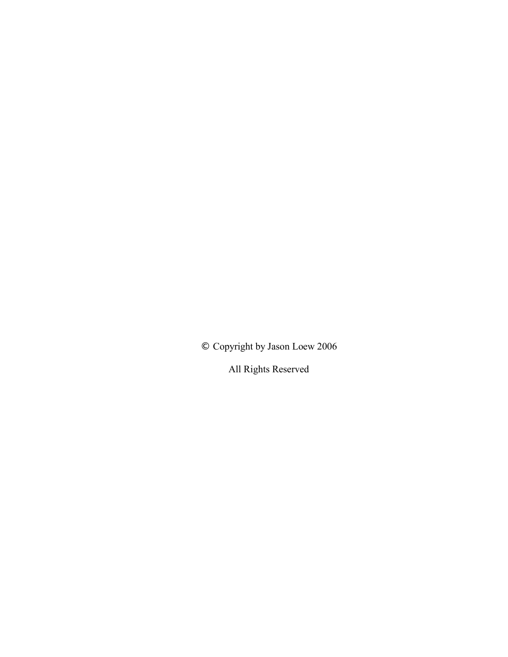© Copyright by Jason Loew 2006

All Rights Reserved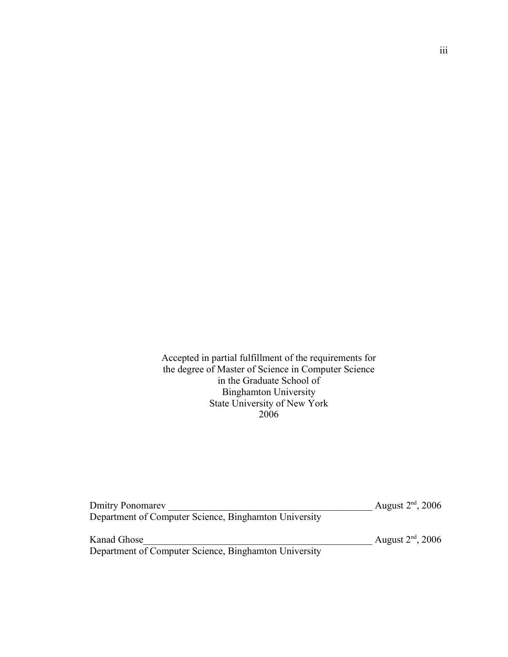Accepted in partial fulfillment of the requirements for the degree of Master of Science in Computer Science in the Graduate School of Binghamton University State University of New York 2006

| <b>Dmitry Ponomarev</b>                               | August $2nd$ , 2006 |
|-------------------------------------------------------|---------------------|
| Department of Computer Science, Binghamton University |                     |
| Kanad Ghose                                           | August $2nd$ , 2006 |
| Department of Computer Science, Binghamton University |                     |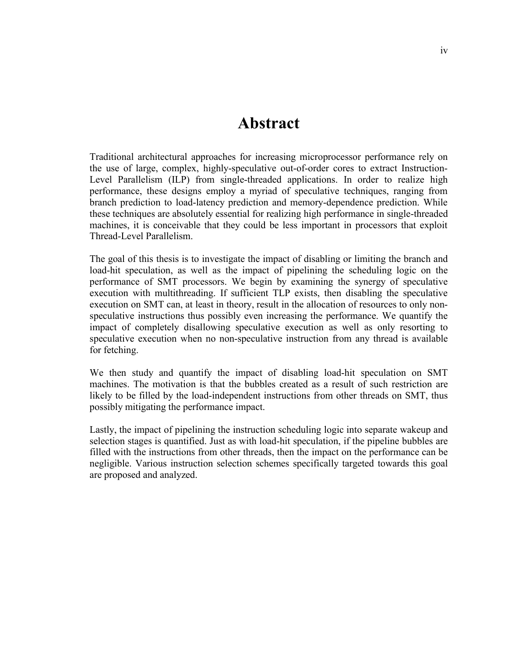### **Abstract**

Traditional architectural approaches for increasing microprocessor performance rely on the use of large, complex, highly-speculative out-of-order cores to extract Instruction-Level Parallelism (ILP) from single-threaded applications. In order to realize high performance, these designs employ a myriad of speculative techniques, ranging from branch prediction to load-latency prediction and memory-dependence prediction. While these techniques are absolutely essential for realizing high performance in single-threaded machines, it is conceivable that they could be less important in processors that exploit Thread-Level Parallelism.

The goal of this thesis is to investigate the impact of disabling or limiting the branch and load-hit speculation, as well as the impact of pipelining the scheduling logic on the performance of SMT processors. We begin by examining the synergy of speculative execution with multithreading. If sufficient TLP exists, then disabling the speculative execution on SMT can, at least in theory, result in the allocation of resources to only nonspeculative instructions thus possibly even increasing the performance. We quantify the impact of completely disallowing speculative execution as well as only resorting to speculative execution when no non-speculative instruction from any thread is available for fetching.

We then study and quantify the impact of disabling load-hit speculation on SMT machines. The motivation is that the bubbles created as a result of such restriction are likely to be filled by the load-independent instructions from other threads on SMT, thus possibly mitigating the performance impact.

Lastly, the impact of pipelining the instruction scheduling logic into separate wakeup and selection stages is quantified. Just as with load-hit speculation, if the pipeline bubbles are filled with the instructions from other threads, then the impact on the performance can be negligible. Various instruction selection schemes specifically targeted towards this goal are proposed and analyzed.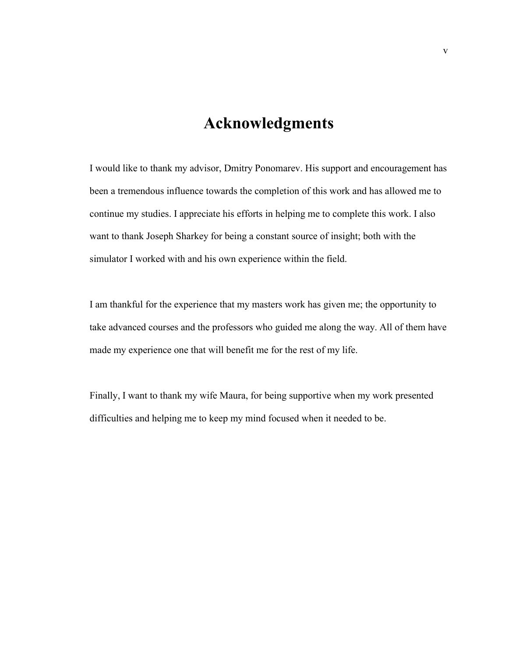## **Acknowledgments**

I would like to thank my advisor, Dmitry Ponomarev. His support and encouragement has been a tremendous influence towards the completion of this work and has allowed me to continue my studies. I appreciate his efforts in helping me to complete this work. I also want to thank Joseph Sharkey for being a constant source of insight; both with the simulator I worked with and his own experience within the field.

I am thankful for the experience that my masters work has given me; the opportunity to take advanced courses and the professors who guided me along the way. All of them have made my experience one that will benefit me for the rest of my life.

Finally, I want to thank my wife Maura, for being supportive when my work presented difficulties and helping me to keep my mind focused when it needed to be.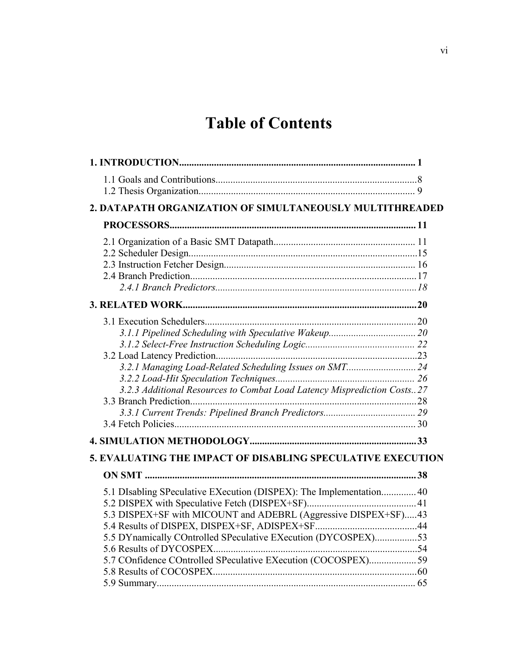# **Table of Contents**

| 2. DATAPATH ORGANIZATION OF SIMULTANEOUSLY MULTITHREADED                                                                                                                                                                                                               |  |
|------------------------------------------------------------------------------------------------------------------------------------------------------------------------------------------------------------------------------------------------------------------------|--|
|                                                                                                                                                                                                                                                                        |  |
|                                                                                                                                                                                                                                                                        |  |
|                                                                                                                                                                                                                                                                        |  |
|                                                                                                                                                                                                                                                                        |  |
| 3.2.1 Managing Load-Related Scheduling Issues on SMT 24<br>3.2.3 Additional Resources to Combat Load Latency Misprediction Costs27<br>5. EVALUATING THE IMPACT OF DISABLING SPECULATIVE EXECUTION                                                                      |  |
|                                                                                                                                                                                                                                                                        |  |
| 5.1 DIsabling SPeculative EXecution (DISPEX): The Implementation 40<br>5.3 DISPEX+SF with MICOUNT and ADEBRL (Aggressive DISPEX+SF)43<br>5.5 DYnamically COntrolled SPeculative EXecution (DYCOSPEX)53<br>5.7 COnfidence COntrolled SPeculative EXecution (COCOSPEX)59 |  |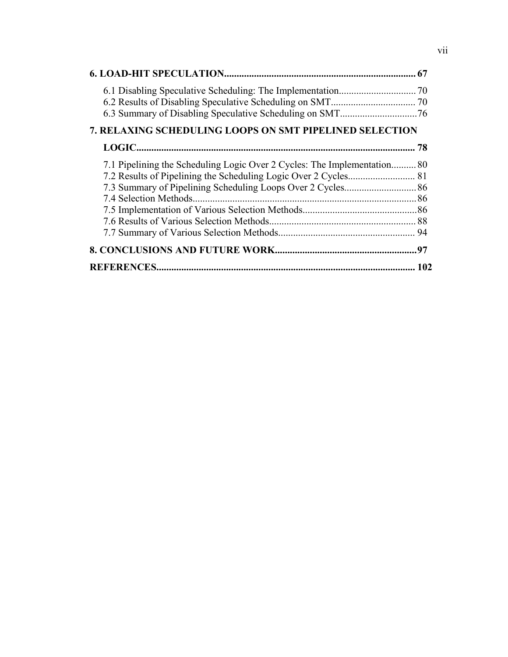| <b>7. RELAXING SCHEDULING LOOPS ON SMT PIPELINED SELECTION</b>           |  |
|--------------------------------------------------------------------------|--|
|                                                                          |  |
| 7.1 Pipelining the Scheduling Logic Over 2 Cycles: The Implementation 80 |  |
|                                                                          |  |
|                                                                          |  |
| 7.4 Selection Methods.                                                   |  |
|                                                                          |  |
|                                                                          |  |
|                                                                          |  |
|                                                                          |  |
|                                                                          |  |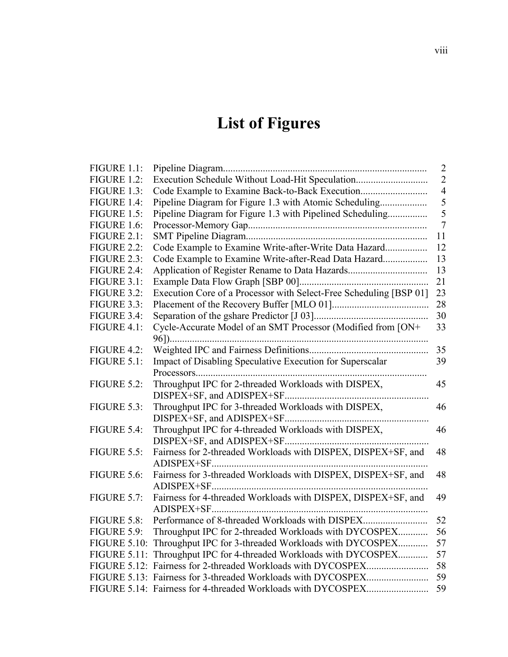# **List of Figures**

| FIGURE 1.1:         |                                                                    | $\overline{2}$ |
|---------------------|--------------------------------------------------------------------|----------------|
| <b>FIGURE 1.2:</b>  | Execution Schedule Without Load-Hit Speculation                    | $\overline{2}$ |
| FIGURE 1.3:         |                                                                    | $\overline{4}$ |
| FIGURE 1.4:         | Pipeline Diagram for Figure 1.3 with Atomic Scheduling             | 5              |
| FIGURE 1.5:         | Pipeline Diagram for Figure 1.3 with Pipelined Scheduling          | 5              |
| FIGURE 1.6:         |                                                                    | $\overline{7}$ |
| <b>FIGURE 2.1:</b>  |                                                                    | 11             |
| <b>FIGURE 2.2:</b>  | Code Example to Examine Write-after-Write Data Hazard              | 12             |
| FIGURE 2.3:         | Code Example to Examine Write-after-Read Data Hazard               | 13             |
| FIGURE 2.4:         | Application of Register Rename to Data Hazards                     | 13             |
| FIGURE 3.1:         |                                                                    | 21             |
| <b>FIGURE 3.2:</b>  | Execution Core of a Processor with Select-Free Scheduling [BSP 01] | 23             |
| FIGURE 3.3:         |                                                                    | 28             |
| FIGURE 3.4:         |                                                                    | 30             |
| FIGURE 4.1:         | Cycle-Accurate Model of an SMT Processor (Modified from [ON+       | 33             |
|                     |                                                                    |                |
| FIGURE 4.2:         |                                                                    | 35             |
| FIGURE 5.1:         | Impact of Disabling Speculative Execution for Superscalar          | 39             |
|                     |                                                                    |                |
| <b>FIGURE 5.2:</b>  | Throughput IPC for 2-threaded Workloads with DISPEX,               | 45             |
|                     |                                                                    |                |
| FIGURE 5.3:         | Throughput IPC for 3-threaded Workloads with DISPEX,               | 46             |
|                     |                                                                    |                |
| FIGURE 5.4:         | Throughput IPC for 4-threaded Workloads with DISPEX,               | 46             |
|                     |                                                                    |                |
| FIGURE 5.5:         | Fairness for 2-threaded Workloads with DISPEX, DISPEX+SF, and      | 48             |
|                     |                                                                    |                |
| FIGURE 5.6:         | Fairness for 3-threaded Workloads with DISPEX, DISPEX+SF, and      | 48             |
|                     |                                                                    |                |
| FIGURE 5.7:         | Fairness for 4-threaded Workloads with DISPEX, DISPEX+SF, and      | 49             |
|                     |                                                                    |                |
| FIGURE 5.8:         | Performance of 8-threaded Workloads with DISPEX                    | 52             |
| FIGURE 5.9:         | Throughput IPC for 2-threaded Workloads with DYCOSPEX              | 56             |
| <b>FIGURE 5.10:</b> | Throughput IPC for 3-threaded Workloads with DYCOSPEX              | 57             |
|                     | FIGURE 5.11: Throughput IPC for 4-threaded Workloads with DYCOSPEX | 57             |
|                     |                                                                    | 58             |
|                     |                                                                    | 59             |
|                     |                                                                    | 59             |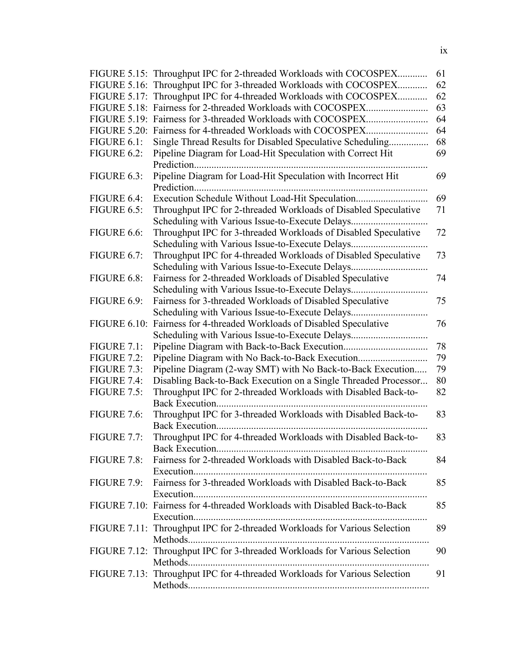|                     | FIGURE 5.15: Throughput IPC for 2-threaded Workloads with COCOSPEX         | 61 |
|---------------------|----------------------------------------------------------------------------|----|
|                     | FIGURE 5.16: Throughput IPC for 3-threaded Workloads with COCOSPEX         | 62 |
|                     | FIGURE 5.17: Throughput IPC for 4-threaded Workloads with COCOSPEX         | 62 |
|                     |                                                                            | 63 |
|                     |                                                                            | 64 |
|                     |                                                                            | 64 |
| FIGURE 6.1:         | Single Thread Results for Disabled Speculative Scheduling                  | 68 |
| FIGURE 6.2:         | Pipeline Diagram for Load-Hit Speculation with Correct Hit                 | 69 |
|                     |                                                                            |    |
| FIGURE 6.3:         | Pipeline Diagram for Load-Hit Speculation with Incorrect Hit               | 69 |
|                     |                                                                            |    |
| FIGURE 6.4:         | Execution Schedule Without Load-Hit Speculation                            | 69 |
| FIGURE 6.5:         | Throughput IPC for 2-threaded Workloads of Disabled Speculative            | 71 |
|                     |                                                                            |    |
| FIGURE 6.6:         | Throughput IPC for 3-threaded Workloads of Disabled Speculative            | 72 |
|                     |                                                                            |    |
| FIGURE 6.7:         | Throughput IPC for 4-threaded Workloads of Disabled Speculative            | 73 |
|                     | Scheduling with Various Issue-to-Execute Delays                            |    |
| FIGURE 6.8:         | Fairness for 2-threaded Workloads of Disabled Speculative                  | 74 |
|                     |                                                                            |    |
| FIGURE 6.9:         | Fairness for 3-threaded Workloads of Disabled Speculative                  | 75 |
|                     | Scheduling with Various Issue-to-Execute Delays                            |    |
| <b>FIGURE 6.10:</b> | Fairness for 4-threaded Workloads of Disabled Speculative                  | 76 |
|                     | Scheduling with Various Issue-to-Execute Delays                            |    |
| <b>FIGURE 7.1:</b>  |                                                                            | 78 |
| <b>FIGURE 7.2:</b>  |                                                                            | 79 |
| FIGURE 7.3:         | Pipeline Diagram (2-way SMT) with No Back-to-Back Execution                | 79 |
| FIGURE 7.4:         | Disabling Back-to-Back Execution on a Single Threaded Processor            | 80 |
| FIGURE 7.5:         | Throughput IPC for 2-threaded Workloads with Disabled Back-to-             | 82 |
|                     |                                                                            |    |
| FIGURE 7.6:         | Throughput IPC for 3-threaded Workloads with Disabled Back-to-             | 83 |
|                     | Back Execution.                                                            |    |
| <b>FIGURE 7.7:</b>  | Throughput IPC for 4-threaded Workloads with Disabled Back-to-             | 83 |
|                     |                                                                            |    |
| FIGURE $7.8$ :      | Fairness for 2-threaded Workloads with Disabled Back-to-Back               | 84 |
|                     |                                                                            |    |
|                     | FIGURE 7.9: Fairness for 3-threaded Workloads with Disabled Back-to-Back   | 85 |
|                     |                                                                            |    |
|                     | FIGURE 7.10: Fairness for 4-threaded Workloads with Disabled Back-to-Back  | 85 |
|                     |                                                                            |    |
|                     | FIGURE 7.11: Throughput IPC for 2-threaded Workloads for Various Selection | 89 |
|                     |                                                                            |    |
|                     | FIGURE 7.12: Throughput IPC for 3-threaded Workloads for Various Selection | 90 |
|                     |                                                                            |    |
|                     | FIGURE 7.13: Throughput IPC for 4-threaded Workloads for Various Selection | 91 |
|                     |                                                                            |    |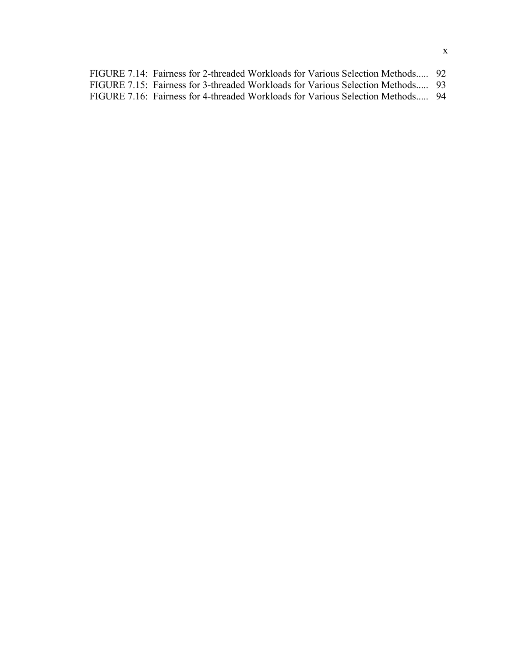| FIGURE 7.14: Fairness for 2-threaded Workloads for Various Selection Methods 92 |  |
|---------------------------------------------------------------------------------|--|
| FIGURE 7.15: Fairness for 3-threaded Workloads for Various Selection Methods 93 |  |
| FIGURE 7.16: Fairness for 4-threaded Workloads for Various Selection Methods 94 |  |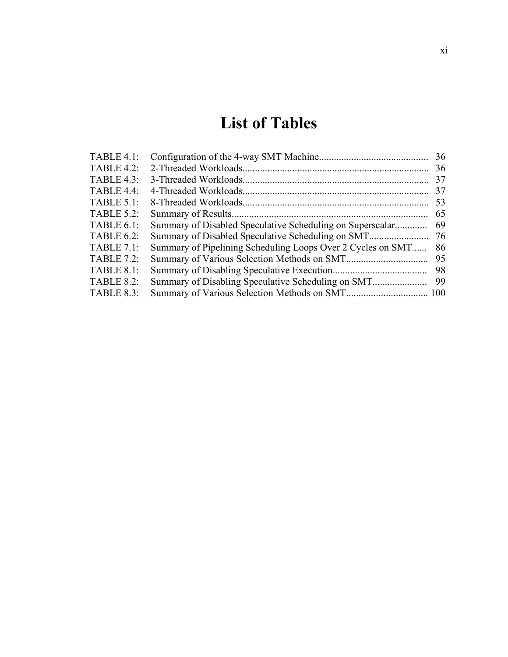# **List of Tables**

| <b>TABLE 4.1:</b> |                                                             | 36 |
|-------------------|-------------------------------------------------------------|----|
| <b>TABLE 4.2:</b> |                                                             | 36 |
| <b>TABLE 4.3:</b> |                                                             | 37 |
| TABLE 4.4:        |                                                             | 37 |
| <b>TABLE 5.1:</b> |                                                             | 53 |
| <b>TABLE 5.2:</b> |                                                             | 65 |
| <b>TABLE 6.1:</b> | Summary of Disabled Speculative Scheduling on Superscalar   | 69 |
| <b>TABLE 6.2:</b> | Summary of Disabled Speculative Scheduling on SMT           | 76 |
| <b>TABLE 7.1:</b> | Summary of Pipelining Scheduling Loops Over 2 Cycles on SMT | 86 |
| <b>TABLE 7.2:</b> |                                                             | 95 |
| <b>TABLE 8.1:</b> |                                                             | 98 |
| <b>TABLE 8.2:</b> |                                                             | 99 |
| <b>TABLE 8.3:</b> |                                                             |    |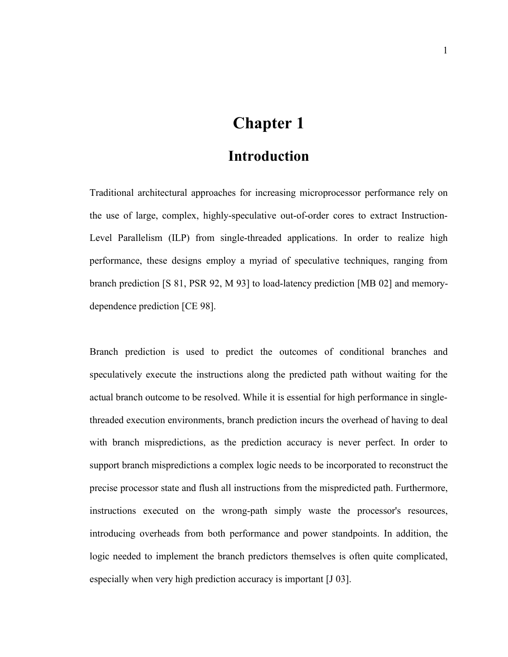## **Chapter 1**

### **Introduction**

Traditional architectural approaches for increasing microprocessor performance rely on the use of large, complex, highly-speculative out-of-order cores to extract Instruction-Level Parallelism (ILP) from single-threaded applications. In order to realize high performance, these designs employ a myriad of speculative techniques, ranging from branch prediction [S 81, PSR 92, M 93] to load-latency prediction [MB 02] and memorydependence prediction [CE 98].

Branch prediction is used to predict the outcomes of conditional branches and speculatively execute the instructions along the predicted path without waiting for the actual branch outcome to be resolved. While it is essential for high performance in singlethreaded execution environments, branch prediction incurs the overhead of having to deal with branch mispredictions, as the prediction accuracy is never perfect. In order to support branch mispredictions a complex logic needs to be incorporated to reconstruct the precise processor state and flush all instructions from the mispredicted path. Furthermore, instructions executed on the wrong-path simply waste the processor's resources, introducing overheads from both performance and power standpoints. In addition, the logic needed to implement the branch predictors themselves is often quite complicated, especially when very high prediction accuracy is important [J 03].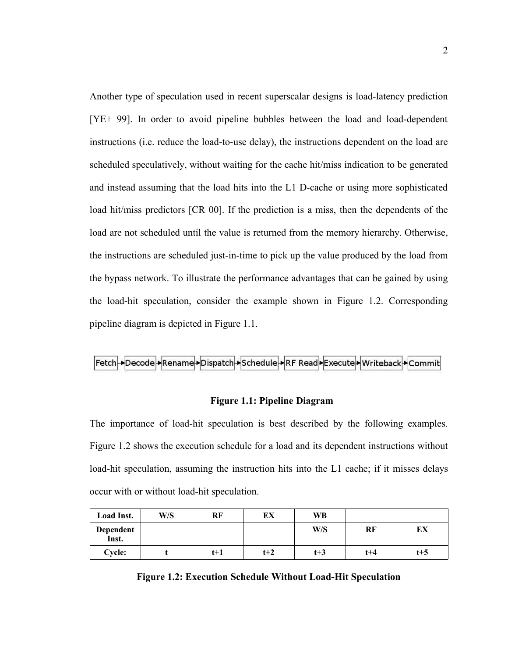Another type of speculation used in recent superscalar designs is load-latency prediction [YE+ 99]. In order to avoid pipeline bubbles between the load and load-dependent instructions (i.e. reduce the load-to-use delay), the instructions dependent on the load are scheduled speculatively, without waiting for the cache hit/miss indication to be generated and instead assuming that the load hits into the L1 D-cache or using more sophisticated load hit/miss predictors [CR 00]. If the prediction is a miss, then the dependents of the load are not scheduled until the value is returned from the memory hierarchy. Otherwise, the instructions are scheduled just-in-time to pick up the value produced by the load from the bypass network. To illustrate the performance advantages that can be gained by using the load-hit speculation, consider the example shown in Figure 1.2. Corresponding pipeline diagram is depicted in Figure 1.1.



#### **Figure 1.1: Pipeline Diagram**

The importance of load-hit speculation is best described by the following examples. Figure 1.2 shows the execution schedule for a load and its dependent instructions without load-hit speculation, assuming the instruction hits into the L1 cache; if it misses delays occur with or without load-hit speculation.

| Load Inst.         | W/S | RF    | ЕX    | WB    |         |         |
|--------------------|-----|-------|-------|-------|---------|---------|
| Dependent<br>Inst. |     |       |       | W/S   | RF      | EХ      |
| Cycle:             |     | $t+1$ | $t+2$ | $t+3$ | $t + 4$ | $t + 5$ |

| <b>Figure 1.2: Execution Schedule Without Load-Hit Speculation</b> |  |  |  |  |  |  |  |
|--------------------------------------------------------------------|--|--|--|--|--|--|--|
|--------------------------------------------------------------------|--|--|--|--|--|--|--|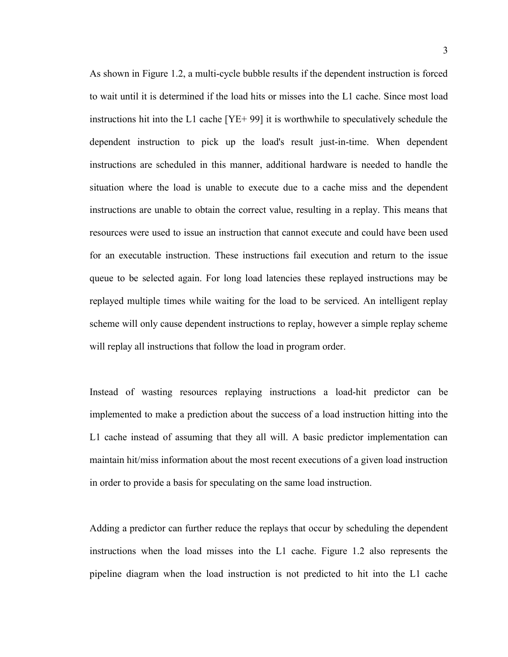As shown in Figure 1.2, a multi-cycle bubble results if the dependent instruction is forced to wait until it is determined if the load hits or misses into the L1 cache. Since most load instructions hit into the L1 cache [YE+ 99] it is worthwhile to speculatively schedule the dependent instruction to pick up the load's result just-in-time. When dependent instructions are scheduled in this manner, additional hardware is needed to handle the situation where the load is unable to execute due to a cache miss and the dependent instructions are unable to obtain the correct value, resulting in a replay. This means that resources were used to issue an instruction that cannot execute and could have been used for an executable instruction. These instructions fail execution and return to the issue queue to be selected again. For long load latencies these replayed instructions may be replayed multiple times while waiting for the load to be serviced. An intelligent replay scheme will only cause dependent instructions to replay, however a simple replay scheme will replay all instructions that follow the load in program order.

Instead of wasting resources replaying instructions a load-hit predictor can be implemented to make a prediction about the success of a load instruction hitting into the L1 cache instead of assuming that they all will. A basic predictor implementation can maintain hit/miss information about the most recent executions of a given load instruction in order to provide a basis for speculating on the same load instruction.

Adding a predictor can further reduce the replays that occur by scheduling the dependent instructions when the load misses into the L1 cache. Figure 1.2 also represents the pipeline diagram when the load instruction is not predicted to hit into the L1 cache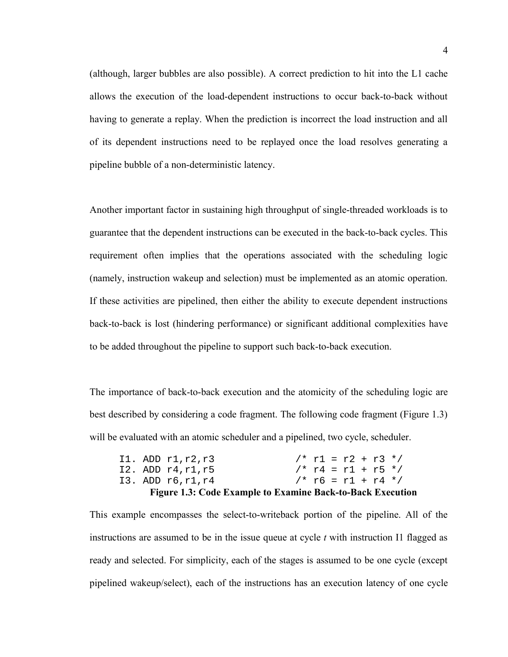(although, larger bubbles are also possible). A correct prediction to hit into the L1 cache allows the execution of the load-dependent instructions to occur back-to-back without having to generate a replay. When the prediction is incorrect the load instruction and all of its dependent instructions need to be replayed once the load resolves generating a pipeline bubble of a non-deterministic latency.

Another important factor in sustaining high throughput of single-threaded workloads is to guarantee that the dependent instructions can be executed in the back-to-back cycles. This requirement often implies that the operations associated with the scheduling logic (namely, instruction wakeup and selection) must be implemented as an atomic operation. If these activities are pipelined, then either the ability to execute dependent instructions back-to-back is lost (hindering performance) or significant additional complexities have to be added throughout the pipeline to support such back-to-back execution.

The importance of back-to-back execution and the atomicity of the scheduling logic are best described by considering a code fragment. The following code fragment (Figure 1.3) will be evaluated with an atomic scheduler and a pipelined, two cycle, scheduler.

|  |                        | <b>Figure 1.3: Code Example to Examine Back-to-Back Execution</b> |                       |  |  |  |
|--|------------------------|-------------------------------------------------------------------|-----------------------|--|--|--|
|  | I3. ADD r6,r1,r4       |                                                                   | $/*$ r6 = r1 + r4 */  |  |  |  |
|  | $12.$ ADD $r4, r1, r5$ |                                                                   | $/* r4 = r1 + r5 */$  |  |  |  |
|  | I1. ADD $r1, r2, r3$   |                                                                   | $/* r1 = r2 + r3 * /$ |  |  |  |

This example encompasses the select-to-writeback portion of the pipeline. All of the instructions are assumed to be in the issue queue at cycle *t* with instruction I1 flagged as ready and selected. For simplicity, each of the stages is assumed to be one cycle (except pipelined wakeup/select), each of the instructions has an execution latency of one cycle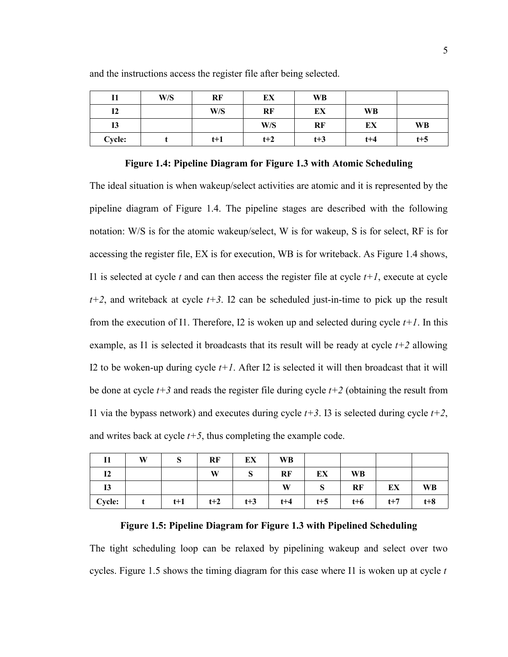|                | W/S | RF    | ЕX    | WB    |           |         |
|----------------|-----|-------|-------|-------|-----------|---------|
| I <sub>2</sub> |     | W/S   | RF    | EX    | <b>WB</b> |         |
| 13             |     |       | W/S   | RF    | EX        | WB      |
| <b>Cycle:</b>  |     | $t+1$ | $t+2$ | $t+3$ | $t + 4$   | $t + 5$ |

and the instructions access the register file after being selected.

#### **Figure 1.4: Pipeline Diagram for Figure 1.3 with Atomic Scheduling**

The ideal situation is when wakeup/select activities are atomic and it is represented by the pipeline diagram of Figure 1.4. The pipeline stages are described with the following notation: W/S is for the atomic wakeup/select, W is for wakeup, S is for select, RF is for accessing the register file, EX is for execution, WB is for writeback. As Figure 1.4 shows, I1 is selected at cycle  $t$  and can then access the register file at cycle  $t+1$ , execute at cycle *t+2*, and writeback at cycle *t+3*. I2 can be scheduled just-in-time to pick up the result from the execution of I1. Therefore, I2 is woken up and selected during cycle *t+1*. In this example, as I1 is selected it broadcasts that its result will be ready at cycle *t+2* allowing I2 to be woken-up during cycle  $t+1$ . After I2 is selected it will then broadcast that it will be done at cycle  $t+3$  and reads the register file during cycle  $t+2$  (obtaining the result from I1 via the bypass network) and executes during cycle  $t+3$ . I3 is selected during cycle  $t+2$ , and writes back at cycle  $t+5$ , thus completing the example code.

|                | W | Ø     | RF    | EX    | <b>WB</b> |         |           |       |           |
|----------------|---|-------|-------|-------|-----------|---------|-----------|-------|-----------|
| I <sub>2</sub> |   |       | W     | Ø     | RF        | EX      | <b>WB</b> |       |           |
| 13             |   |       |       |       | W         | D.      | RF        | EX    | <b>WB</b> |
| Cycle:         |   | $t+1$ | $t+2$ | $t+3$ | $t + 4$   | $t + 5$ | $t+6$     | $t+7$ | $t+8$     |

#### **Figure 1.5: Pipeline Diagram for Figure 1.3 with Pipelined Scheduling**

The tight scheduling loop can be relaxed by pipelining wakeup and select over two cycles. Figure 1.5 shows the timing diagram for this case where I1 is woken up at cycle *t*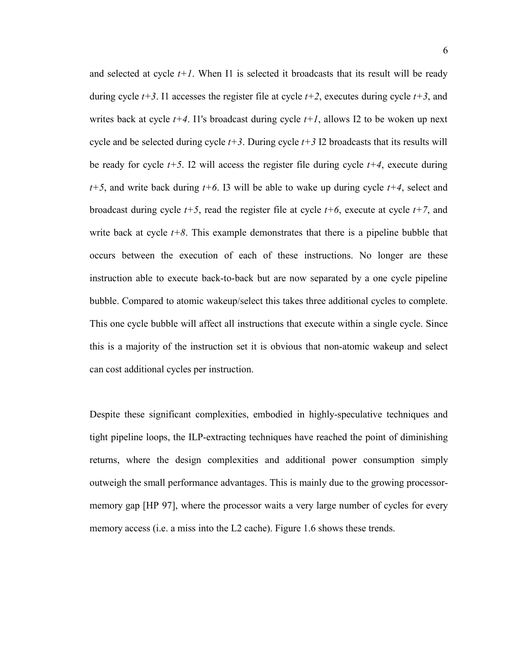and selected at cycle  $t+1$ . When I1 is selected it broadcasts that its result will be ready during cycle  $t+3$ . I1 accesses the register file at cycle  $t+2$ , executes during cycle  $t+3$ , and writes back at cycle  $t+4$ . Il's broadcast during cycle  $t+1$ , allows I2 to be woken up next cycle and be selected during cycle *t+3*. During cycle *t+3* I2 broadcasts that its results will be ready for cycle  $t+5$ . I2 will access the register file during cycle  $t+4$ , execute during *t+5*, and write back during *t+6*. I3 will be able to wake up during cycle *t+4*, select and broadcast during cycle  $t+5$ , read the register file at cycle  $t+6$ , execute at cycle  $t+7$ , and write back at cycle  $t+8$ . This example demonstrates that there is a pipeline bubble that occurs between the execution of each of these instructions. No longer are these instruction able to execute back-to-back but are now separated by a one cycle pipeline bubble. Compared to atomic wakeup/select this takes three additional cycles to complete. This one cycle bubble will affect all instructions that execute within a single cycle. Since this is a majority of the instruction set it is obvious that non-atomic wakeup and select can cost additional cycles per instruction.

Despite these significant complexities, embodied in highly-speculative techniques and tight pipeline loops, the ILP-extracting techniques have reached the point of diminishing returns, where the design complexities and additional power consumption simply outweigh the small performance advantages. This is mainly due to the growing processormemory gap [HP 97], where the processor waits a very large number of cycles for every memory access (i.e. a miss into the L2 cache). Figure 1.6 shows these trends.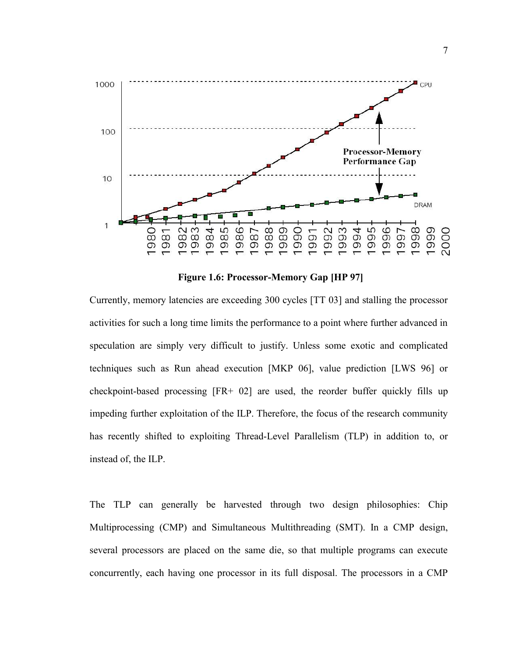

**Figure 1.6: Processor-Memory Gap [HP 97]**

Currently, memory latencies are exceeding 300 cycles [TT 03] and stalling the processor activities for such a long time limits the performance to a point where further advanced in speculation are simply very difficult to justify. Unless some exotic and complicated techniques such as Run ahead execution [MKP 06], value prediction [LWS 96] or checkpoint-based processing [FR+ 02] are used, the reorder buffer quickly fills up impeding further exploitation of the ILP. Therefore, the focus of the research community has recently shifted to exploiting Thread-Level Parallelism (TLP) in addition to, or instead of, the ILP.

The TLP can generally be harvested through two design philosophies: Chip Multiprocessing (CMP) and Simultaneous Multithreading (SMT). In a CMP design, several processors are placed on the same die, so that multiple programs can execute concurrently, each having one processor in its full disposal. The processors in a CMP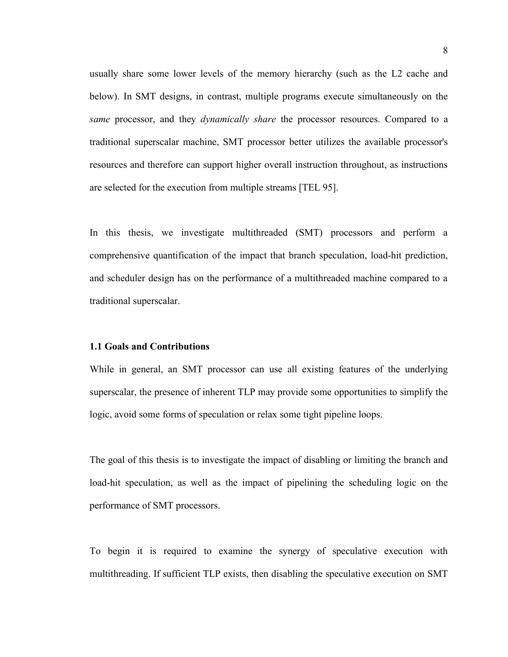usually share some lower levels of the memory hierarchy (such as the L2 cache and below). In SMT designs, in contrast, multiple programs execute simultaneously on the *same* processor, and they *dynamically share* the processor resources. Compared to a traditional superscalar machine, SMT processor better utilizes the available processor's resources and therefore can support higher overall instruction throughout, as instructions are selected for the execution from multiple streams [TEL 95].

In this thesis, we investigate multithreaded (SMT) processors and perform a comprehensive quantification of the impact that branch speculation, load-hit prediction, and scheduler design has on the performance of a multithreaded machine compared to a traditional superscalar.

#### **1.1 Goals and Contributions**

While in general, an SMT processor can use all existing features of the underlying superscalar, the presence of inherent TLP may provide some opportunities to simplify the logic, avoid some forms of speculation or relax some tight pipeline loops.

The goal of this thesis is to investigate the impact of disabling or limiting the branch and load-hit speculation, as well as the impact of pipelining the scheduling logic on the performance of SMT processors.

To begin it is required to examine the synergy of speculative execution with multithreading. If sufficient TLP exists, then disabling the speculative execution on SMT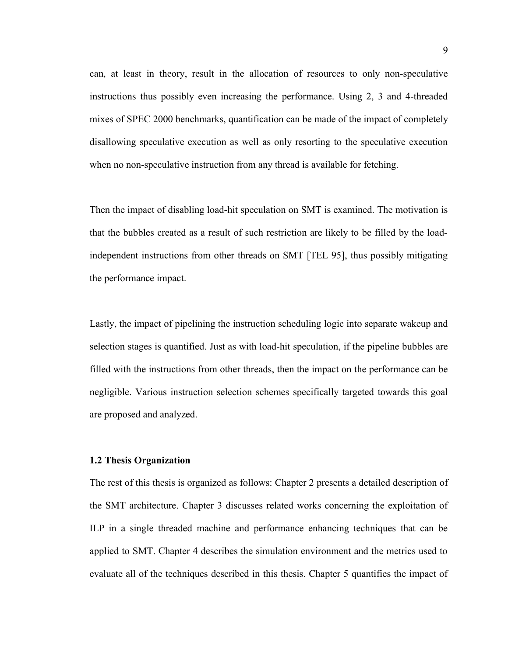can, at least in theory, result in the allocation of resources to only non-speculative instructions thus possibly even increasing the performance. Using 2, 3 and 4-threaded mixes of SPEC 2000 benchmarks, quantification can be made of the impact of completely disallowing speculative execution as well as only resorting to the speculative execution when no non-speculative instruction from any thread is available for fetching.

Then the impact of disabling load-hit speculation on SMT is examined. The motivation is that the bubbles created as a result of such restriction are likely to be filled by the loadindependent instructions from other threads on SMT [TEL 95], thus possibly mitigating the performance impact.

Lastly, the impact of pipelining the instruction scheduling logic into separate wakeup and selection stages is quantified. Just as with load-hit speculation, if the pipeline bubbles are filled with the instructions from other threads, then the impact on the performance can be negligible. Various instruction selection schemes specifically targeted towards this goal are proposed and analyzed.

#### **1.2 Thesis Organization**

The rest of this thesis is organized as follows: Chapter 2 presents a detailed description of the SMT architecture. Chapter 3 discusses related works concerning the exploitation of ILP in a single threaded machine and performance enhancing techniques that can be applied to SMT. Chapter 4 describes the simulation environment and the metrics used to evaluate all of the techniques described in this thesis. Chapter 5 quantifies the impact of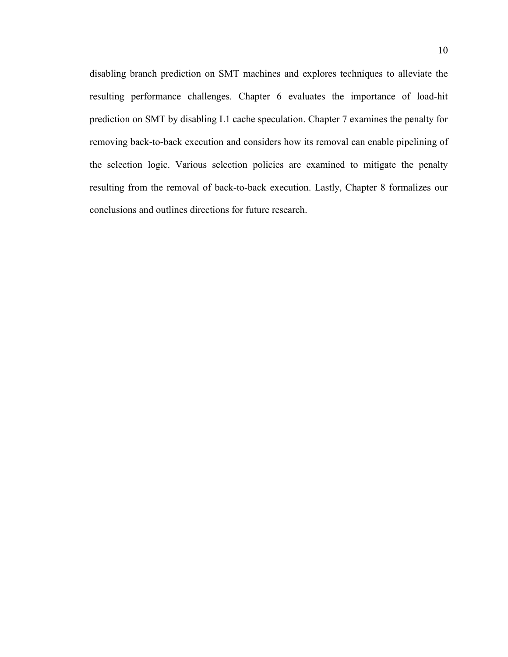disabling branch prediction on SMT machines and explores techniques to alleviate the resulting performance challenges. Chapter 6 evaluates the importance of load-hit prediction on SMT by disabling L1 cache speculation. Chapter 7 examines the penalty for removing back-to-back execution and considers how its removal can enable pipelining of the selection logic. Various selection policies are examined to mitigate the penalty resulting from the removal of back-to-back execution. Lastly, Chapter 8 formalizes our conclusions and outlines directions for future research.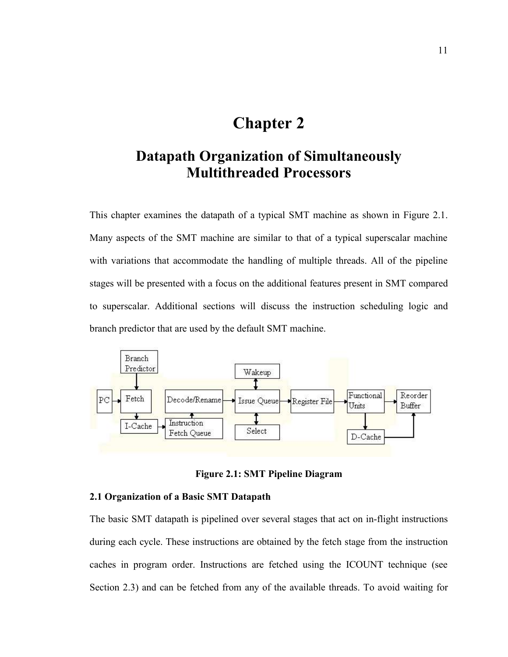## **Chapter 2**

### **Datapath Organization of Simultaneously Multithreaded Processors**

This chapter examines the datapath of a typical SMT machine as shown in Figure 2.1. Many aspects of the SMT machine are similar to that of a typical superscalar machine with variations that accommodate the handling of multiple threads. All of the pipeline stages will be presented with a focus on the additional features present in SMT compared to superscalar. Additional sections will discuss the instruction scheduling logic and branch predictor that are used by the default SMT machine.



**Figure 2.1: SMT Pipeline Diagram**

#### **2.1 Organization of a Basic SMT Datapath**

The basic SMT datapath is pipelined over several stages that act on in-flight instructions during each cycle. These instructions are obtained by the fetch stage from the instruction caches in program order. Instructions are fetched using the ICOUNT technique (see Section 2.3) and can be fetched from any of the available threads. To avoid waiting for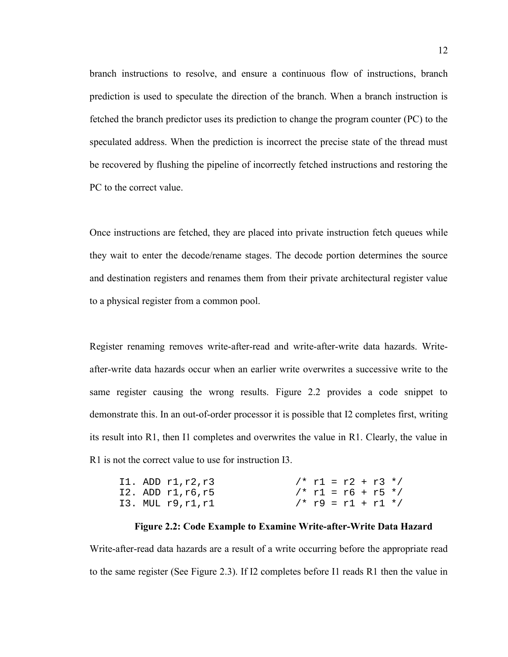branch instructions to resolve, and ensure a continuous flow of instructions, branch prediction is used to speculate the direction of the branch. When a branch instruction is fetched the branch predictor uses its prediction to change the program counter (PC) to the speculated address. When the prediction is incorrect the precise state of the thread must be recovered by flushing the pipeline of incorrectly fetched instructions and restoring the PC to the correct value.

Once instructions are fetched, they are placed into private instruction fetch queues while they wait to enter the decode/rename stages. The decode portion determines the source and destination registers and renames them from their private architectural register value to a physical register from a common pool.

Register renaming removes write-after-read and write-after-write data hazards. Writeafter-write data hazards occur when an earlier write overwrites a successive write to the same register causing the wrong results. Figure 2.2 provides a code snippet to demonstrate this. In an out-of-order processor it is possible that I2 completes first, writing its result into R1, then I1 completes and overwrites the value in R1. Clearly, the value in R1 is not the correct value to use for instruction I3.

|  | Il. ADD $r1, r2, r3$   |  |  | /* r1 = r2 + r3 */    |  |
|--|------------------------|--|--|-----------------------|--|
|  | $12.$ ADD $r1, r6, r5$ |  |  | $/* r1 = r6 + r5 * /$ |  |
|  | I3. MUL r9,r1,r1       |  |  | $/* r9 = r1 + r1 */$  |  |

#### **Figure 2.2: Code Example to Examine Write-after-Write Data Hazard**

Write-after-read data hazards are a result of a write occurring before the appropriate read to the same register (See Figure 2.3). If I2 completes before I1 reads R1 then the value in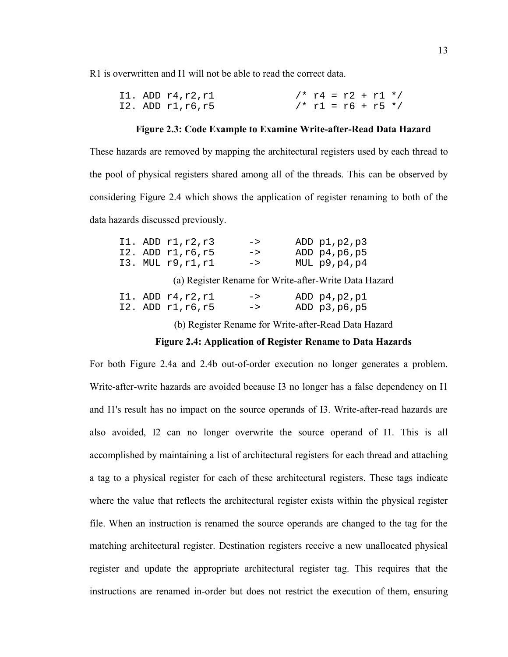R1 is overwritten and I1 will not be able to read the correct data.

|  | I1. ADD $r4, r2, r1$   |  |  | $/* r4 = r2 + r1 * /$ |  |
|--|------------------------|--|--|-----------------------|--|
|  | $I2.$ ADD $r1, r6, r5$ |  |  | $/* r1 = r6 + r5 */$  |  |

#### **Figure 2.3: Code Example to Examine Write-after-Read Data Hazard**

These hazards are removed by mapping the architectural registers used by each thread to the pool of physical registers shared among all of the threads. This can be observed by considering Figure 2.4 which shows the application of register renaming to both of the data hazards discussed previously.

|  | I1. ADD $r1, r2, r3$   | $\rightarrow$ | ADD $p1, p2, p3$ |
|--|------------------------|---------------|------------------|
|  | $12.$ ADD $r1, r6, r5$ | $\rightarrow$ | ADD $p4, p6, p5$ |
|  | I3. MUL r9,r1,r1       | $\rightarrow$ | $MUL$ p9, p4, p4 |

(a) Register Rename for Write-after-Write Data Hazard

|  | I1. ADD $r4, r2, r1$   | $\rightarrow$ | ADD $p4, p2, p1$ |
|--|------------------------|---------------|------------------|
|  | $12.$ ADD $r1, r6, r5$ | $\rightarrow$ | ADD $p3, p6, p5$ |

(b) Register Rename for Write-after-Read Data Hazard

#### **Figure 2.4: Application of Register Rename to Data Hazards**

For both Figure 2.4a and 2.4b out-of-order execution no longer generates a problem. Write-after-write hazards are avoided because I3 no longer has a false dependency on I1 and I1's result has no impact on the source operands of I3. Write-after-read hazards are also avoided, I2 can no longer overwrite the source operand of I1. This is all accomplished by maintaining a list of architectural registers for each thread and attaching a tag to a physical register for each of these architectural registers. These tags indicate where the value that reflects the architectural register exists within the physical register file. When an instruction is renamed the source operands are changed to the tag for the matching architectural register. Destination registers receive a new unallocated physical register and update the appropriate architectural register tag. This requires that the instructions are renamed in-order but does not restrict the execution of them, ensuring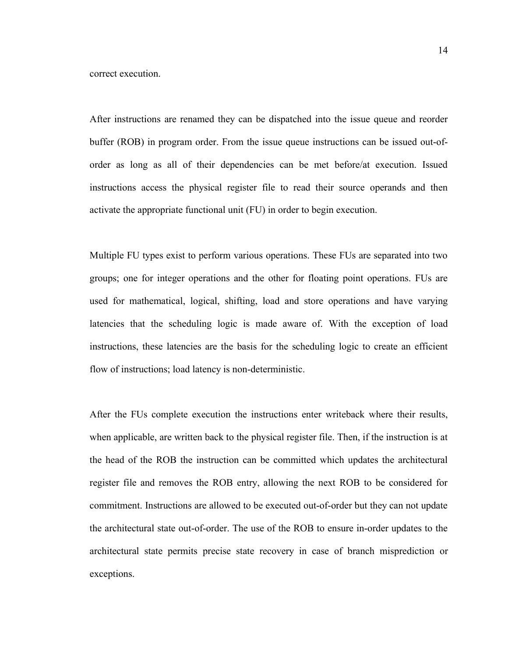correct execution.

After instructions are renamed they can be dispatched into the issue queue and reorder buffer (ROB) in program order. From the issue queue instructions can be issued out-oforder as long as all of their dependencies can be met before/at execution. Issued instructions access the physical register file to read their source operands and then activate the appropriate functional unit (FU) in order to begin execution.

Multiple FU types exist to perform various operations. These FUs are separated into two groups; one for integer operations and the other for floating point operations. FUs are used for mathematical, logical, shifting, load and store operations and have varying latencies that the scheduling logic is made aware of. With the exception of load instructions, these latencies are the basis for the scheduling logic to create an efficient flow of instructions; load latency is non-deterministic.

After the FUs complete execution the instructions enter writeback where their results, when applicable, are written back to the physical register file. Then, if the instruction is at the head of the ROB the instruction can be committed which updates the architectural register file and removes the ROB entry, allowing the next ROB to be considered for commitment. Instructions are allowed to be executed out-of-order but they can not update the architectural state out-of-order. The use of the ROB to ensure in-order updates to the architectural state permits precise state recovery in case of branch misprediction or exceptions.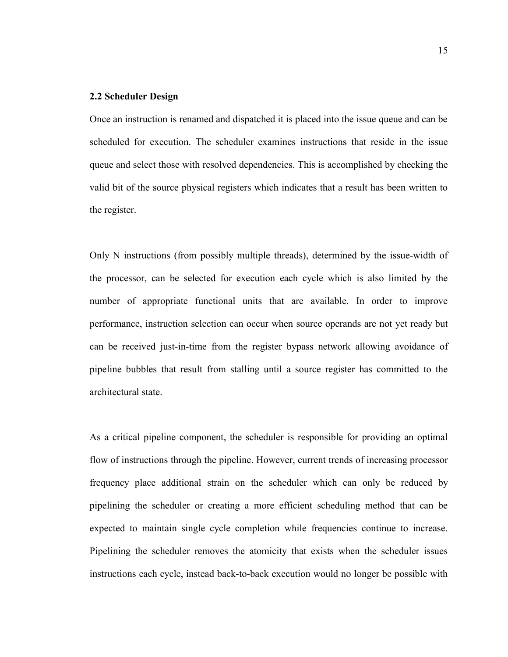#### **2.2 Scheduler Design**

Once an instruction is renamed and dispatched it is placed into the issue queue and can be scheduled for execution. The scheduler examines instructions that reside in the issue queue and select those with resolved dependencies. This is accomplished by checking the valid bit of the source physical registers which indicates that a result has been written to the register.

Only N instructions (from possibly multiple threads), determined by the issue-width of the processor, can be selected for execution each cycle which is also limited by the number of appropriate functional units that are available. In order to improve performance, instruction selection can occur when source operands are not yet ready but can be received just-in-time from the register bypass network allowing avoidance of pipeline bubbles that result from stalling until a source register has committed to the architectural state.

As a critical pipeline component, the scheduler is responsible for providing an optimal flow of instructions through the pipeline. However, current trends of increasing processor frequency place additional strain on the scheduler which can only be reduced by pipelining the scheduler or creating a more efficient scheduling method that can be expected to maintain single cycle completion while frequencies continue to increase. Pipelining the scheduler removes the atomicity that exists when the scheduler issues instructions each cycle, instead back-to-back execution would no longer be possible with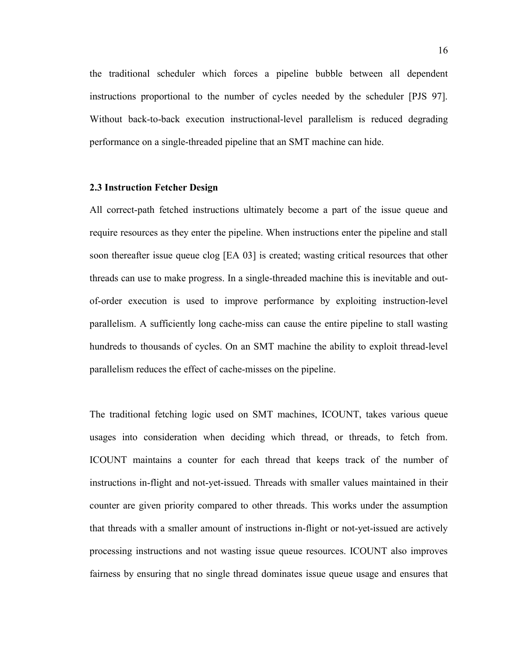the traditional scheduler which forces a pipeline bubble between all dependent instructions proportional to the number of cycles needed by the scheduler [PJS 97]. Without back-to-back execution instructional-level parallelism is reduced degrading performance on a single-threaded pipeline that an SMT machine can hide.

#### **2.3 Instruction Fetcher Design**

All correct-path fetched instructions ultimately become a part of the issue queue and require resources as they enter the pipeline. When instructions enter the pipeline and stall soon thereafter issue queue clog [EA 03] is created; wasting critical resources that other threads can use to make progress. In a single-threaded machine this is inevitable and outof-order execution is used to improve performance by exploiting instruction-level parallelism. A sufficiently long cache-miss can cause the entire pipeline to stall wasting hundreds to thousands of cycles. On an SMT machine the ability to exploit thread-level parallelism reduces the effect of cache-misses on the pipeline.

The traditional fetching logic used on SMT machines, ICOUNT, takes various queue usages into consideration when deciding which thread, or threads, to fetch from. ICOUNT maintains a counter for each thread that keeps track of the number of instructions in-flight and not-yet-issued. Threads with smaller values maintained in their counter are given priority compared to other threads. This works under the assumption that threads with a smaller amount of instructions in-flight or not-yet-issued are actively processing instructions and not wasting issue queue resources. ICOUNT also improves fairness by ensuring that no single thread dominates issue queue usage and ensures that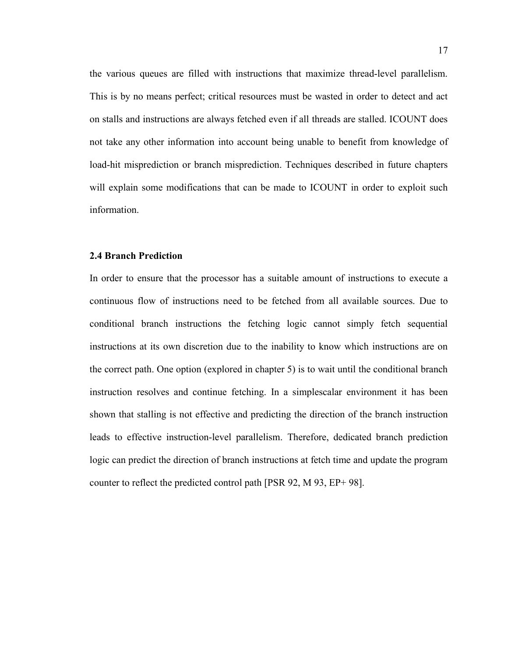the various queues are filled with instructions that maximize thread-level parallelism. This is by no means perfect; critical resources must be wasted in order to detect and act on stalls and instructions are always fetched even if all threads are stalled. ICOUNT does not take any other information into account being unable to benefit from knowledge of load-hit misprediction or branch misprediction. Techniques described in future chapters will explain some modifications that can be made to ICOUNT in order to exploit such information.

#### **2.4 Branch Prediction**

In order to ensure that the processor has a suitable amount of instructions to execute a continuous flow of instructions need to be fetched from all available sources. Due to conditional branch instructions the fetching logic cannot simply fetch sequential instructions at its own discretion due to the inability to know which instructions are on the correct path. One option (explored in chapter 5) is to wait until the conditional branch instruction resolves and continue fetching. In a simplescalar environment it has been shown that stalling is not effective and predicting the direction of the branch instruction leads to effective instruction-level parallelism. Therefore, dedicated branch prediction logic can predict the direction of branch instructions at fetch time and update the program counter to reflect the predicted control path [PSR 92, M 93, EP+ 98].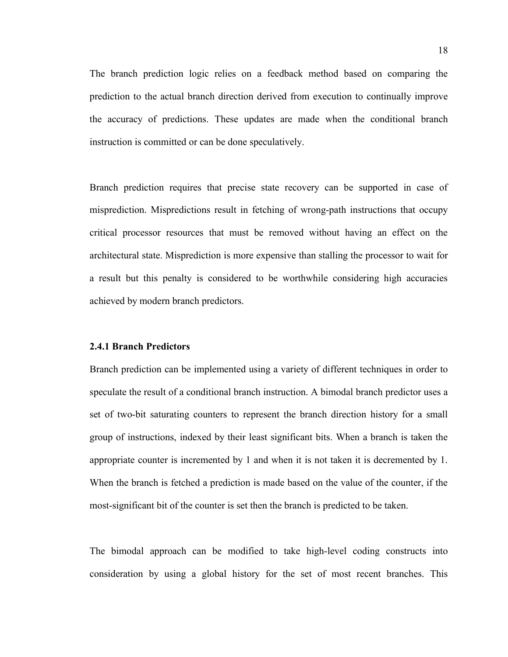The branch prediction logic relies on a feedback method based on comparing the prediction to the actual branch direction derived from execution to continually improve the accuracy of predictions. These updates are made when the conditional branch instruction is committed or can be done speculatively.

Branch prediction requires that precise state recovery can be supported in case of misprediction. Mispredictions result in fetching of wrong-path instructions that occupy critical processor resources that must be removed without having an effect on the architectural state. Misprediction is more expensive than stalling the processor to wait for a result but this penalty is considered to be worthwhile considering high accuracies achieved by modern branch predictors.

#### **2.4.1 Branch Predictors**

Branch prediction can be implemented using a variety of different techniques in order to speculate the result of a conditional branch instruction. A bimodal branch predictor uses a set of two-bit saturating counters to represent the branch direction history for a small group of instructions, indexed by their least significant bits. When a branch is taken the appropriate counter is incremented by 1 and when it is not taken it is decremented by 1. When the branch is fetched a prediction is made based on the value of the counter, if the most-significant bit of the counter is set then the branch is predicted to be taken.

The bimodal approach can be modified to take high-level coding constructs into consideration by using a global history for the set of most recent branches. This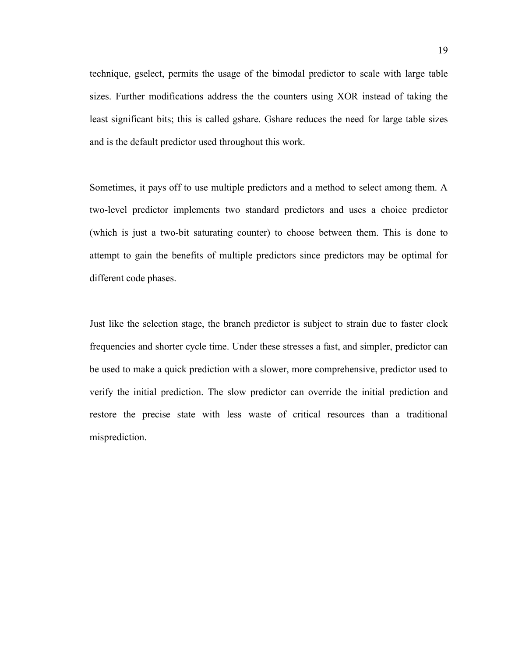technique, gselect, permits the usage of the bimodal predictor to scale with large table sizes. Further modifications address the the counters using XOR instead of taking the least significant bits; this is called gshare. Gshare reduces the need for large table sizes and is the default predictor used throughout this work.

Sometimes, it pays off to use multiple predictors and a method to select among them. A two-level predictor implements two standard predictors and uses a choice predictor (which is just a two-bit saturating counter) to choose between them. This is done to attempt to gain the benefits of multiple predictors since predictors may be optimal for different code phases.

Just like the selection stage, the branch predictor is subject to strain due to faster clock frequencies and shorter cycle time. Under these stresses a fast, and simpler, predictor can be used to make a quick prediction with a slower, more comprehensive, predictor used to verify the initial prediction. The slow predictor can override the initial prediction and restore the precise state with less waste of critical resources than a traditional misprediction.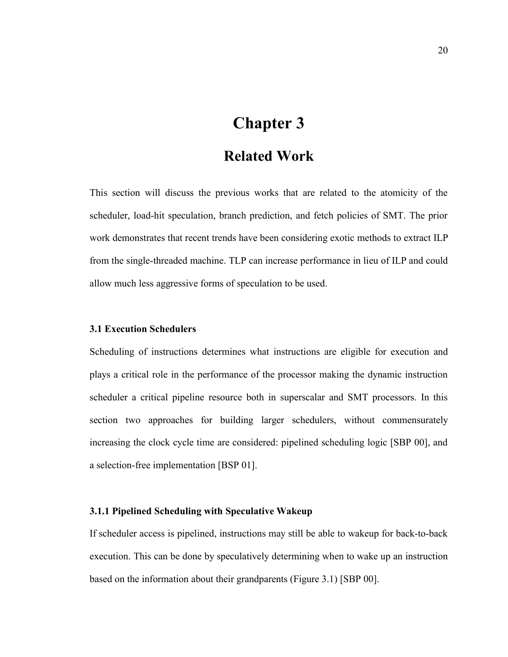# **Chapter 3**

### **Related Work**

This section will discuss the previous works that are related to the atomicity of the scheduler, load-hit speculation, branch prediction, and fetch policies of SMT. The prior work demonstrates that recent trends have been considering exotic methods to extract ILP from the single-threaded machine. TLP can increase performance in lieu of ILP and could allow much less aggressive forms of speculation to be used.

#### **3.1 Execution Schedulers**

Scheduling of instructions determines what instructions are eligible for execution and plays a critical role in the performance of the processor making the dynamic instruction scheduler a critical pipeline resource both in superscalar and SMT processors. In this section two approaches for building larger schedulers, without commensurately increasing the clock cycle time are considered: pipelined scheduling logic [SBP 00], and a selection-free implementation [BSP 01].

#### **3.1.1 Pipelined Scheduling with Speculative Wakeup**

If scheduler access is pipelined, instructions may still be able to wakeup for back-to-back execution. This can be done by speculatively determining when to wake up an instruction based on the information about their grandparents (Figure 3.1) [SBP 00].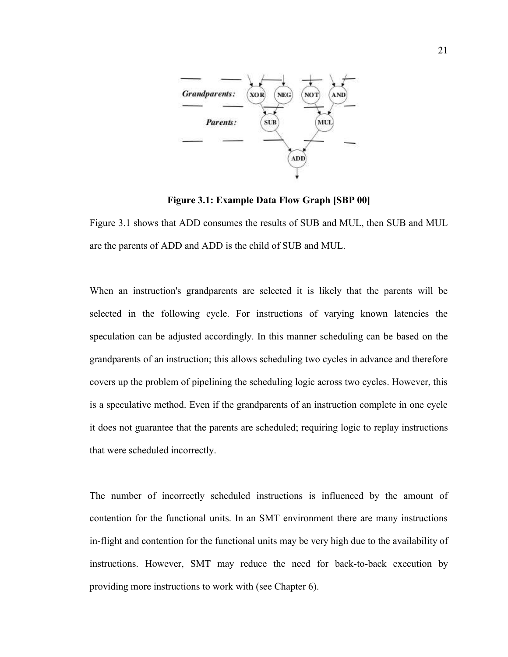

**Figure 3.1: Example Data Flow Graph [SBP 00]**

Figure 3.1 shows that ADD consumes the results of SUB and MUL, then SUB and MUL are the parents of ADD and ADD is the child of SUB and MUL.

When an instruction's grandparents are selected it is likely that the parents will be selected in the following cycle. For instructions of varying known latencies the speculation can be adjusted accordingly. In this manner scheduling can be based on the grandparents of an instruction; this allows scheduling two cycles in advance and therefore covers up the problem of pipelining the scheduling logic across two cycles. However, this is a speculative method. Even if the grandparents of an instruction complete in one cycle it does not guarantee that the parents are scheduled; requiring logic to replay instructions that were scheduled incorrectly.

The number of incorrectly scheduled instructions is influenced by the amount of contention for the functional units. In an SMT environment there are many instructions in-flight and contention for the functional units may be very high due to the availability of instructions. However, SMT may reduce the need for back-to-back execution by providing more instructions to work with (see Chapter 6).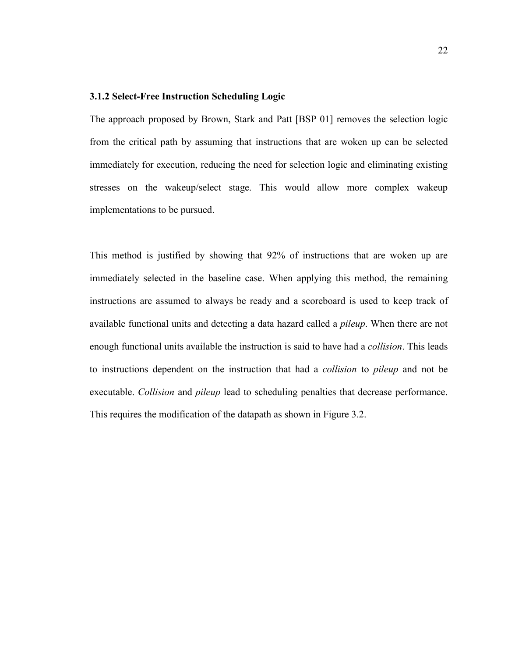#### **3.1.2 Select-Free Instruction Scheduling Logic**

The approach proposed by Brown, Stark and Patt [BSP 01] removes the selection logic from the critical path by assuming that instructions that are woken up can be selected immediately for execution, reducing the need for selection logic and eliminating existing stresses on the wakeup/select stage. This would allow more complex wakeup implementations to be pursued.

This method is justified by showing that 92% of instructions that are woken up are immediately selected in the baseline case. When applying this method, the remaining instructions are assumed to always be ready and a scoreboard is used to keep track of available functional units and detecting a data hazard called a *pileup*. When there are not enough functional units available the instruction is said to have had a *collision*. This leads to instructions dependent on the instruction that had a *collision* to *pileup* and not be executable. *Collision* and *pileup* lead to scheduling penalties that decrease performance. This requires the modification of the datapath as shown in Figure 3.2.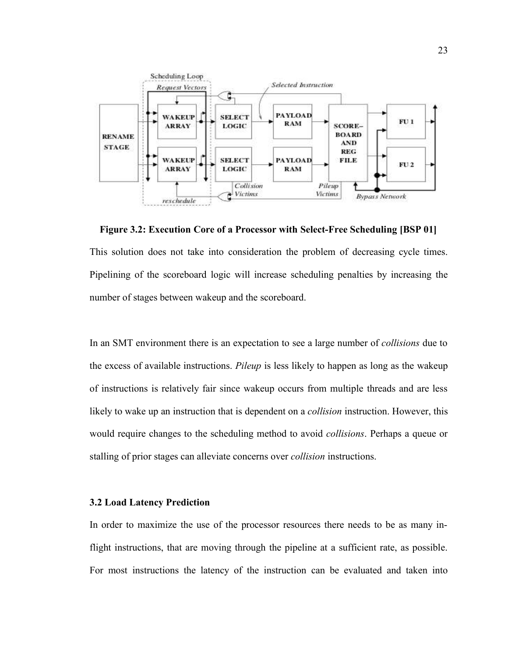

This solution does not take into consideration the problem of decreasing cycle times. Pipelining of the scoreboard logic will increase scheduling penalties by increasing the number of stages between wakeup and the scoreboard. **Figure 3.2: Execution Core of a Processor with Select-Free Scheduling [BSP 01]**

In an SMT environment there is an expectation to see a large number of *collisions* due to the excess of available instructions. *Pileup* is less likely to happen as long as the wakeup of instructions is relatively fair since wakeup occurs from multiple threads and are less likely to wake up an instruction that is dependent on a *collision* instruction. However, this would require changes to the scheduling method to avoid *collisions*. Perhaps a queue or stalling of prior stages can alleviate concerns over *collision* instructions.

#### **3.2 Load Latency Prediction**

In order to maximize the use of the processor resources there needs to be as many inflight instructions, that are moving through the pipeline at a sufficient rate, as possible. For most instructions the latency of the instruction can be evaluated and taken into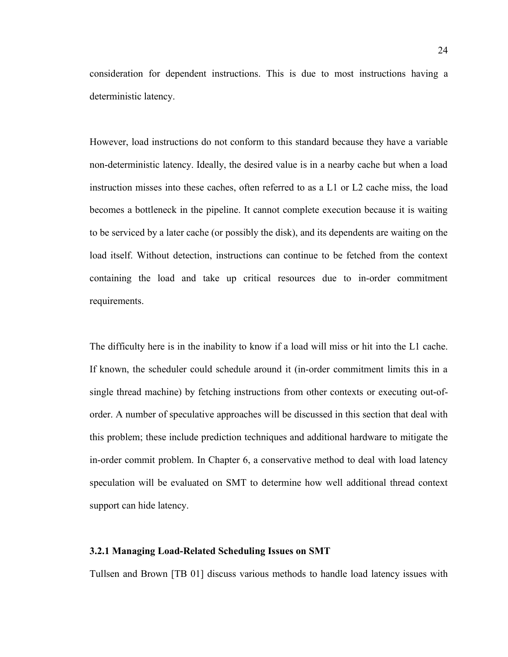consideration for dependent instructions. This is due to most instructions having a deterministic latency.

However, load instructions do not conform to this standard because they have a variable non-deterministic latency. Ideally, the desired value is in a nearby cache but when a load instruction misses into these caches, often referred to as a L1 or L2 cache miss, the load becomes a bottleneck in the pipeline. It cannot complete execution because it is waiting to be serviced by a later cache (or possibly the disk), and its dependents are waiting on the load itself. Without detection, instructions can continue to be fetched from the context containing the load and take up critical resources due to in-order commitment requirements.

The difficulty here is in the inability to know if a load will miss or hit into the L1 cache. If known, the scheduler could schedule around it (in-order commitment limits this in a single thread machine) by fetching instructions from other contexts or executing out-oforder. A number of speculative approaches will be discussed in this section that deal with this problem; these include prediction techniques and additional hardware to mitigate the in-order commit problem. In Chapter 6, a conservative method to deal with load latency speculation will be evaluated on SMT to determine how well additional thread context support can hide latency.

#### **3.2.1 Managing Load-Related Scheduling Issues on SMT**

Tullsen and Brown [TB 01] discuss various methods to handle load latency issues with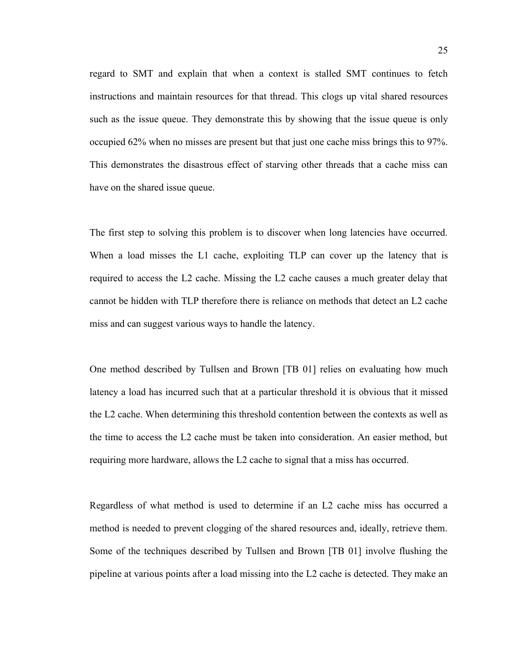regard to SMT and explain that when a context is stalled SMT continues to fetch instructions and maintain resources for that thread. This clogs up vital shared resources such as the issue queue. They demonstrate this by showing that the issue queue is only occupied 62% when no misses are present but that just one cache miss brings this to 97%. This demonstrates the disastrous effect of starving other threads that a cache miss can have on the shared issue queue.

The first step to solving this problem is to discover when long latencies have occurred. When a load misses the L1 cache, exploiting TLP can cover up the latency that is required to access the L2 cache. Missing the L2 cache causes a much greater delay that cannot be hidden with TLP therefore there is reliance on methods that detect an L2 cache miss and can suggest various ways to handle the latency.

One method described by Tullsen and Brown [TB 01] relies on evaluating how much latency a load has incurred such that at a particular threshold it is obvious that it missed the L2 cache. When determining this threshold contention between the contexts as well as the time to access the L2 cache must be taken into consideration. An easier method, but requiring more hardware, allows the L2 cache to signal that a miss has occurred.

Regardless of what method is used to determine if an L2 cache miss has occurred a method is needed to prevent clogging of the shared resources and, ideally, retrieve them. Some of the techniques described by Tullsen and Brown [TB 01] involve flushing the pipeline at various points after a load missing into the L2 cache is detected. They make an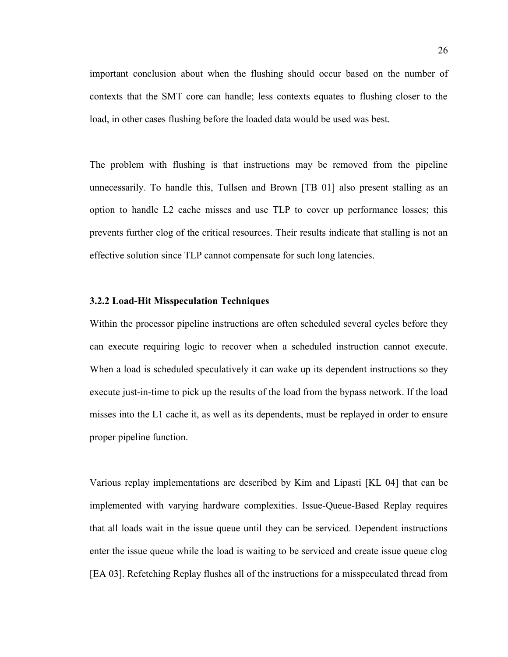important conclusion about when the flushing should occur based on the number of contexts that the SMT core can handle; less contexts equates to flushing closer to the load, in other cases flushing before the loaded data would be used was best.

The problem with flushing is that instructions may be removed from the pipeline unnecessarily. To handle this, Tullsen and Brown [TB 01] also present stalling as an option to handle L2 cache misses and use TLP to cover up performance losses; this prevents further clog of the critical resources. Their results indicate that stalling is not an effective solution since TLP cannot compensate for such long latencies.

### **3.2.2 Load-Hit Misspeculation Techniques**

Within the processor pipeline instructions are often scheduled several cycles before they can execute requiring logic to recover when a scheduled instruction cannot execute. When a load is scheduled speculatively it can wake up its dependent instructions so they execute just-in-time to pick up the results of the load from the bypass network. If the load misses into the L1 cache it, as well as its dependents, must be replayed in order to ensure proper pipeline function.

Various replay implementations are described by Kim and Lipasti [KL 04] that can be implemented with varying hardware complexities. Issue-Queue-Based Replay requires that all loads wait in the issue queue until they can be serviced. Dependent instructions enter the issue queue while the load is waiting to be serviced and create issue queue clog [EA 03]. Refetching Replay flushes all of the instructions for a misspeculated thread from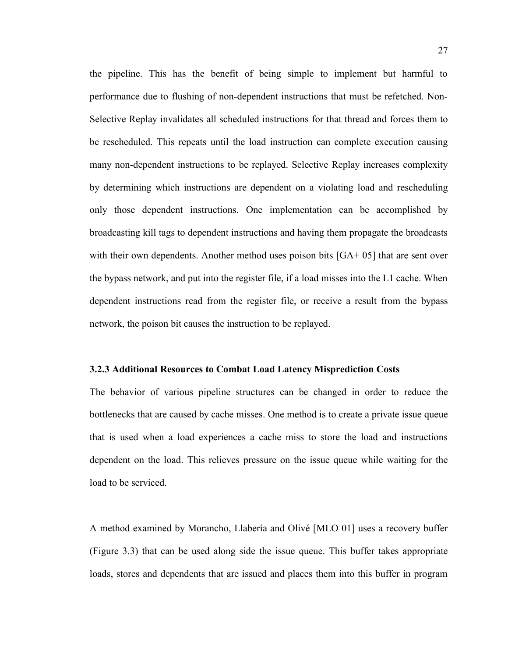the pipeline. This has the benefit of being simple to implement but harmful to performance due to flushing of non-dependent instructions that must be refetched. Non-Selective Replay invalidates all scheduled instructions for that thread and forces them to be rescheduled. This repeats until the load instruction can complete execution causing many non-dependent instructions to be replayed. Selective Replay increases complexity by determining which instructions are dependent on a violating load and rescheduling only those dependent instructions. One implementation can be accomplished by broadcasting kill tags to dependent instructions and having them propagate the broadcasts with their own dependents. Another method uses poison bits [GA+ 05] that are sent over the bypass network, and put into the register file, if a load misses into the L1 cache. When dependent instructions read from the register file, or receive a result from the bypass network, the poison bit causes the instruction to be replayed.

### **3.2.3 Additional Resources to Combat Load Latency Misprediction Costs**

The behavior of various pipeline structures can be changed in order to reduce the bottlenecks that are caused by cache misses. One method is to create a private issue queue that is used when a load experiences a cache miss to store the load and instructions dependent on the load. This relieves pressure on the issue queue while waiting for the load to be serviced.

A method examined by Morancho, Llabería and Olivé [MLO 01] uses a recovery buffer (Figure 3.3) that can be used along side the issue queue. This buffer takes appropriate loads, stores and dependents that are issued and places them into this buffer in program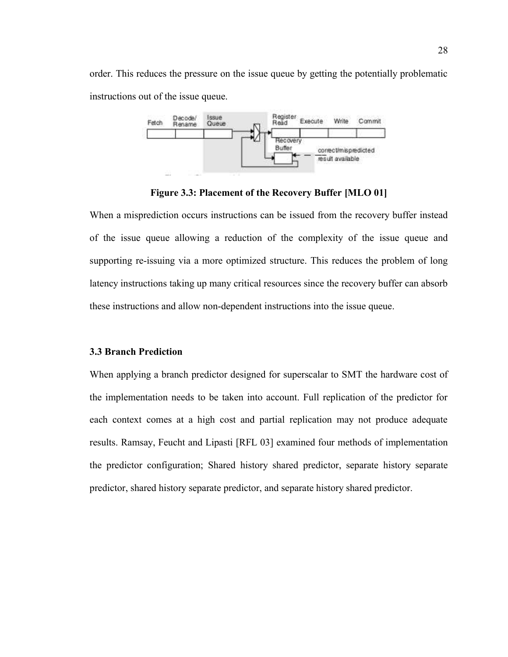order. This reduces the pressure on the issue queue by getting the potentially problematic instructions out of the issue queue.



**Figure 3.3: Placement of the Recovery Buffer [MLO 01]**

When a misprediction occurs instructions can be issued from the recovery buffer instead of the issue queue allowing a reduction of the complexity of the issue queue and supporting re-issuing via a more optimized structure. This reduces the problem of long latency instructions taking up many critical resources since the recovery buffer can absorb these instructions and allow non-dependent instructions into the issue queue.

### **3.3 Branch Prediction**

When applying a branch predictor designed for superscalar to SMT the hardware cost of the implementation needs to be taken into account. Full replication of the predictor for each context comes at a high cost and partial replication may not produce adequate results. Ramsay, Feucht and Lipasti [RFL 03] examined four methods of implementation the predictor configuration; Shared history shared predictor, separate history separate predictor, shared history separate predictor, and separate history shared predictor.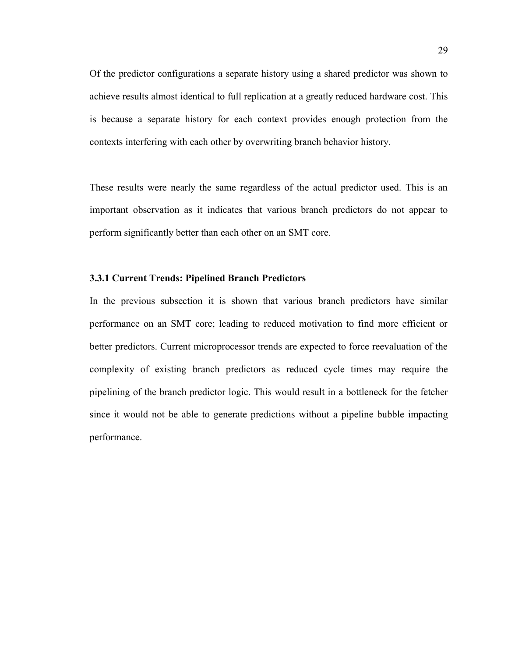Of the predictor configurations a separate history using a shared predictor was shown to achieve results almost identical to full replication at a greatly reduced hardware cost. This is because a separate history for each context provides enough protection from the contexts interfering with each other by overwriting branch behavior history.

These results were nearly the same regardless of the actual predictor used. This is an important observation as it indicates that various branch predictors do not appear to perform significantly better than each other on an SMT core.

### **3.3.1 Current Trends: Pipelined Branch Predictors**

In the previous subsection it is shown that various branch predictors have similar performance on an SMT core; leading to reduced motivation to find more efficient or better predictors. Current microprocessor trends are expected to force reevaluation of the complexity of existing branch predictors as reduced cycle times may require the pipelining of the branch predictor logic. This would result in a bottleneck for the fetcher since it would not be able to generate predictions without a pipeline bubble impacting performance.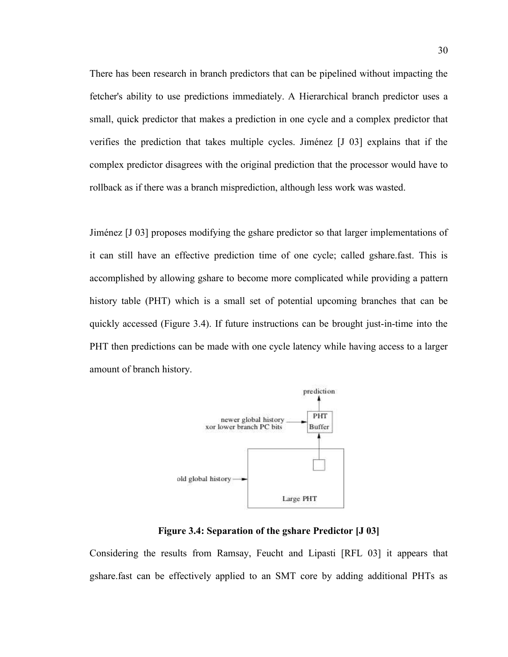There has been research in branch predictors that can be pipelined without impacting the fetcher's ability to use predictions immediately. A Hierarchical branch predictor uses a small, quick predictor that makes a prediction in one cycle and a complex predictor that verifies the prediction that takes multiple cycles. Jiménez [J 03] explains that if the complex predictor disagrees with the original prediction that the processor would have to rollback as if there was a branch misprediction, although less work was wasted.

Jiménez [J 03] proposes modifying the gshare predictor so that larger implementations of it can still have an effective prediction time of one cycle; called gshare.fast. This is accomplished by allowing gshare to become more complicated while providing a pattern history table (PHT) which is a small set of potential upcoming branches that can be quickly accessed (Figure 3.4). If future instructions can be brought just-in-time into the PHT then predictions can be made with one cycle latency while having access to a larger amount of branch history.



**Figure 3.4: Separation of the gshare Predictor [J 03]**

Considering the results from Ramsay, Feucht and Lipasti [RFL 03] it appears that gshare.fast can be effectively applied to an SMT core by adding additional PHTs as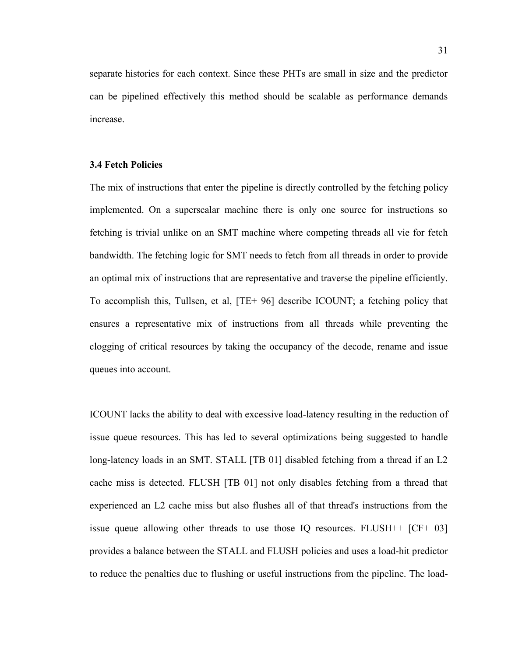separate histories for each context. Since these PHTs are small in size and the predictor can be pipelined effectively this method should be scalable as performance demands increase.

#### **3.4 Fetch Policies**

The mix of instructions that enter the pipeline is directly controlled by the fetching policy implemented. On a superscalar machine there is only one source for instructions so fetching is trivial unlike on an SMT machine where competing threads all vie for fetch bandwidth. The fetching logic for SMT needs to fetch from all threads in order to provide an optimal mix of instructions that are representative and traverse the pipeline efficiently. To accomplish this, Tullsen, et al, [TE+ 96] describe ICOUNT; a fetching policy that ensures a representative mix of instructions from all threads while preventing the clogging of critical resources by taking the occupancy of the decode, rename and issue queues into account.

ICOUNT lacks the ability to deal with excessive load-latency resulting in the reduction of issue queue resources. This has led to several optimizations being suggested to handle long-latency loads in an SMT. STALL [TB 01] disabled fetching from a thread if an L2 cache miss is detected. FLUSH [TB 01] not only disables fetching from a thread that experienced an L2 cache miss but also flushes all of that thread's instructions from the issue queue allowing other threads to use those IQ resources. FLUSH++ [CF+ 03] provides a balance between the STALL and FLUSH policies and uses a load-hit predictor to reduce the penalties due to flushing or useful instructions from the pipeline. The load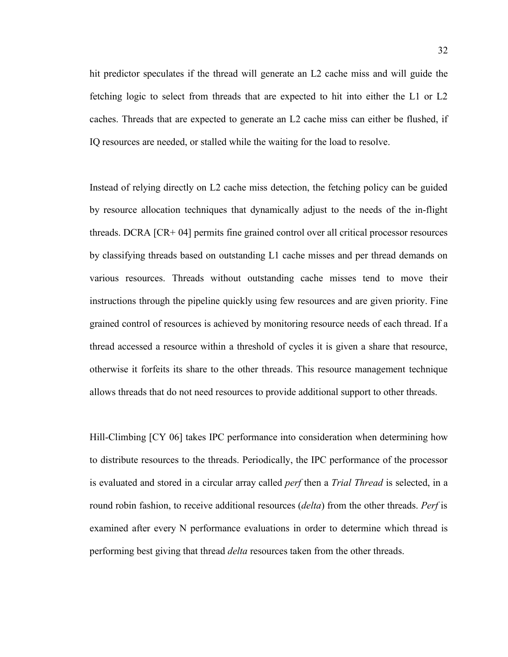hit predictor speculates if the thread will generate an L2 cache miss and will guide the fetching logic to select from threads that are expected to hit into either the L1 or L2 caches. Threads that are expected to generate an L2 cache miss can either be flushed, if IQ resources are needed, or stalled while the waiting for the load to resolve.

Instead of relying directly on L2 cache miss detection, the fetching policy can be guided by resource allocation techniques that dynamically adjust to the needs of the in-flight threads. DCRA [CR+ 04] permits fine grained control over all critical processor resources by classifying threads based on outstanding L1 cache misses and per thread demands on various resources. Threads without outstanding cache misses tend to move their instructions through the pipeline quickly using few resources and are given priority. Fine grained control of resources is achieved by monitoring resource needs of each thread. If a thread accessed a resource within a threshold of cycles it is given a share that resource, otherwise it forfeits its share to the other threads. This resource management technique allows threads that do not need resources to provide additional support to other threads.

Hill-Climbing [CY 06] takes IPC performance into consideration when determining how to distribute resources to the threads. Periodically, the IPC performance of the processor is evaluated and stored in a circular array called *perf* then a *Trial Thread* is selected, in a round robin fashion, to receive additional resources (*delta*) from the other threads. *Perf* is examined after every N performance evaluations in order to determine which thread is performing best giving that thread *delta* resources taken from the other threads.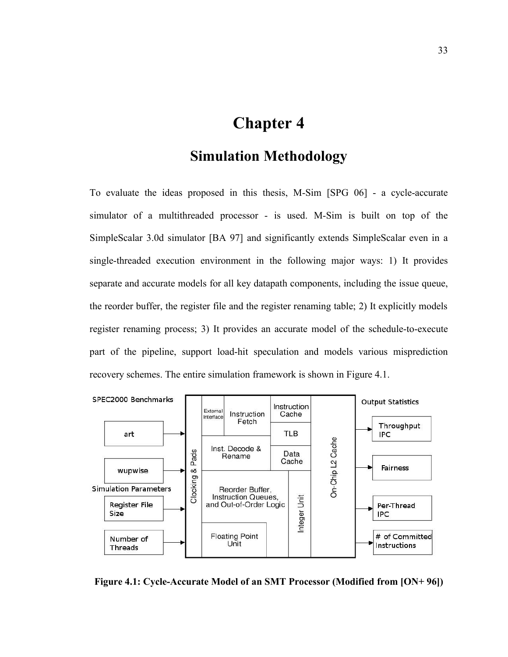# **Chapter 4**

### **Simulation Methodology**

To evaluate the ideas proposed in this thesis, M-Sim [SPG 06] - a cycle-accurate simulator of a multithreaded processor - is used. M-Sim is built on top of the SimpleScalar 3.0d simulator [BA 97] and significantly extends SimpleScalar even in a single-threaded execution environment in the following major ways: 1) It provides separate and accurate models for all key datapath components, including the issue queue, the reorder buffer, the register file and the register renaming table; 2) It explicitly models register renaming process; 3) It provides an accurate model of the schedule-to-execute part of the pipeline, support load-hit speculation and models various misprediction recovery schemes. The entire simulation framework is shown in Figure 4.1.



**Figure 4.1: Cycle-Accurate Model of an SMT Processor (Modified from [ON+ 96])**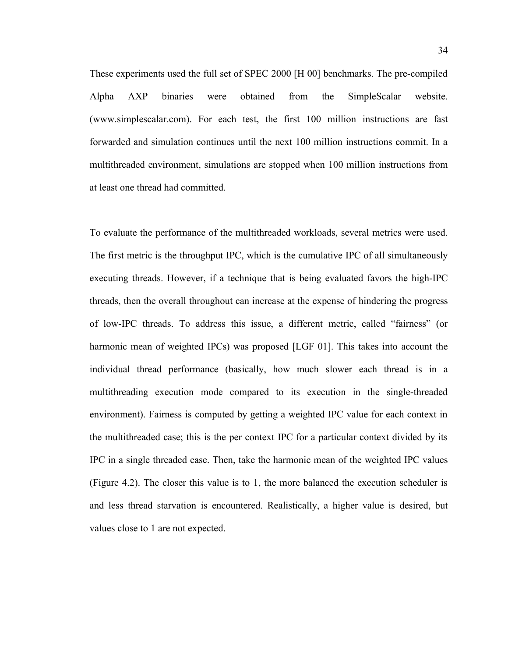These experiments used the full set of SPEC 2000 [H 00] benchmarks. The pre-compiled Alpha AXP binaries were obtained from the SimpleScalar website. (www.simplescalar.com). For each test, the first 100 million instructions are fast forwarded and simulation continues until the next 100 million instructions commit. In a multithreaded environment, simulations are stopped when 100 million instructions from at least one thread had committed.

To evaluate the performance of the multithreaded workloads, several metrics were used. The first metric is the throughput IPC, which is the cumulative IPC of all simultaneously executing threads. However, if a technique that is being evaluated favors the high-IPC threads, then the overall throughout can increase at the expense of hindering the progress of low-IPC threads. To address this issue, a different metric, called "fairness" (or harmonic mean of weighted IPCs) was proposed [LGF 01]. This takes into account the individual thread performance (basically, how much slower each thread is in a multithreading execution mode compared to its execution in the single-threaded environment). Fairness is computed by getting a weighted IPC value for each context in the multithreaded case; this is the per context IPC for a particular context divided by its IPC in a single threaded case. Then, take the harmonic mean of the weighted IPC values (Figure 4.2). The closer this value is to 1, the more balanced the execution scheduler is and less thread starvation is encountered. Realistically, a higher value is desired, but values close to 1 are not expected.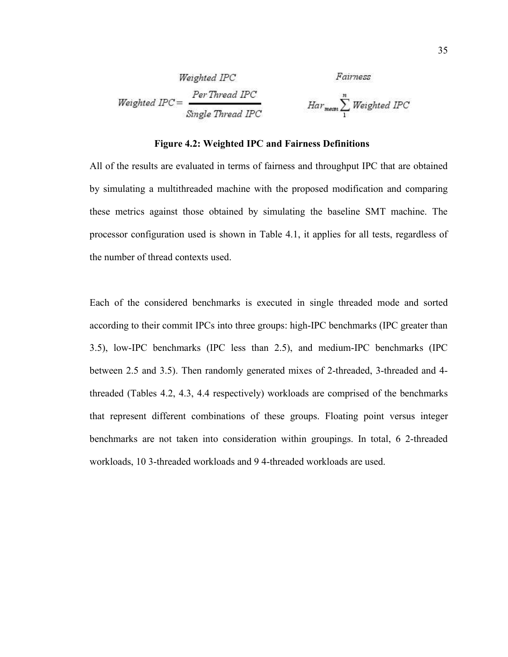| Weighted IPC   | Fairness                                                |                                                             |
|----------------|---------------------------------------------------------|-------------------------------------------------------------|
| Weighted IPC = | $\frac{Per\text{Thread IPC}}{\text{Single Thread IPC}}$ | $\text{Har}_{\text{mean}} \sum_{1}^{n} \text{Weighted IPC}$ |

### **Figure 4.2: Weighted IPC and Fairness Definitions**

All of the results are evaluated in terms of fairness and throughput IPC that are obtained by simulating a multithreaded machine with the proposed modification and comparing these metrics against those obtained by simulating the baseline SMT machine. The processor configuration used is shown in Table 4.1, it applies for all tests, regardless of the number of thread contexts used.

Each of the considered benchmarks is executed in single threaded mode and sorted according to their commit IPCs into three groups: high-IPC benchmarks (IPC greater than 3.5), low-IPC benchmarks (IPC less than 2.5), and medium-IPC benchmarks (IPC between 2.5 and 3.5). Then randomly generated mixes of 2-threaded, 3-threaded and 4 threaded (Tables 4.2, 4.3, 4.4 respectively) workloads are comprised of the benchmarks that represent different combinations of these groups. Floating point versus integer benchmarks are not taken into consideration within groupings. In total, 6 2-threaded workloads, 10 3-threaded workloads and 9 4-threaded workloads are used.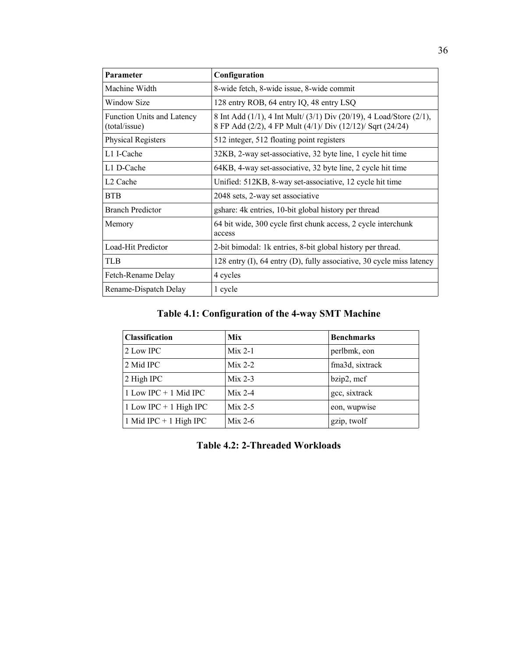| Parameter                                   | Configuration                                                                                                                     |
|---------------------------------------------|-----------------------------------------------------------------------------------------------------------------------------------|
| Machine Width                               | 8-wide fetch, 8-wide issue, 8-wide commit                                                                                         |
| Window Size                                 | 128 entry ROB, 64 entry IQ, 48 entry LSQ                                                                                          |
| Function Units and Latency<br>(total/issue) | 8 Int Add (1/1), 4 Int Mult/ (3/1) Div (20/19), 4 Load/Store (2/1),<br>8 FP Add (2/2), 4 FP Mult (4/1)/ Div (12/12)/ Sqrt (24/24) |
| <b>Physical Registers</b>                   | 512 integer, 512 floating point registers                                                                                         |
| L1 I-Cache                                  | 32KB, 2-way set-associative, 32 byte line, 1 cycle hit time                                                                       |
| L1 D-Cache                                  | 64KB, 4-way set-associative, 32 byte line, 2 cycle hit time                                                                       |
| L <sub>2</sub> Cache                        | Unified: 512KB, 8-way set-associative, 12 cycle hit time                                                                          |
| <b>BTB</b>                                  | 2048 sets, 2-way set associative                                                                                                  |
| <b>Branch Predictor</b>                     | gshare: 4k entries, 10-bit global history per thread                                                                              |
| Memory                                      | 64 bit wide, 300 cycle first chunk access, 2 cycle interchunk<br>access                                                           |
| Load-Hit Predictor                          | 2-bit bimodal: 1k entries, 8-bit global history per thread.                                                                       |
| <b>TLB</b>                                  | 128 entry (I), 64 entry (D), fully associative, 30 cycle miss latency                                                             |
| Fetch-Rename Delay                          | 4 cycles                                                                                                                          |
| Rename-Dispatch Delay                       | 1 cycle                                                                                                                           |

### **Table 4.1: Configuration of the 4-way SMT Machine**

| <b>Classification</b>    | <b>Mix</b> | <b>Benchmarks</b> |
|--------------------------|------------|-------------------|
| 2 Low IPC                | $Mix 2-1$  | perlbmk, eon      |
| 2 Mid IPC                | $Mix 2-2$  | fma3d, sixtrack   |
| 2 High IPC               | $Mix 2-3$  | bzip2, mcf        |
| 1 Low IPC $+$ 1 Mid IPC  | $Mix 2-4$  | gcc, sixtrack     |
| 1 Low IPC $+$ 1 High IPC | $Mix 2-5$  | eon, wupwise      |
| 1 Mid IPC + 1 High IPC   | $Mix 2-6$  | gzip, twolf       |

**Table 4.2: 2-Threaded Workloads**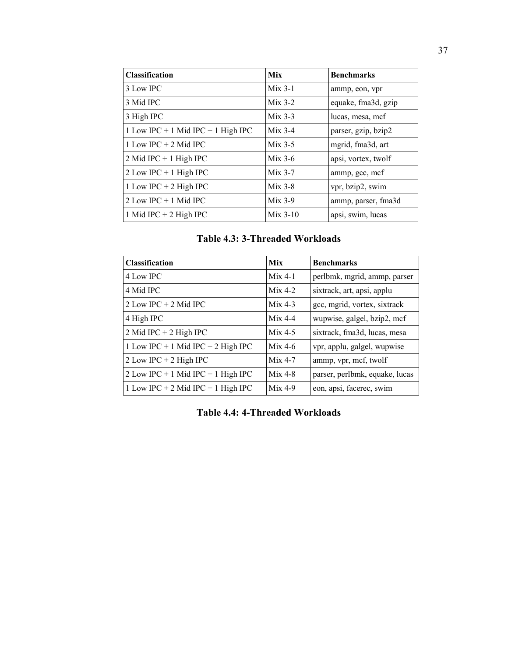| <b>Classification</b>              | <b>Mix</b> | <b>Benchmarks</b>   |
|------------------------------------|------------|---------------------|
| 3 Low IPC                          | $Mix 3-1$  | ammp, eon, vpr      |
| 3 Mid IPC                          | $Mix 3-2$  | equake, fma3d, gzip |
| 3 High IPC                         | $Mix 3-3$  | lucas, mesa, mcf    |
| 1 Low IPC + 1 Mid IPC + 1 High IPC | $Mix 3-4$  | parser, gzip, bzip2 |
| 1 Low IPC $+$ 2 Mid IPC            | $Mix 3-5$  | mgrid, fma3d, art   |
| 2 Mid IPC + 1 High IPC             | $Mix 3-6$  | apsi, vortex, twolf |
| $2$ Low IPC + 1 High IPC           | $Mix 3-7$  | ammp, gcc, mcf      |
| 1 Low IPC + 2 High IPC             | $Mix 3-8$  | vpr, bzip2, swim    |
| $2$ Low IPC + 1 Mid IPC            | $Mix 3-9$  | ammp, parser, fma3d |
| 1 Mid IPC $+$ 2 High IPC           | $Mix 3-10$ | apsi, swim, lucas   |

| <b>Classification</b>              | Mix       | <b>Benchmarks</b>              |
|------------------------------------|-----------|--------------------------------|
| 4 Low IPC                          | $Mix 4-1$ | perlbmk, mgrid, ammp, parser   |
| 4 Mid IPC                          | $Mix 4-2$ | sixtrack, art, apsi, applu     |
| 2 Low IPC $+$ 2 Mid IPC            | $Mix 4-3$ | gcc, mgrid, vortex, sixtrack   |
| 4 High IPC                         | $Mix 4-4$ | wupwise, galgel, bzip2, mcf    |
| 2 Mid IPC + 2 High IPC             | $Mix 4-5$ | sixtrack, fma3d, lucas, mesa   |
| 1 Low IPC + 1 Mid IPC + 2 High IPC | $Mix 4-6$ | vpr, applu, galgel, wupwise    |
| 2 Low IPC + 2 High IPC             | $Mix 4-7$ | ammp, vpr, mcf, twolf          |
| 2 Low IPC + 1 Mid IPC + 1 High IPC | $Mix 4-8$ | parser, perlbmk, equake, lucas |
| 1 Low IPC + 2 Mid IPC + 1 High IPC | $Mix 4-9$ | eon, apsi, facerec, swim       |

**Table 4.4: 4-Threaded Workloads**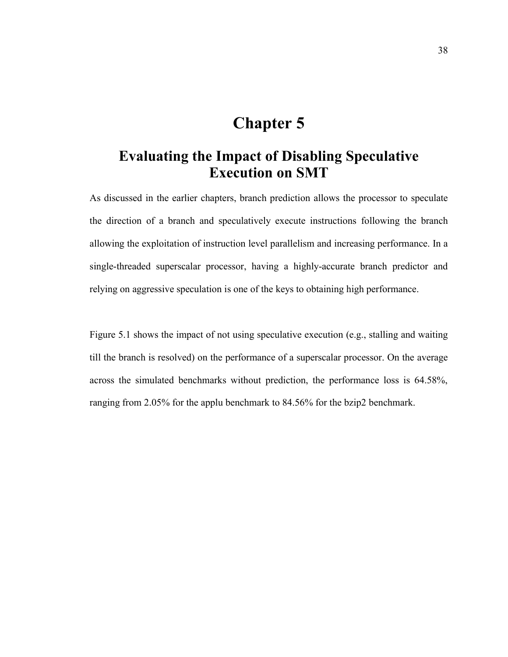## **Chapter 5**

### **Evaluating the Impact of Disabling Speculative Execution on SMT**

As discussed in the earlier chapters, branch prediction allows the processor to speculate the direction of a branch and speculatively execute instructions following the branch allowing the exploitation of instruction level parallelism and increasing performance. In a single-threaded superscalar processor, having a highly-accurate branch predictor and relying on aggressive speculation is one of the keys to obtaining high performance.

Figure 5.1 shows the impact of not using speculative execution (e.g., stalling and waiting till the branch is resolved) on the performance of a superscalar processor. On the average across the simulated benchmarks without prediction, the performance loss is 64.58%, ranging from 2.05% for the applu benchmark to 84.56% for the bzip2 benchmark.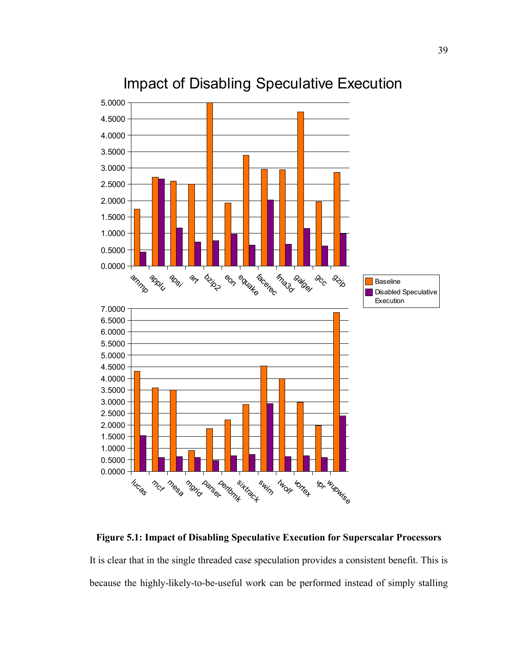

## Impact of Disabling Speculative Execution

**Figure 5.1: Impact of Disabling Speculative Execution for Superscalar Processors**

It is clear that in the single threaded case speculation provides a consistent benefit. This is because the highly-likely-to-be-useful work can be performed instead of simply stalling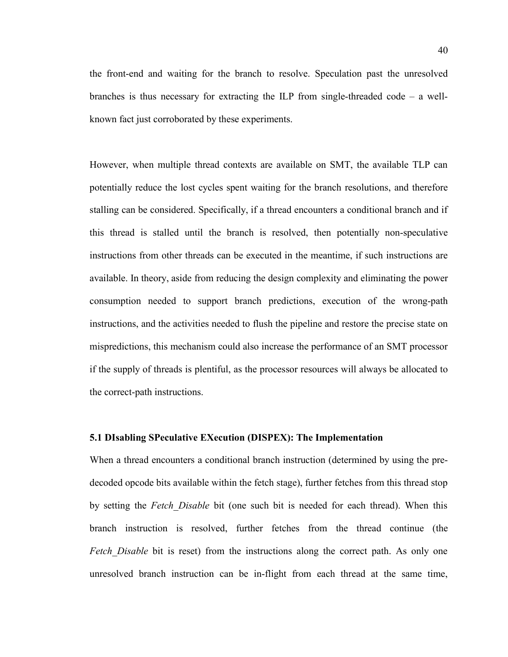the front-end and waiting for the branch to resolve. Speculation past the unresolved branches is thus necessary for extracting the ILP from single-threaded code – a wellknown fact just corroborated by these experiments.

However, when multiple thread contexts are available on SMT, the available TLP can potentially reduce the lost cycles spent waiting for the branch resolutions, and therefore stalling can be considered. Specifically, if a thread encounters a conditional branch and if this thread is stalled until the branch is resolved, then potentially non-speculative instructions from other threads can be executed in the meantime, if such instructions are available. In theory, aside from reducing the design complexity and eliminating the power consumption needed to support branch predictions, execution of the wrong-path instructions, and the activities needed to flush the pipeline and restore the precise state on mispredictions, this mechanism could also increase the performance of an SMT processor if the supply of threads is plentiful, as the processor resources will always be allocated to the correct-path instructions.

### **5.1 DIsabling SPeculative EXecution (DISPEX): The Implementation**

When a thread encounters a conditional branch instruction (determined by using the predecoded opcode bits available within the fetch stage), further fetches from this thread stop by setting the *Fetch\_Disable* bit (one such bit is needed for each thread). When this branch instruction is resolved, further fetches from the thread continue (the *Fetch Disable* bit is reset) from the instructions along the correct path. As only one unresolved branch instruction can be in-flight from each thread at the same time,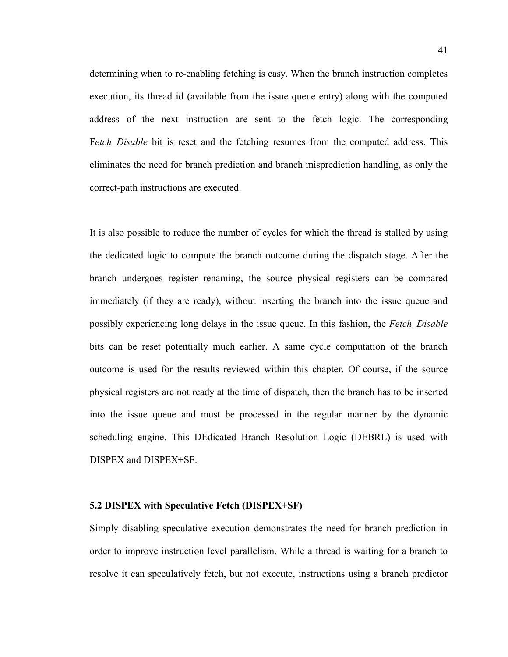determining when to re-enabling fetching is easy. When the branch instruction completes execution, its thread id (available from the issue queue entry) along with the computed address of the next instruction are sent to the fetch logic. The corresponding Fetch Disable bit is reset and the fetching resumes from the computed address. This eliminates the need for branch prediction and branch misprediction handling, as only the correct-path instructions are executed.

It is also possible to reduce the number of cycles for which the thread is stalled by using the dedicated logic to compute the branch outcome during the dispatch stage. After the branch undergoes register renaming, the source physical registers can be compared immediately (if they are ready), without inserting the branch into the issue queue and possibly experiencing long delays in the issue queue. In this fashion, the *Fetch\_Disable* bits can be reset potentially much earlier. A same cycle computation of the branch outcome is used for the results reviewed within this chapter. Of course, if the source physical registers are not ready at the time of dispatch, then the branch has to be inserted into the issue queue and must be processed in the regular manner by the dynamic scheduling engine. This DEdicated Branch Resolution Logic (DEBRL) is used with DISPEX and DISPEX+SF.

### **5.2 DISPEX with Speculative Fetch (DISPEX+SF)**

Simply disabling speculative execution demonstrates the need for branch prediction in order to improve instruction level parallelism. While a thread is waiting for a branch to resolve it can speculatively fetch, but not execute, instructions using a branch predictor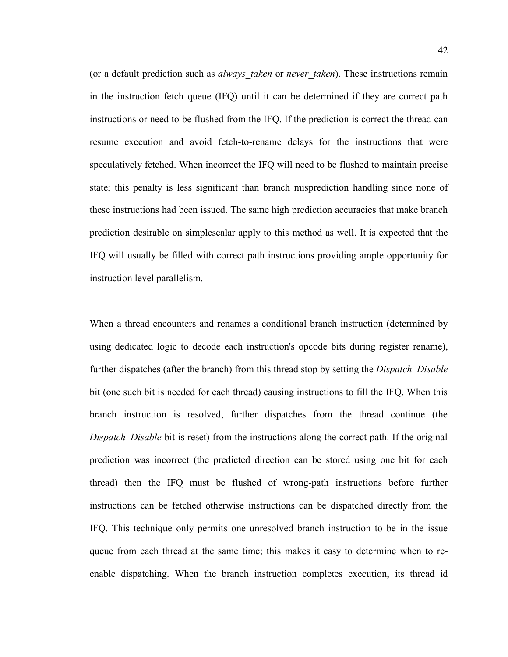(or a default prediction such as *always* taken or *never* taken). These instructions remain in the instruction fetch queue (IFQ) until it can be determined if they are correct path instructions or need to be flushed from the IFQ. If the prediction is correct the thread can resume execution and avoid fetch-to-rename delays for the instructions that were speculatively fetched. When incorrect the IFQ will need to be flushed to maintain precise state; this penalty is less significant than branch misprediction handling since none of these instructions had been issued. The same high prediction accuracies that make branch prediction desirable on simplescalar apply to this method as well. It is expected that the IFQ will usually be filled with correct path instructions providing ample opportunity for instruction level parallelism.

When a thread encounters and renames a conditional branch instruction (determined by using dedicated logic to decode each instruction's opcode bits during register rename), further dispatches (after the branch) from this thread stop by setting the *Dispatch\_Disable* bit (one such bit is needed for each thread) causing instructions to fill the IFQ. When this branch instruction is resolved, further dispatches from the thread continue (the *Dispatch Disable* bit is reset) from the instructions along the correct path. If the original prediction was incorrect (the predicted direction can be stored using one bit for each thread) then the IFQ must be flushed of wrong-path instructions before further instructions can be fetched otherwise instructions can be dispatched directly from the IFQ. This technique only permits one unresolved branch instruction to be in the issue queue from each thread at the same time; this makes it easy to determine when to reenable dispatching. When the branch instruction completes execution, its thread id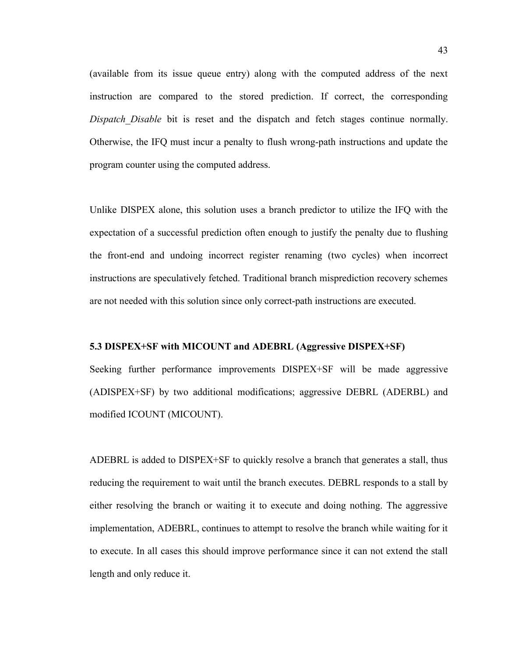(available from its issue queue entry) along with the computed address of the next instruction are compared to the stored prediction. If correct, the corresponding *Dispatch Disable* bit is reset and the dispatch and fetch stages continue normally. Otherwise, the IFQ must incur a penalty to flush wrong-path instructions and update the program counter using the computed address.

Unlike DISPEX alone, this solution uses a branch predictor to utilize the IFQ with the expectation of a successful prediction often enough to justify the penalty due to flushing the front-end and undoing incorrect register renaming (two cycles) when incorrect instructions are speculatively fetched. Traditional branch misprediction recovery schemes are not needed with this solution since only correct-path instructions are executed.

### **5.3 DISPEX+SF with MICOUNT and ADEBRL (Aggressive DISPEX+SF)**

Seeking further performance improvements DISPEX+SF will be made aggressive (ADISPEX+SF) by two additional modifications; aggressive DEBRL (ADERBL) and modified ICOUNT (MICOUNT).

ADEBRL is added to DISPEX+SF to quickly resolve a branch that generates a stall, thus reducing the requirement to wait until the branch executes. DEBRL responds to a stall by either resolving the branch or waiting it to execute and doing nothing. The aggressive implementation, ADEBRL, continues to attempt to resolve the branch while waiting for it to execute. In all cases this should improve performance since it can not extend the stall length and only reduce it.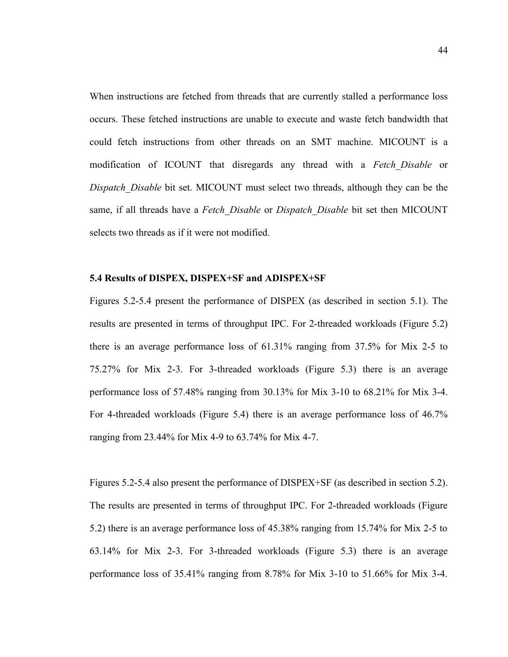When instructions are fetched from threads that are currently stalled a performance loss occurs. These fetched instructions are unable to execute and waste fetch bandwidth that could fetch instructions from other threads on an SMT machine. MICOUNT is a modification of ICOUNT that disregards any thread with a *Fetch\_Disable* or *Dispatch\_Disable* bit set. MICOUNT must select two threads, although they can be the same, if all threads have a *Fetch\_Disable* or *Dispatch\_Disable* bit set then MICOUNT selects two threads as if it were not modified.

#### **5.4 Results of DISPEX, DISPEX+SF and ADISPEX+SF**

Figures 5.2-5.4 present the performance of DISPEX (as described in section 5.1). The results are presented in terms of throughput IPC. For 2-threaded workloads (Figure 5.2) there is an average performance loss of 61.31% ranging from 37.5% for Mix 2-5 to 75.27% for Mix 2-3. For 3-threaded workloads (Figure 5.3) there is an average performance loss of 57.48% ranging from 30.13% for Mix 3-10 to 68.21% for Mix 3-4. For 4-threaded workloads (Figure 5.4) there is an average performance loss of 46.7% ranging from 23.44% for Mix 4-9 to 63.74% for Mix 4-7.

Figures 5.2-5.4 also present the performance of DISPEX+SF (as described in section 5.2). The results are presented in terms of throughput IPC. For 2-threaded workloads (Figure 5.2) there is an average performance loss of 45.38% ranging from 15.74% for Mix 2-5 to 63.14% for Mix 2-3. For 3-threaded workloads (Figure 5.3) there is an average performance loss of 35.41% ranging from 8.78% for Mix 3-10 to 51.66% for Mix 3-4.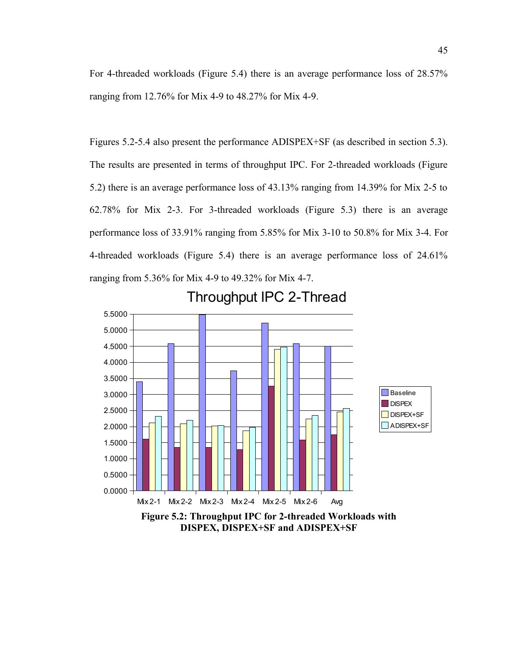For 4-threaded workloads (Figure 5.4) there is an average performance loss of 28.57% ranging from 12.76% for Mix 4-9 to 48.27% for Mix 4-9.

45

Figures 5.2-5.4 also present the performance ADISPEX+SF (as described in section 5.3). The results are presented in terms of throughput IPC. For 2-threaded workloads (Figure 5.2) there is an average performance loss of 43.13% ranging from 14.39% for Mix 2-5 to 62.78% for Mix 2-3. For 3-threaded workloads (Figure 5.3) there is an average performance loss of 33.91% ranging from 5.85% for Mix 3-10 to 50.8% for Mix 3-4. For 4-threaded workloads (Figure 5.4) there is an average performance loss of 24.61% ranging from 5.36% for Mix 4-9 to 49.32% for Mix 4-7.



### **DISPEX, DISPEX+SF and ADISPEX+SF**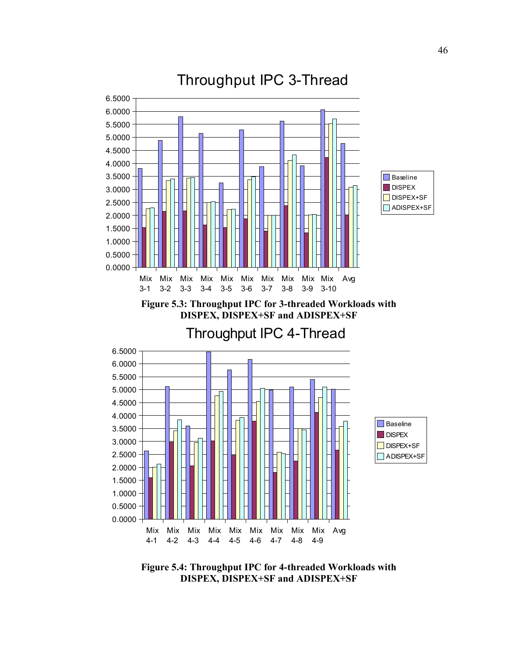

**Figure 5.4: Throughput IPC for 4-threaded Workloads with DISPEX, DISPEX+SF and ADISPEX+SF**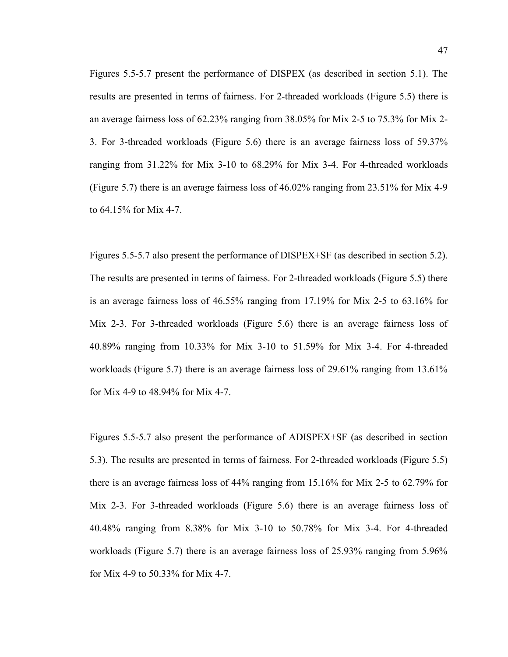Figures 5.5-5.7 present the performance of DISPEX (as described in section 5.1). The results are presented in terms of fairness. For 2-threaded workloads (Figure 5.5) there is an average fairness loss of 62.23% ranging from 38.05% for Mix 2-5 to 75.3% for Mix 2- 3. For 3-threaded workloads (Figure 5.6) there is an average fairness loss of 59.37% ranging from 31.22% for Mix 3-10 to 68.29% for Mix 3-4. For 4-threaded workloads (Figure 5.7) there is an average fairness loss of 46.02% ranging from 23.51% for Mix 4-9 to 64.15% for Mix 4-7.

Figures 5.5-5.7 also present the performance of DISPEX+SF (as described in section 5.2). The results are presented in terms of fairness. For 2-threaded workloads (Figure 5.5) there is an average fairness loss of 46.55% ranging from 17.19% for Mix 2-5 to 63.16% for Mix 2-3. For 3-threaded workloads (Figure 5.6) there is an average fairness loss of 40.89% ranging from 10.33% for Mix 3-10 to 51.59% for Mix 3-4. For 4-threaded workloads (Figure 5.7) there is an average fairness loss of 29.61% ranging from 13.61% for Mix 4-9 to 48.94% for Mix 4-7.

Figures 5.5-5.7 also present the performance of ADISPEX+SF (as described in section 5.3). The results are presented in terms of fairness. For 2-threaded workloads (Figure 5.5) there is an average fairness loss of 44% ranging from 15.16% for Mix 2-5 to 62.79% for Mix 2-3. For 3-threaded workloads (Figure 5.6) there is an average fairness loss of 40.48% ranging from 8.38% for Mix 3-10 to 50.78% for Mix 3-4. For 4-threaded workloads (Figure 5.7) there is an average fairness loss of 25.93% ranging from 5.96% for Mix 4-9 to 50.33% for Mix 4-7.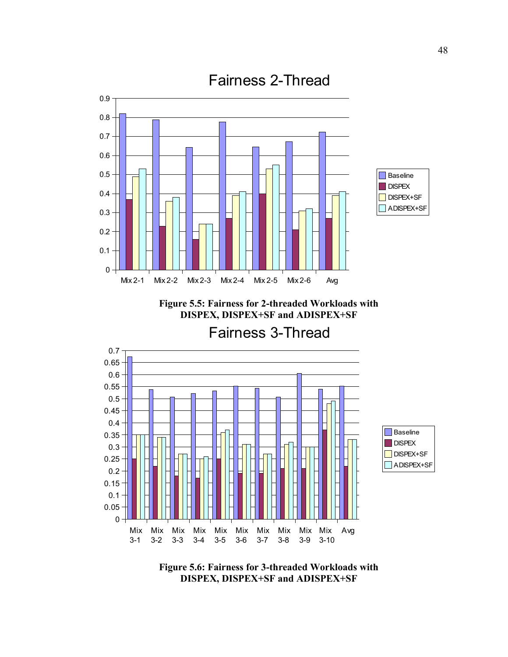

**Figure 5.5: Fairness for 2-threaded Workloads with DISPEX, DISPEX+SF and ADISPEX+SF**

Fairness 3-Thread



**Figure 5.6: Fairness for 3-threaded Workloads with DISPEX, DISPEX+SF and ADISPEX+SF**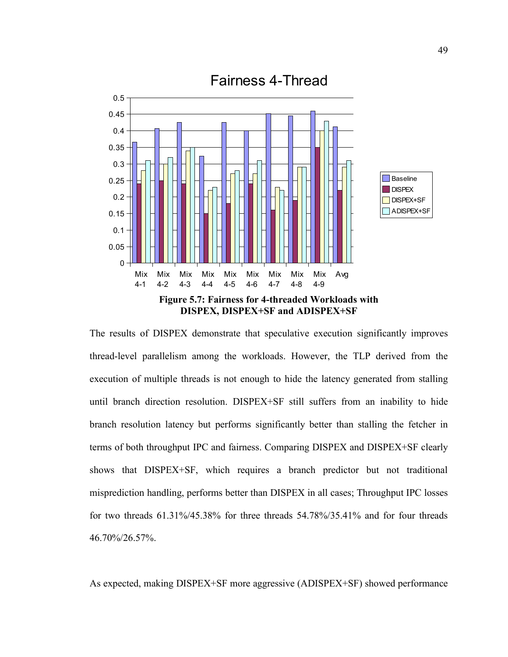

The results of DISPEX demonstrate that speculative execution significantly improves thread-level parallelism among the workloads. However, the TLP derived from the execution of multiple threads is not enough to hide the latency generated from stalling until branch direction resolution. DISPEX+SF still suffers from an inability to hide branch resolution latency but performs significantly better than stalling the fetcher in terms of both throughput IPC and fairness. Comparing DISPEX and DISPEX+SF clearly shows that DISPEX+SF, which requires a branch predictor but not traditional misprediction handling, performs better than DISPEX in all cases; Throughput IPC losses for two threads 61.31%/45.38% for three threads 54.78%/35.41% and for four threads 46.70%/26.57%.

As expected, making DISPEX+SF more aggressive (ADISPEX+SF) showed performance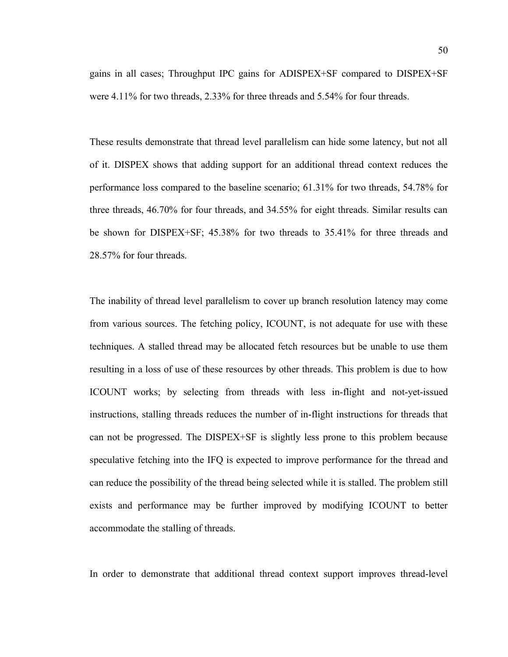gains in all cases; Throughput IPC gains for ADISPEX+SF compared to DISPEX+SF were 4.11% for two threads, 2.33% for three threads and 5.54% for four threads.

These results demonstrate that thread level parallelism can hide some latency, but not all of it. DISPEX shows that adding support for an additional thread context reduces the performance loss compared to the baseline scenario; 61.31% for two threads, 54.78% for three threads, 46.70% for four threads, and 34.55% for eight threads. Similar results can be shown for DISPEX+SF; 45.38% for two threads to 35.41% for three threads and 28.57% for four threads.

The inability of thread level parallelism to cover up branch resolution latency may come from various sources. The fetching policy, ICOUNT, is not adequate for use with these techniques. A stalled thread may be allocated fetch resources but be unable to use them resulting in a loss of use of these resources by other threads. This problem is due to how ICOUNT works; by selecting from threads with less in-flight and not-yet-issued instructions, stalling threads reduces the number of in-flight instructions for threads that can not be progressed. The DISPEX+SF is slightly less prone to this problem because speculative fetching into the IFQ is expected to improve performance for the thread and can reduce the possibility of the thread being selected while it is stalled. The problem still exists and performance may be further improved by modifying ICOUNT to better accommodate the stalling of threads.

In order to demonstrate that additional thread context support improves thread-level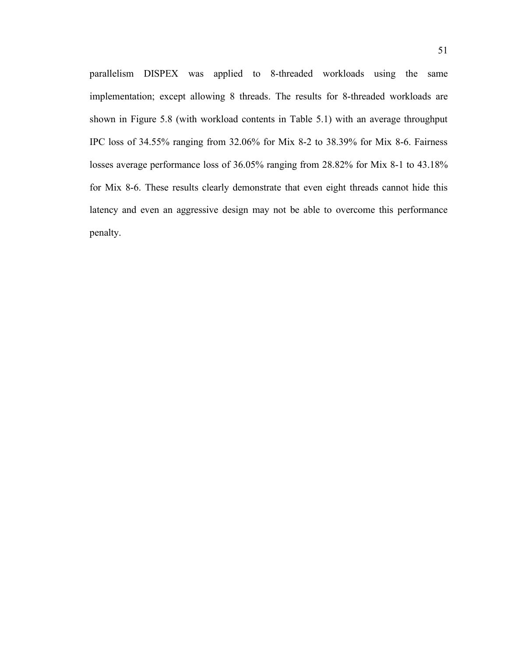parallelism DISPEX was applied to 8-threaded workloads using the same implementation; except allowing 8 threads. The results for 8-threaded workloads are shown in Figure 5.8 (with workload contents in Table 5.1) with an average throughput IPC loss of 34.55% ranging from 32.06% for Mix 8-2 to 38.39% for Mix 8-6. Fairness losses average performance loss of 36.05% ranging from 28.82% for Mix 8-1 to 43.18% for Mix 8-6. These results clearly demonstrate that even eight threads cannot hide this latency and even an aggressive design may not be able to overcome this performance penalty.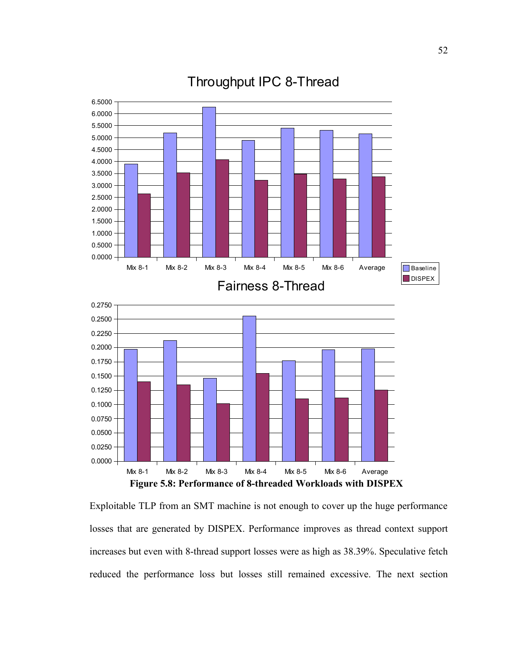

Throughput IPC 8-Thread

Exploitable TLP from an SMT machine is not enough to cover up the huge performance losses that are generated by DISPEX. Performance improves as thread context support increases but even with 8-thread support losses were as high as 38.39%. Speculative fetch reduced the performance loss but losses still remained excessive. The next section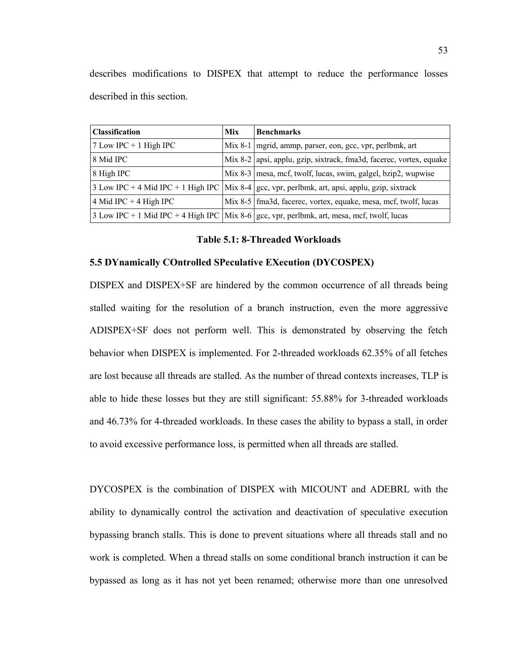describes modifications to DISPEX that attempt to reduce the performance losses described in this section.

| <b>Classification</b>    | Mix | <b>Benchmarks</b>                                                                                  |
|--------------------------|-----|----------------------------------------------------------------------------------------------------|
| $7$ Low IPC + 1 High IPC |     | Mix 8-1   mgrid, ammp, parser, eon, gcc, vpr, perlbmk, art                                         |
| 8 Mid IPC                |     | Mix 8-2   apsi, applu, gzip, sixtrack, fma3d, facerec, vortex, equake                              |
| 8 High IPC               |     | Mix 8-3 mesa, mcf, twolf, lucas, swim, galgel, bzip2, wupwise                                      |
|                          |     | 3 Low IPC + 4 Mid IPC + 1 High IPC   Mix 8-4   gcc, vpr, perlbmk, art, apsi, applu, gzip, sixtrack |
| 4 Mid IPC + 4 High IPC   |     | Mix 8-5   fma3d, facerec, vortex, equake, mesa, mcf, twolf, lucas                                  |
|                          |     | 3 Low IPC + 1 Mid IPC + 4 High IPC   Mix 8-6   gcc, vpr, perlbmk, art, mesa, mcf, twolf, lucas     |

**Table 5.1: 8-Threaded Workloads**

#### **5.5 DYnamically COntrolled SPeculative EXecution (DYCOSPEX)**

DISPEX and DISPEX+SF are hindered by the common occurrence of all threads being stalled waiting for the resolution of a branch instruction, even the more aggressive ADISPEX+SF does not perform well. This is demonstrated by observing the fetch behavior when DISPEX is implemented. For 2-threaded workloads 62.35% of all fetches are lost because all threads are stalled. As the number of thread contexts increases, TLP is able to hide these losses but they are still significant: 55.88% for 3-threaded workloads and 46.73% for 4-threaded workloads. In these cases the ability to bypass a stall, in order to avoid excessive performance loss, is permitted when all threads are stalled.

DYCOSPEX is the combination of DISPEX with MICOUNT and ADEBRL with the ability to dynamically control the activation and deactivation of speculative execution bypassing branch stalls. This is done to prevent situations where all threads stall and no work is completed. When a thread stalls on some conditional branch instruction it can be bypassed as long as it has not yet been renamed; otherwise more than one unresolved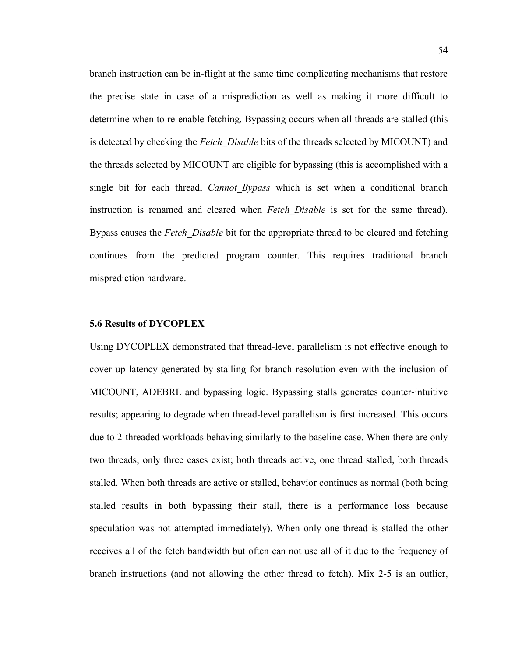branch instruction can be in-flight at the same time complicating mechanisms that restore the precise state in case of a misprediction as well as making it more difficult to determine when to re-enable fetching. Bypassing occurs when all threads are stalled (this is detected by checking the *Fetch\_Disable* bits of the threads selected by MICOUNT) and the threads selected by MICOUNT are eligible for bypassing (this is accomplished with a single bit for each thread, *Cannot\_Bypass* which is set when a conditional branch instruction is renamed and cleared when *Fetch\_Disable* is set for the same thread). Bypass causes the *Fetch\_Disable* bit for the appropriate thread to be cleared and fetching continues from the predicted program counter. This requires traditional branch misprediction hardware.

### **5.6 Results of DYCOPLEX**

Using DYCOPLEX demonstrated that thread-level parallelism is not effective enough to cover up latency generated by stalling for branch resolution even with the inclusion of MICOUNT, ADEBRL and bypassing logic. Bypassing stalls generates counter-intuitive results; appearing to degrade when thread-level parallelism is first increased. This occurs due to 2-threaded workloads behaving similarly to the baseline case. When there are only two threads, only three cases exist; both threads active, one thread stalled, both threads stalled. When both threads are active or stalled, behavior continues as normal (both being stalled results in both bypassing their stall, there is a performance loss because speculation was not attempted immediately). When only one thread is stalled the other receives all of the fetch bandwidth but often can not use all of it due to the frequency of branch instructions (and not allowing the other thread to fetch). Mix 2-5 is an outlier,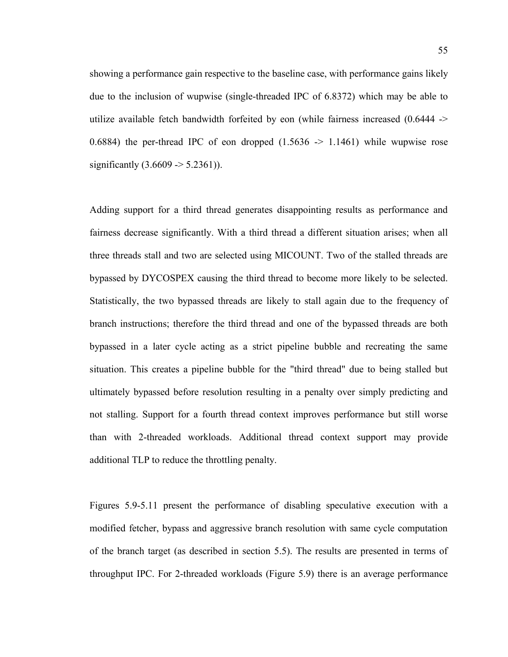showing a performance gain respective to the baseline case, with performance gains likely due to the inclusion of wupwise (single-threaded IPC of 6.8372) which may be able to utilize available fetch bandwidth forfeited by eon (while fairness increased (0.6444 -> 0.6884) the per-thread IPC of eon dropped  $(1.5636 \rightarrow 1.1461)$  while wupwise rose significantly  $(3.6609 \ge 5.2361)$ ).

Adding support for a third thread generates disappointing results as performance and fairness decrease significantly. With a third thread a different situation arises; when all three threads stall and two are selected using MICOUNT. Two of the stalled threads are bypassed by DYCOSPEX causing the third thread to become more likely to be selected. Statistically, the two bypassed threads are likely to stall again due to the frequency of branch instructions; therefore the third thread and one of the bypassed threads are both bypassed in a later cycle acting as a strict pipeline bubble and recreating the same situation. This creates a pipeline bubble for the "third thread" due to being stalled but ultimately bypassed before resolution resulting in a penalty over simply predicting and not stalling. Support for a fourth thread context improves performance but still worse than with 2-threaded workloads. Additional thread context support may provide additional TLP to reduce the throttling penalty.

Figures 5.9-5.11 present the performance of disabling speculative execution with a modified fetcher, bypass and aggressive branch resolution with same cycle computation of the branch target (as described in section 5.5). The results are presented in terms of throughput IPC. For 2-threaded workloads (Figure 5.9) there is an average performance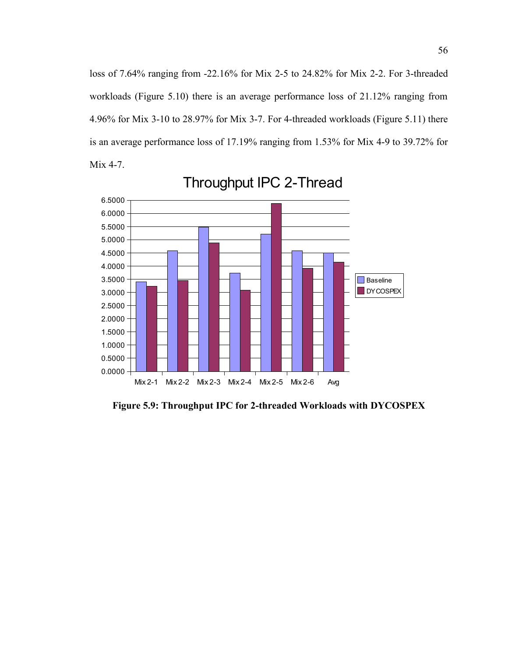loss of 7.64% ranging from -22.16% for Mix 2-5 to 24.82% for Mix 2-2. For 3-threaded workloads (Figure 5.10) there is an average performance loss of 21.12% ranging from 4.96% for Mix 3-10 to 28.97% for Mix 3-7. For 4-threaded workloads (Figure 5.11) there is an average performance loss of 17.19% ranging from 1.53% for Mix 4-9 to 39.72% for Mix 4-7.



Throughput IPC 2-Thread

**Figure 5.9: Throughput IPC for 2-threaded Workloads with DYCOSPEX**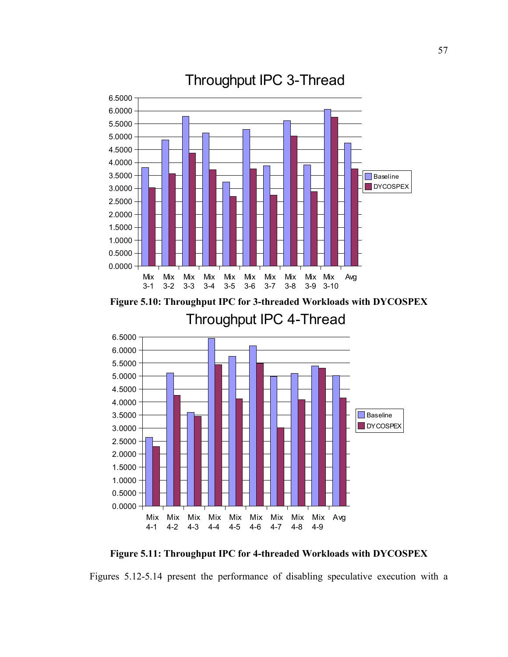

**Figure 5.10: Throughput IPC for 3-threaded Workloads with DYCOSPEX** Throughput IPC 4-Thread



**Figure 5.11: Throughput IPC for 4-threaded Workloads with DYCOSPEX**

Figures 5.12-5.14 present the performance of disabling speculative execution with a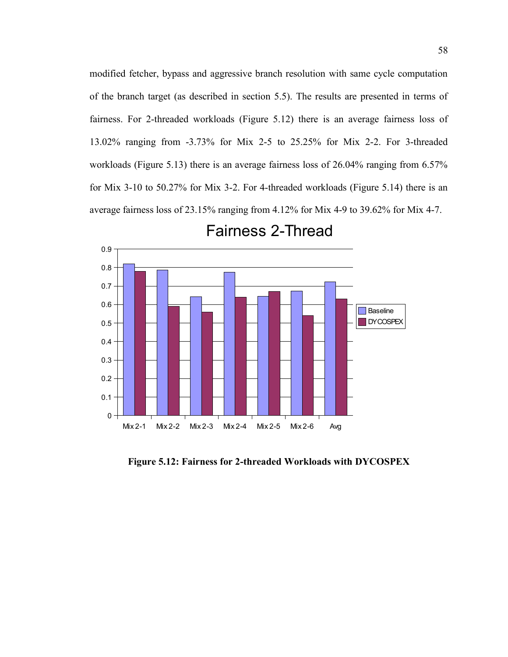modified fetcher, bypass and aggressive branch resolution with same cycle computation of the branch target (as described in section 5.5). The results are presented in terms of fairness. For 2-threaded workloads (Figure 5.12) there is an average fairness loss of 13.02% ranging from -3.73% for Mix 2-5 to 25.25% for Mix 2-2. For 3-threaded workloads (Figure 5.13) there is an average fairness loss of 26.04% ranging from 6.57% for Mix 3-10 to 50.27% for Mix 3-2. For 4-threaded workloads (Figure 5.14) there is an average fairness loss of 23.15% ranging from 4.12% for Mix 4-9 to 39.62% for Mix 4-7.



Fairness 2-Thread

**Figure 5.12: Fairness for 2-threaded Workloads with DYCOSPEX**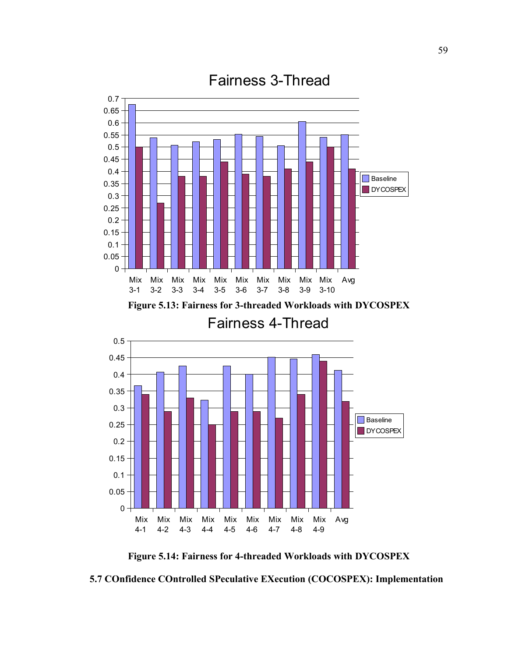

**Figure 5.14: Fairness for 4-threaded Workloads with DYCOSPEX**

**5.7 COnfidence COntrolled SPeculative EXecution (COCOSPEX): Implementation**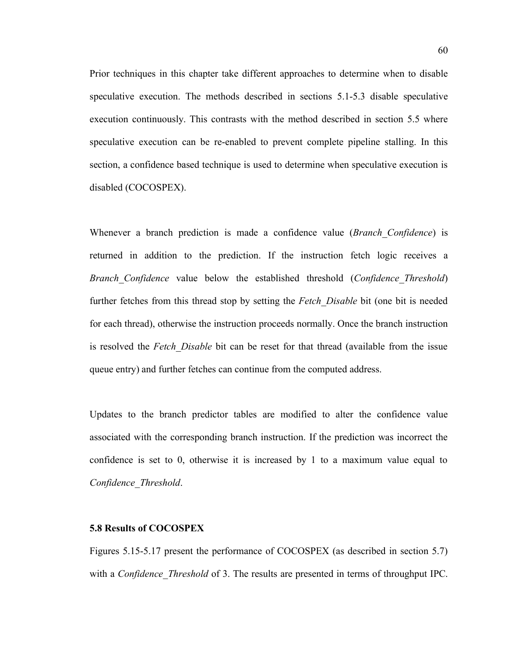Prior techniques in this chapter take different approaches to determine when to disable speculative execution. The methods described in sections 5.1-5.3 disable speculative execution continuously. This contrasts with the method described in section 5.5 where speculative execution can be re-enabled to prevent complete pipeline stalling. In this section, a confidence based technique is used to determine when speculative execution is disabled (COCOSPEX).

Whenever a branch prediction is made a confidence value (*Branch\_Confidence*) is returned in addition to the prediction. If the instruction fetch logic receives a *Branch\_Confidence* value below the established threshold (*Confidence\_Threshold*) further fetches from this thread stop by setting the *Fetch\_Disable* bit (one bit is needed for each thread), otherwise the instruction proceeds normally. Once the branch instruction is resolved the *Fetch\_Disable* bit can be reset for that thread (available from the issue queue entry) and further fetches can continue from the computed address.

Updates to the branch predictor tables are modified to alter the confidence value associated with the corresponding branch instruction. If the prediction was incorrect the confidence is set to 0, otherwise it is increased by 1 to a maximum value equal to *Confidence\_Threshold*.

#### **5.8 Results of COCOSPEX**

Figures 5.15-5.17 present the performance of COCOSPEX (as described in section 5.7) with a *Confidence Threshold* of 3. The results are presented in terms of throughput IPC.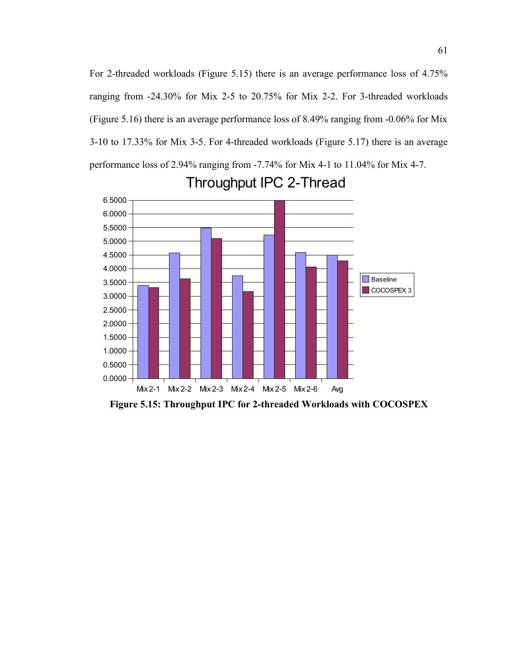For 2-threaded workloads (Figure 5.15) there is an average performance loss of 4.75% ranging from -24.30% for Mix 2-5 to 20.75% for Mix 2-2. For 3-threaded workloads (Figure 5.16) there is an average performance loss of 8.49% ranging from -0.06% for Mix 3-10 to 17.33% for Mix 3-5. For 4-threaded workloads (Figure 5.17) there is an average performance loss of 2.94% ranging from -7.74% for Mix 4-1 to 11.04% for Mix 4-7.



### Throughput IPC 2-Thread

**Figure 5.15: Throughput IPC for 2-threaded Workloads with COCOSPEX**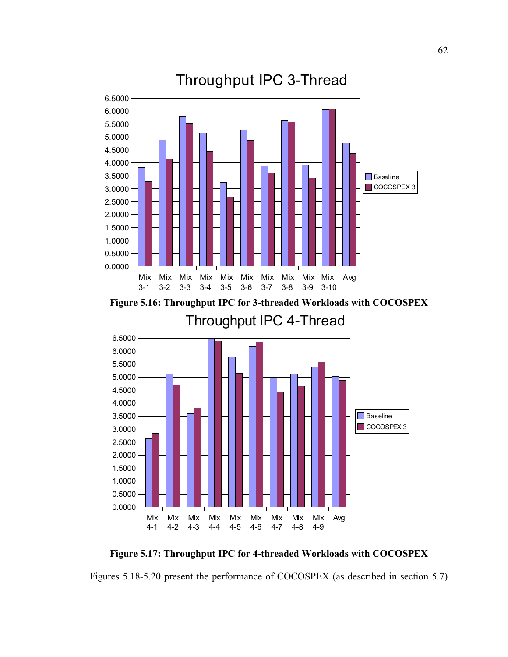

**Figure 5.16: Throughput IPC for 3-threaded Workloads with COCOSPEX** Throughput IPC 4-Thread



**Figure 5.17: Throughput IPC for 4-threaded Workloads with COCOSPEX**

Figures 5.18-5.20 present the performance of COCOSPEX (as described in section 5.7)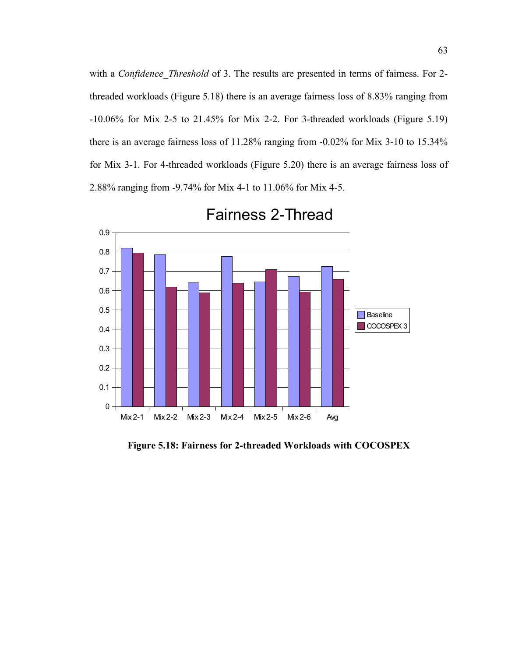with a *Confidence Threshold* of 3. The results are presented in terms of fairness. For 2threaded workloads (Figure 5.18) there is an average fairness loss of 8.83% ranging from -10.06% for Mix 2-5 to 21.45% for Mix 2-2. For 3-threaded workloads (Figure 5.19) there is an average fairness loss of 11.28% ranging from -0.02% for Mix 3-10 to 15.34% for Mix 3-1. For 4-threaded workloads (Figure 5.20) there is an average fairness loss of 2.88% ranging from -9.74% for Mix 4-1 to 11.06% for Mix 4-5.



Fairness 2-Thread

**Figure 5.18: Fairness for 2-threaded Workloads with COCOSPEX**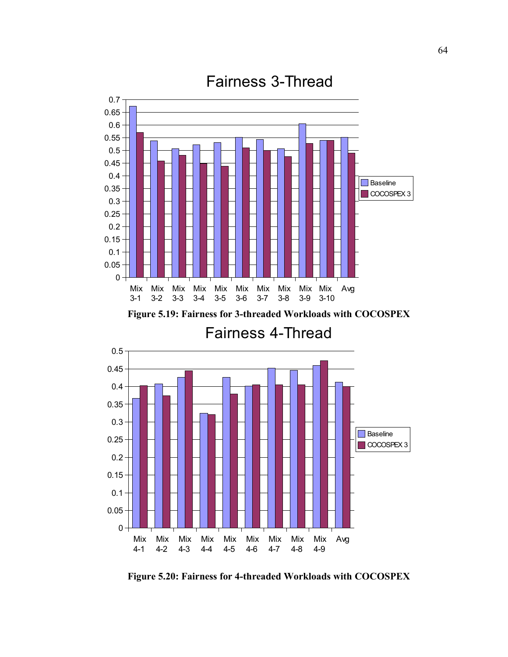

**Figure 5.19: Fairness for 3-threaded Workloads with COCOSPEX**

Fairness 4-Thread



**Figure 5.20: Fairness for 4-threaded Workloads with COCOSPEX**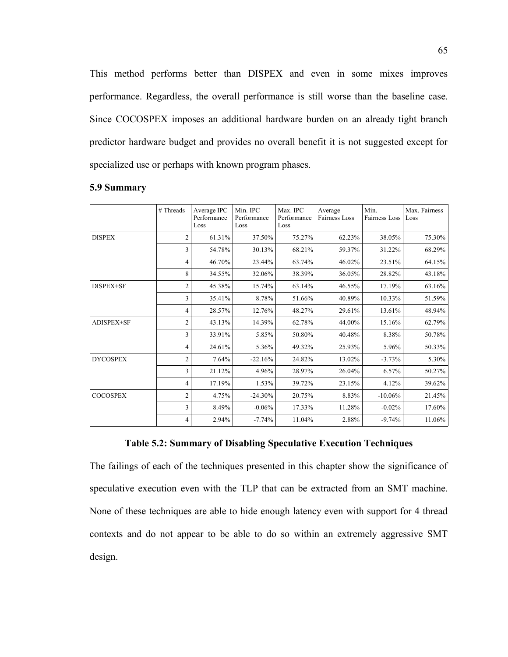This method performs better than DISPEX and even in some mixes improves performance. Regardless, the overall performance is still worse than the baseline case. Since COCOSPEX imposes an additional hardware burden on an already tight branch predictor hardware budget and provides no overall benefit it is not suggested except for specialized use or perhaps with known program phases.

|                 | # Threads | Average IPC<br>Performance<br>Loss | Min. IPC<br>Performance<br>Loss | Max. IPC<br>Performance<br>Loss | Average<br>Fairness Loss | Min.<br>Fairness Loss | Max. Fairness<br>Loss |
|-----------------|-----------|------------------------------------|---------------------------------|---------------------------------|--------------------------|-----------------------|-----------------------|
| <b>DISPEX</b>   | 2         | 61.31%                             | 37.50%                          | 75.27%                          | 62.23%                   | 38.05%                | 75.30%                |
|                 | 3         | 54.78%                             | 30.13%                          | 68.21%                          | 59.37%                   | 31.22%                | 68.29%                |
|                 | 4         | 46.70%                             | 23.44%                          | 63.74%                          | 46.02%                   | 23.51%                | 64.15%                |
|                 | 8         | 34.55%                             | 32.06%                          | 38.39%                          | 36.05%                   | 28.82%                | 43.18%                |
| DISPEX+SF       | 2         | 45.38%                             | 15.74%                          | 63.14%                          | 46.55%                   | 17.19%                | 63.16%                |
|                 | 3         | 35.41%                             | 8.78%                           | 51.66%                          | 40.89%                   | 10.33%                | 51.59%                |
|                 | 4         | 28.57%                             | 12.76%                          | 48.27%                          | 29.61%                   | 13.61%                | 48.94%                |
| ADISPEX+SF      | 2         | 43.13%                             | 14.39%                          | 62.78%                          | 44.00%                   | 15.16%                | 62.79%                |
|                 | 3         | 33.91%                             | 5.85%                           | 50.80%                          | 40.48%                   | 8.38%                 | 50.78%                |
|                 | 4         | 24.61%                             | 5.36%                           | 49.32%                          | 25.93%                   | 5.96%                 | 50.33%                |
| <b>DYCOSPEX</b> | 2         | 7.64%                              | $-22.16%$                       | 24.82%                          | 13.02%                   | $-3.73%$              | 5.30%                 |
|                 | 3         | 21.12%                             | 4.96%                           | 28.97%                          | 26.04%                   | 6.57%                 | 50.27%                |
|                 | 4         | 17.19%                             | 1.53%                           | 39.72%                          | 23.15%                   | 4.12%                 | 39.62%                |
| <b>COCOSPEX</b> | 2         | 4.75%                              | $-24.30%$                       | 20.75%                          | 8.83%                    | $-10.06%$             | 21.45%                |
|                 | 3         | 8.49%                              | $-0.06%$                        | 17.33%                          | 11.28%                   | $-0.02%$              | 17.60%                |
|                 | 4         | 2.94%                              | $-7.74%$                        | 11.04%                          | 2.88%                    | $-9.74%$              | 11.06%                |

#### **5.9 Summary**

#### **Table 5.2: Summary of Disabling Speculative Execution Techniques**

The failings of each of the techniques presented in this chapter show the significance of speculative execution even with the TLP that can be extracted from an SMT machine. None of these techniques are able to hide enough latency even with support for 4 thread contexts and do not appear to be able to do so within an extremely aggressive SMT design.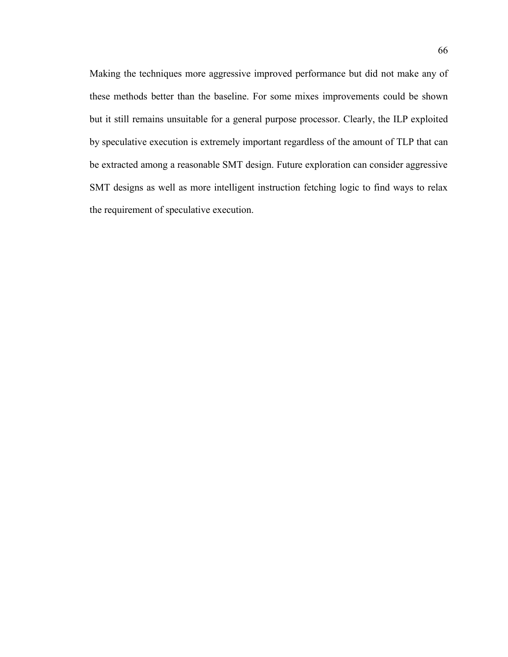Making the techniques more aggressive improved performance but did not make any of these methods better than the baseline. For some mixes improvements could be shown but it still remains unsuitable for a general purpose processor. Clearly, the ILP exploited by speculative execution is extremely important regardless of the amount of TLP that can be extracted among a reasonable SMT design. Future exploration can consider aggressive SMT designs as well as more intelligent instruction fetching logic to find ways to relax the requirement of speculative execution.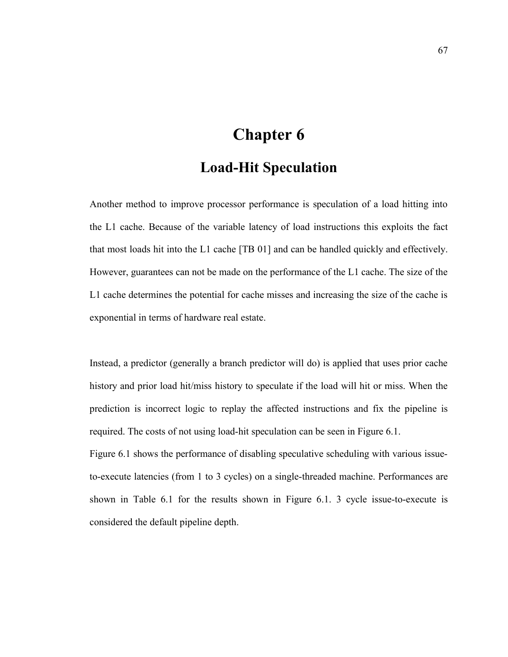# **Chapter 6 Load-Hit Speculation**

Another method to improve processor performance is speculation of a load hitting into the L1 cache. Because of the variable latency of load instructions this exploits the fact that most loads hit into the L1 cache [TB 01] and can be handled quickly and effectively. However, guarantees can not be made on the performance of the L1 cache. The size of the L1 cache determines the potential for cache misses and increasing the size of the cache is exponential in terms of hardware real estate.

Instead, a predictor (generally a branch predictor will do) is applied that uses prior cache history and prior load hit/miss history to speculate if the load will hit or miss. When the prediction is incorrect logic to replay the affected instructions and fix the pipeline is required. The costs of not using load-hit speculation can be seen in Figure 6.1.

Figure 6.1 shows the performance of disabling speculative scheduling with various issueto-execute latencies (from 1 to 3 cycles) on a single-threaded machine. Performances are shown in Table 6.1 for the results shown in Figure 6.1. 3 cycle issue-to-execute is considered the default pipeline depth.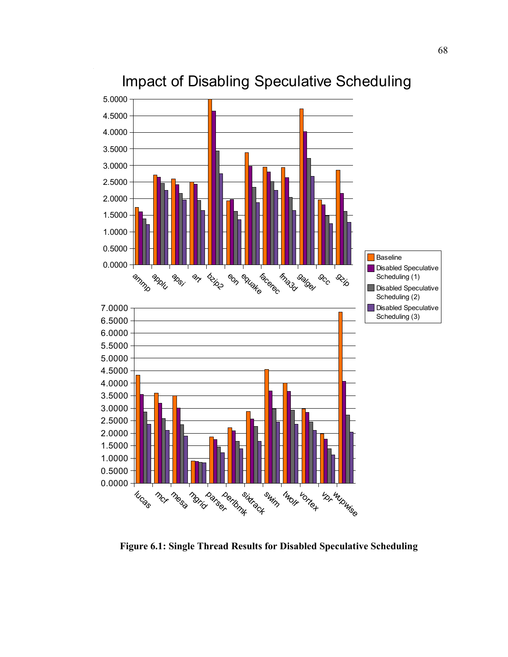

# Impact of Disabling Speculative Scheduling

**Figure 6.1: Single Thread Results for Disabled Speculative Scheduling**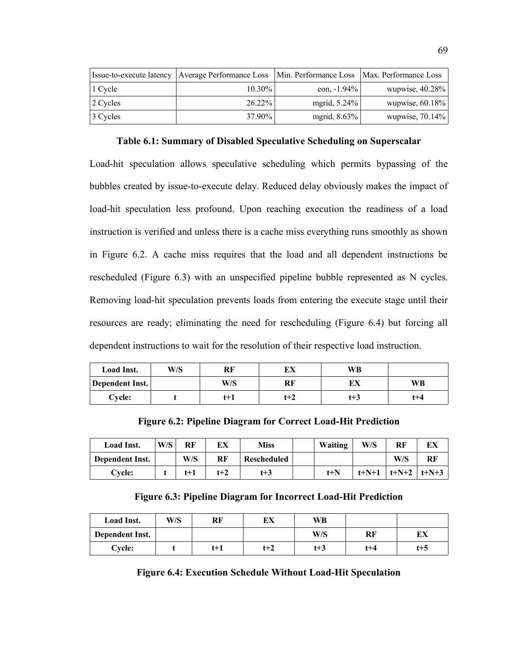| Issue-to-execute latency | Average Performance Loss | Min. Performance Loss   Max. Performance Loss |                    |
|--------------------------|--------------------------|-----------------------------------------------|--------------------|
| $\vert$ 1 Cycle          | $10.30\%$                | eon, $-1.94\%$                                | wupwise, $40.28\%$ |
| $ 2 \text{ Cycles}$      | $26.22\%$                | mgrid, $5.24\%$                               | wupwise, $60.18\%$ |
| 3 Cycles                 | 37.90%                   | mgrid, $8.63\%$                               | wupwise, $70.14\%$ |

**Table 6.1: Summary of Disabled Speculative Scheduling on Superscalar**

Load-hit speculation allows speculative scheduling which permits bypassing of the bubbles created by issue-to-execute delay. Reduced delay obviously makes the impact of load-hit speculation less profound. Upon reaching execution the readiness of a load instruction is verified and unless there is a cache miss everything runs smoothly as shown in Figure 6.2. A cache miss requires that the load and all dependent instructions be rescheduled (Figure 6.3) with an unspecified pipeline bubble represented as N cycles. Removing load-hit speculation prevents loads from entering the execute stage until their resources are ready; eliminating the need for rescheduling (Figure 6.4) but forcing all dependent instructions to wait for the resolution of their respective load instruction.

| <b>Load Inst.</b> | W/S | RF  | EХ  | WB  |           |
|-------------------|-----|-----|-----|-----|-----------|
| Dependent Inst.   |     | W/S | RF  |     | <b>WB</b> |
| Cycle:            |     | t+1 | t+2 | t+3 | $t + 4$   |

**Figure 6.2: Pipeline Diagram for Correct Load-Hit Prediction**

| Load Inst.      | W/S | RF    | EХ    | Miss        | Waiting | W/S         | RF      | ЕX      |
|-----------------|-----|-------|-------|-------------|---------|-------------|---------|---------|
| Dependent Inst. |     | W/S   | RF    | Rescheduled |         |             | W/S     | RF      |
| Cycle:          |     | $t+1$ | $t+2$ | $t + 3$     | $t + N$ | $t + N + 1$ | $t+N+2$ | $t+N+3$ |

|  | Figure 6.3: Pipeline Diagram for Incorrect Load-Hit Prediction |  |
|--|----------------------------------------------------------------|--|
|  |                                                                |  |

| Load Inst.      | W/S | RF    | EХ  | WВ      |         |     |
|-----------------|-----|-------|-----|---------|---------|-----|
| Dependent Inst. |     |       |     | W/S     | RF      | ĽЛ  |
| Cycle:          |     | $t+1$ | t+2 | $t + 3$ | $t + 4$ | t+5 |

|  |  |  | <b>Figure 6.4: Execution Schedule Without Load-Hit Speculation</b> |  |
|--|--|--|--------------------------------------------------------------------|--|
|  |  |  |                                                                    |  |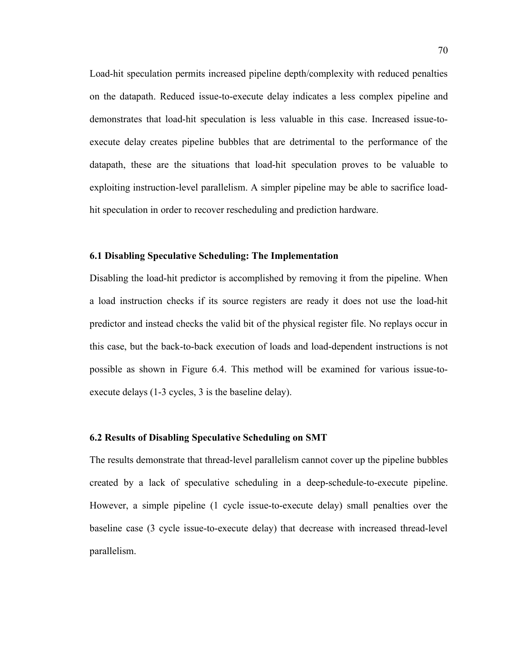Load-hit speculation permits increased pipeline depth/complexity with reduced penalties on the datapath. Reduced issue-to-execute delay indicates a less complex pipeline and demonstrates that load-hit speculation is less valuable in this case. Increased issue-toexecute delay creates pipeline bubbles that are detrimental to the performance of the datapath, these are the situations that load-hit speculation proves to be valuable to exploiting instruction-level parallelism. A simpler pipeline may be able to sacrifice loadhit speculation in order to recover rescheduling and prediction hardware.

#### **6.1 Disabling Speculative Scheduling: The Implementation**

Disabling the load-hit predictor is accomplished by removing it from the pipeline. When a load instruction checks if its source registers are ready it does not use the load-hit predictor and instead checks the valid bit of the physical register file. No replays occur in this case, but the back-to-back execution of loads and load-dependent instructions is not possible as shown in Figure 6.4. This method will be examined for various issue-toexecute delays (1-3 cycles, 3 is the baseline delay).

#### **6.2 Results of Disabling Speculative Scheduling on SMT**

The results demonstrate that thread-level parallelism cannot cover up the pipeline bubbles created by a lack of speculative scheduling in a deep-schedule-to-execute pipeline. However, a simple pipeline (1 cycle issue-to-execute delay) small penalties over the baseline case (3 cycle issue-to-execute delay) that decrease with increased thread-level parallelism.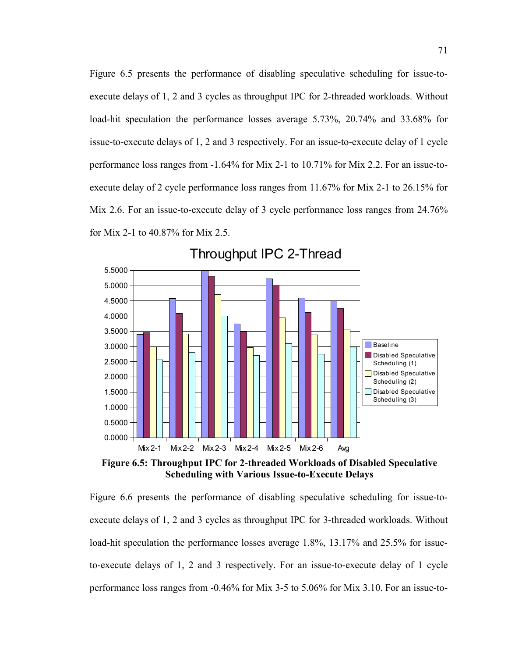Figure 6.5 presents the performance of disabling speculative scheduling for issue-toexecute delays of 1, 2 and 3 cycles as throughput IPC for 2-threaded workloads. Without load-hit speculation the performance losses average 5.73%, 20.74% and 33.68% for issue-to-execute delays of 1, 2 and 3 respectively. For an issue-to-execute delay of 1 cycle performance loss ranges from -1.64% for Mix 2-1 to 10.71% for Mix 2.2. For an issue-toexecute delay of 2 cycle performance loss ranges from 11.67% for Mix 2-1 to 26.15% for Mix 2.6. For an issue-to-execute delay of 3 cycle performance loss ranges from 24.76% for Mix 2-1 to 40.87% for Mix 2.5.



Throughput IPC 2-Thread

**Figure 6.5: Throughput IPC for 2-threaded Workloads of Disabled Speculative Scheduling with Various Issue-to-Execute Delays**

Figure 6.6 presents the performance of disabling speculative scheduling for issue-toexecute delays of 1, 2 and 3 cycles as throughput IPC for 3-threaded workloads. Without load-hit speculation the performance losses average 1.8%, 13.17% and 25.5% for issueto-execute delays of 1, 2 and 3 respectively. For an issue-to-execute delay of 1 cycle performance loss ranges from -0.46% for Mix 3-5 to 5.06% for Mix 3.10. For an issue-to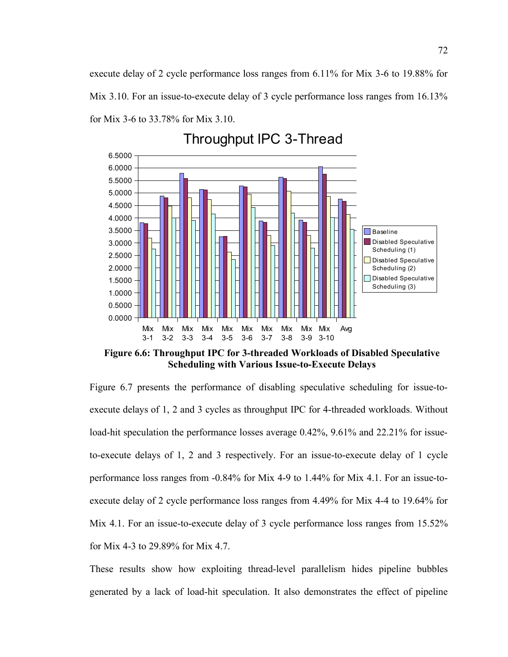execute delay of 2 cycle performance loss ranges from 6.11% for Mix 3-6 to 19.88% for Mix 3.10. For an issue-to-execute delay of 3 cycle performance loss ranges from 16.13% for Mix 3-6 to 33.78% for Mix 3.10.



Throughput IPC 3-Thread

**Figure 6.6: Throughput IPC for 3-threaded Workloads of Disabled Speculative Scheduling with Various Issue-to-Execute Delays**

Figure 6.7 presents the performance of disabling speculative scheduling for issue-toexecute delays of 1, 2 and 3 cycles as throughput IPC for 4-threaded workloads. Without load-hit speculation the performance losses average 0.42%, 9.61% and 22.21% for issueto-execute delays of 1, 2 and 3 respectively. For an issue-to-execute delay of 1 cycle performance loss ranges from -0.84% for Mix 4-9 to 1.44% for Mix 4.1. For an issue-toexecute delay of 2 cycle performance loss ranges from 4.49% for Mix 4-4 to 19.64% for Mix 4.1. For an issue-to-execute delay of 3 cycle performance loss ranges from 15.52% for Mix 4-3 to 29.89% for Mix 4.7.

These results show how exploiting thread-level parallelism hides pipeline bubbles generated by a lack of load-hit speculation. It also demonstrates the effect of pipeline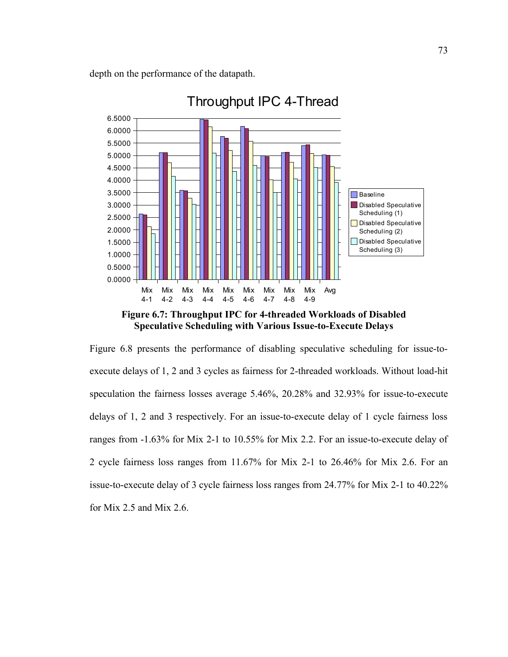depth on the performance of the datapath.



**Figure 6.7: Throughput IPC for 4-threaded Workloads of Disabled Speculative Scheduling with Various Issue-to-Execute Delays**

Figure 6.8 presents the performance of disabling speculative scheduling for issue-toexecute delays of 1, 2 and 3 cycles as fairness for 2-threaded workloads. Without load-hit speculation the fairness losses average 5.46%, 20.28% and 32.93% for issue-to-execute delays of 1, 2 and 3 respectively. For an issue-to-execute delay of 1 cycle fairness loss ranges from -1.63% for Mix 2-1 to 10.55% for Mix 2.2. For an issue-to-execute delay of 2 cycle fairness loss ranges from 11.67% for Mix 2-1 to 26.46% for Mix 2.6. For an issue-to-execute delay of 3 cycle fairness loss ranges from 24.77% for Mix 2-1 to 40.22% for Mix 2.5 and Mix 2.6.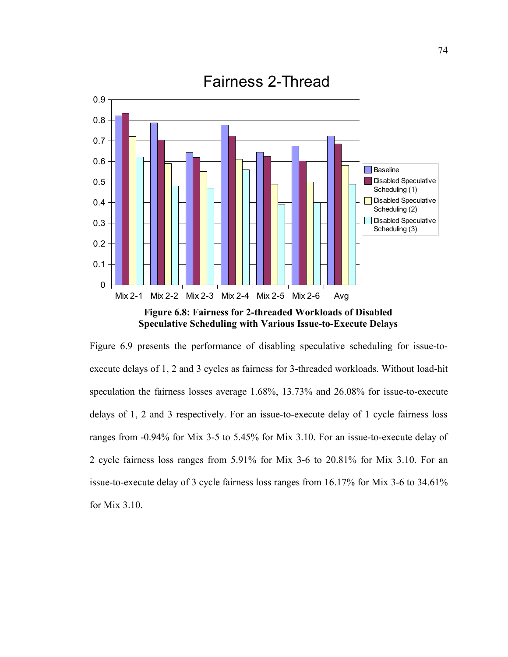

**Speculative Scheduling with Various Issue-to-Execute Delays**

Figure 6.9 presents the performance of disabling speculative scheduling for issue-toexecute delays of 1, 2 and 3 cycles as fairness for 3-threaded workloads. Without load-hit speculation the fairness losses average 1.68%, 13.73% and 26.08% for issue-to-execute delays of 1, 2 and 3 respectively. For an issue-to-execute delay of 1 cycle fairness loss ranges from -0.94% for Mix 3-5 to 5.45% for Mix 3.10. For an issue-to-execute delay of 2 cycle fairness loss ranges from 5.91% for Mix 3-6 to 20.81% for Mix 3.10. For an issue-to-execute delay of 3 cycle fairness loss ranges from 16.17% for Mix 3-6 to 34.61% for Mix 3.10.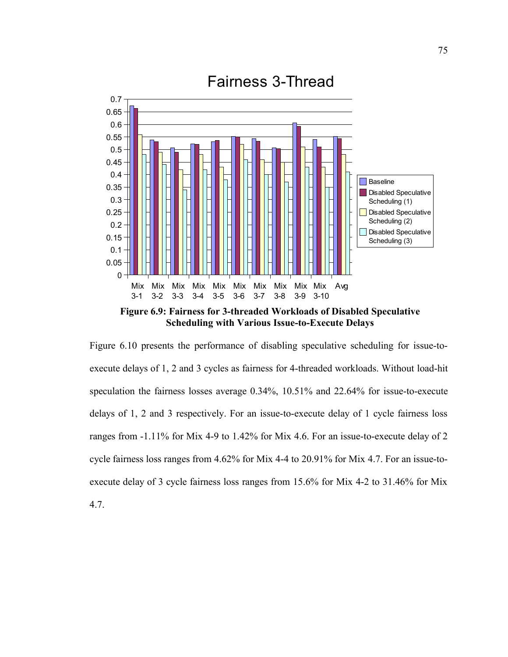

**Figure 6.9: Fairness for 3-threaded Workloads of Disabled Speculative Scheduling with Various Issue-to-Execute Delays**

Figure 6.10 presents the performance of disabling speculative scheduling for issue-toexecute delays of 1, 2 and 3 cycles as fairness for 4-threaded workloads. Without load-hit speculation the fairness losses average 0.34%, 10.51% and 22.64% for issue-to-execute delays of 1, 2 and 3 respectively. For an issue-to-execute delay of 1 cycle fairness loss ranges from -1.11% for Mix 4-9 to 1.42% for Mix 4.6. For an issue-to-execute delay of 2 cycle fairness loss ranges from 4.62% for Mix 4-4 to 20.91% for Mix 4.7. For an issue-toexecute delay of 3 cycle fairness loss ranges from 15.6% for Mix 4-2 to 31.46% for Mix

4.7.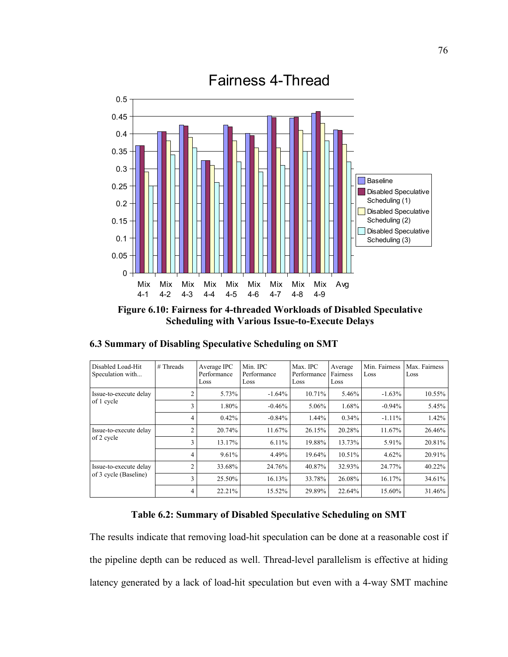

**Figure 6.10: Fairness for 4-threaded Workloads of Disabled Speculative Scheduling with Various Issue-to-Execute Delays**

| Disabled Load-Hit<br>Speculation with           | # Threads      | Average IPC<br>Performance<br>Loss | Min. IPC<br>Performance<br>Loss | Max. IPC<br>Performance<br>Loss | Average<br>Fairness<br>Loss | Min. Fairness<br>Loss | Max. Fairness<br>Loss |
|-------------------------------------------------|----------------|------------------------------------|---------------------------------|---------------------------------|-----------------------------|-----------------------|-----------------------|
| Issue-to-execute delay                          | $\overline{c}$ | 5.73%                              | $-1.64%$                        | 10.71%                          | 5.46%                       | $-1.63%$              | 10.55%                |
| of 1 cycle                                      | 3              | 1.80%                              | $-0.46%$                        | $5.06\%$                        | 1.68%                       | $-0.94%$              | 5.45%                 |
|                                                 | 4              | 0.42%                              | $-0.84%$                        | 1.44%                           | 0.34%                       | $-1.11%$              | 1.42%                 |
| Issue-to-execute delay                          | $\overline{c}$ | 20.74%                             | 11.67%                          | 26.15%                          | 20.28%                      | 11.67%                | 26.46%                |
| of 2 cycle                                      | 3              | 13.17%                             | 6.11%                           | 19.88%                          | 13.73%                      | 5.91%                 | 20.81%                |
|                                                 | 4              | 9.61%                              | 4.49%                           | 19.64%                          | 10.51%                      | 4.62%                 | 20.91%                |
| Issue-to-execute delay<br>of 3 cycle (Baseline) | $\overline{c}$ | 33.68%                             | 24.76%                          | 40.87%                          | 32.93%                      | 24.77%                | 40.22%                |
|                                                 | 3              | 25.50%                             | 16.13%                          | 33.78%                          | 26.08%                      | 16.17%                | 34.61%                |
|                                                 | 4              | 22.21%                             | 15.52%                          | 29.89%                          | 22.64%                      | 15.60%                | 31.46%                |

**6.3 Summary of Disabling Speculative Scheduling on SMT**

#### **Table 6.2: Summary of Disabled Speculative Scheduling on SMT**

The results indicate that removing load-hit speculation can be done at a reasonable cost if the pipeline depth can be reduced as well. Thread-level parallelism is effective at hiding latency generated by a lack of load-hit speculation but even with a 4-way SMT machine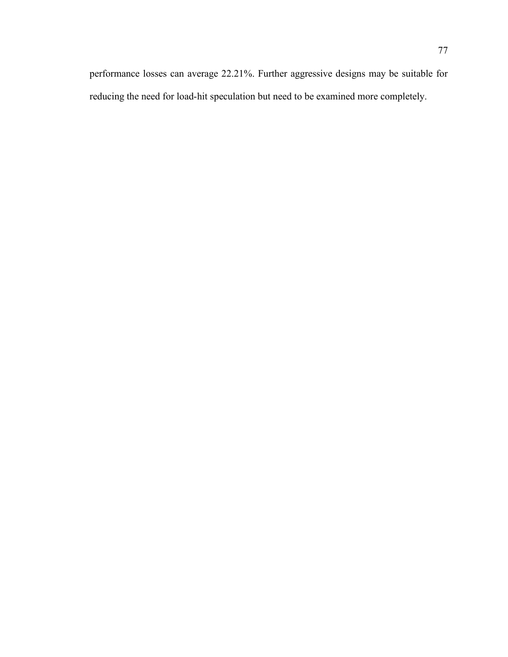reducing the need for load-hit speculation but need to be examined more completely.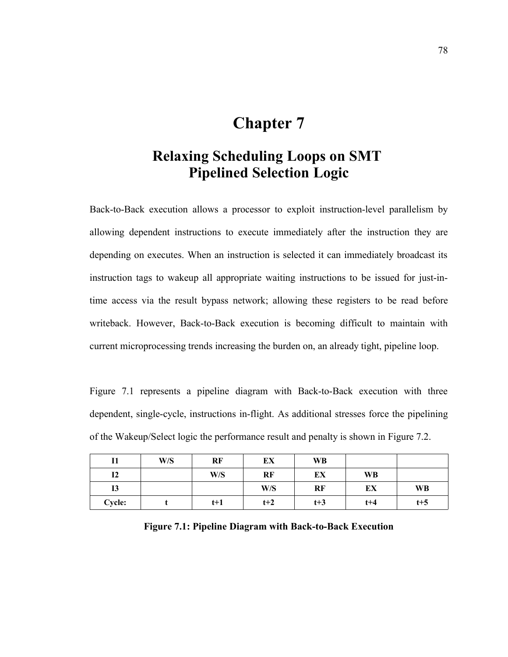# **Chapter 7**

# **Relaxing Scheduling Loops on SMT Pipelined Selection Logic**

Back-to-Back execution allows a processor to exploit instruction-level parallelism by allowing dependent instructions to execute immediately after the instruction they are depending on executes. When an instruction is selected it can immediately broadcast its instruction tags to wakeup all appropriate waiting instructions to be issued for just-intime access via the result bypass network; allowing these registers to be read before writeback. However, Back-to-Back execution is becoming difficult to maintain with current microprocessing trends increasing the burden on, an already tight, pipeline loop.

Figure 7.1 represents a pipeline diagram with Back-to-Back execution with three dependent, single-cycle, instructions in-flight. As additional stresses force the pipelining of the Wakeup/Select logic the performance result and penalty is shown in Figure 7.2.

|               | W/S | RF    | EX    | <b>WB</b> |       |         |
|---------------|-----|-------|-------|-----------|-------|---------|
| 12            |     | W/S   | RF    | EX        | WB    |         |
| 13            |     |       | W/S   | RF        | ЕX    | WB      |
| <b>Cycle:</b> |     | $t+1$ | $t+2$ | $t+3$     | $t+4$ | $t + 5$ |

**Figure 7.1: Pipeline Diagram with Back-to-Back Execution**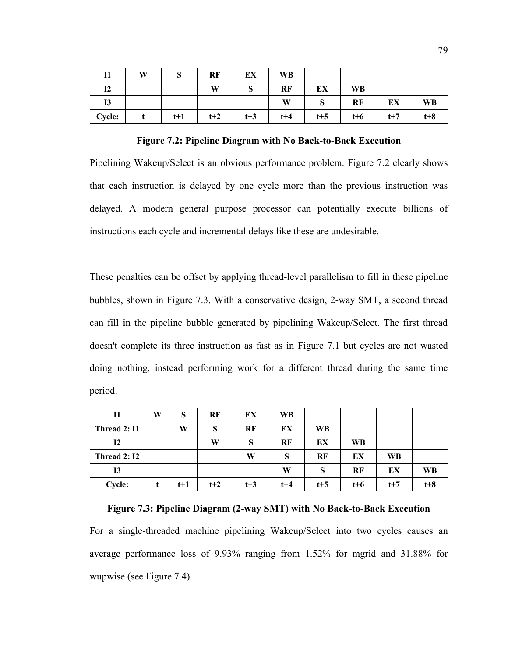| 11             | W | IJ    | RF    | EX    | <b>WB</b> |         |           |       |       |
|----------------|---|-------|-------|-------|-----------|---------|-----------|-------|-------|
| I <sub>2</sub> |   |       | W     |       | RF        | EX      | <b>WB</b> |       |       |
| 13             |   |       |       |       | W         | P       | RF        | EX    | WB    |
| Cycle:         |   | $t+1$ | $t+2$ | $t+3$ | $t + 4$   | $t + 5$ | $t+6$     | $t+7$ | $t+8$ |

**Figure 7.2: Pipeline Diagram with No Back-to-Back Execution**

Pipelining Wakeup/Select is an obvious performance problem. Figure 7.2 clearly shows that each instruction is delayed by one cycle more than the previous instruction was delayed. A modern general purpose processor can potentially execute billions of instructions each cycle and incremental delays like these are undesirable.

These penalties can be offset by applying thread-level parallelism to fill in these pipeline bubbles, shown in Figure 7.3. With a conservative design, 2-way SMT, a second thread can fill in the pipeline bubble generated by pipelining Wakeup/Select. The first thread doesn't complete its three instruction as fast as in Figure 7.1 but cycles are not wasted doing nothing, instead performing work for a different thread during the same time period.

| 11           | W | S     | RF    | EX    | WB      |       |       |           |           |
|--------------|---|-------|-------|-------|---------|-------|-------|-----------|-----------|
| Thread 2: I1 |   | W     | S     | RF    | EX      | WB    |       |           |           |
| 12           |   |       | W     | S     | RF      | EX    | WB    |           |           |
| Thread 2: I2 |   |       |       | W     | S       | RF    | EX    | <b>WB</b> |           |
| 13           |   |       |       |       | W       | S     | RF    | EX        | <b>WB</b> |
| Cycle:       |   | $t+1$ | $t+2$ | $t+3$ | $t + 4$ | $t+5$ | $t+6$ | $t+7$     | $t + 8$   |

**Figure 7.3: Pipeline Diagram (2-way SMT) with No Back-to-Back Execution** For a single-threaded machine pipelining Wakeup/Select into two cycles causes an average performance loss of 9.93% ranging from 1.52% for mgrid and 31.88% for wupwise (see Figure 7.4).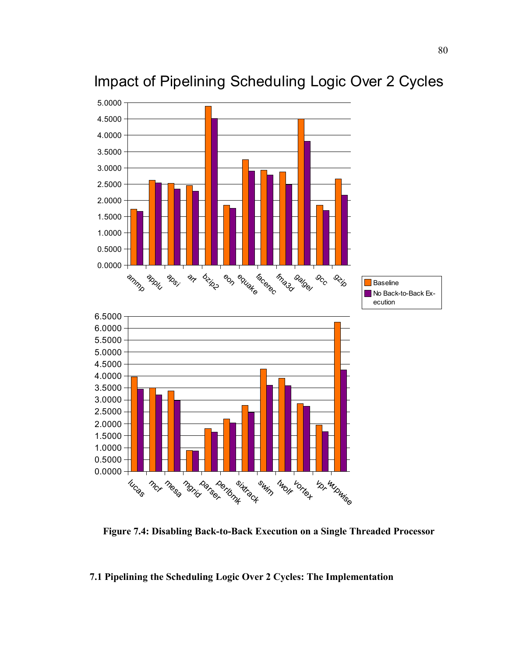

Impact of Pipelining Scheduling Logic Over 2 Cycles

**Figure 7.4: Disabling Back-to-Back Execution on a Single Threaded Processor**

#### **7.1 Pipelining the Scheduling Logic Over 2 Cycles: The Implementation**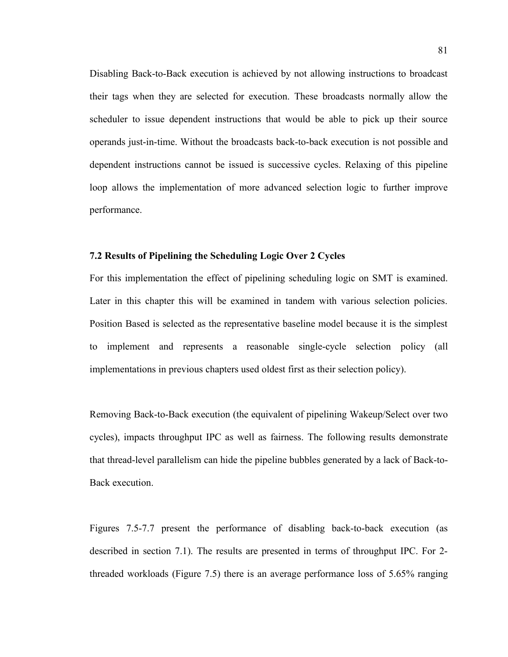Disabling Back-to-Back execution is achieved by not allowing instructions to broadcast their tags when they are selected for execution. These broadcasts normally allow the scheduler to issue dependent instructions that would be able to pick up their source operands just-in-time. Without the broadcasts back-to-back execution is not possible and dependent instructions cannot be issued is successive cycles. Relaxing of this pipeline loop allows the implementation of more advanced selection logic to further improve performance.

#### **7.2 Results of Pipelining the Scheduling Logic Over 2 Cycles**

For this implementation the effect of pipelining scheduling logic on SMT is examined. Later in this chapter this will be examined in tandem with various selection policies. Position Based is selected as the representative baseline model because it is the simplest to implement and represents a reasonable single-cycle selection policy (all implementations in previous chapters used oldest first as their selection policy).

Removing Back-to-Back execution (the equivalent of pipelining Wakeup/Select over two cycles), impacts throughput IPC as well as fairness. The following results demonstrate that thread-level parallelism can hide the pipeline bubbles generated by a lack of Back-to-Back execution.

Figures 7.5-7.7 present the performance of disabling back-to-back execution (as described in section 7.1). The results are presented in terms of throughput IPC. For 2 threaded workloads (Figure 7.5) there is an average performance loss of 5.65% ranging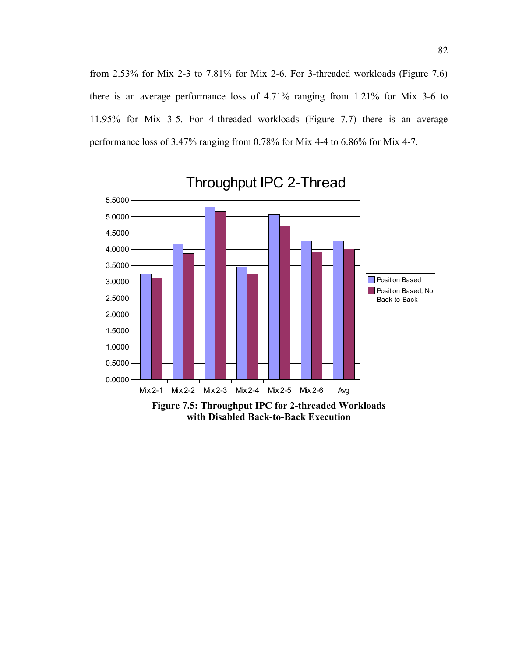from 2.53% for Mix 2-3 to 7.81% for Mix 2-6. For 3-threaded workloads (Figure 7.6) there is an average performance loss of 4.71% ranging from 1.21% for Mix 3-6 to 11.95% for Mix 3-5. For 4-threaded workloads (Figure 7.7) there is an average performance loss of 3.47% ranging from 0.78% for Mix 4-4 to 6.86% for Mix 4-7.



Throughput IPC 2-Thread

**with Disabled Back-to-Back Execution**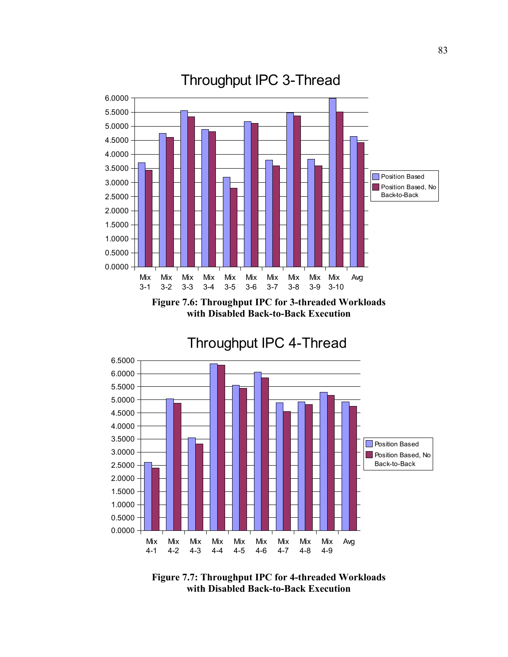

**Figure 7.6: Throughput IPC for 3-threaded Workloads with Disabled Back-to-Back Execution**



**Figure 7.7: Throughput IPC for 4-threaded Workloads with Disabled Back-to-Back Execution**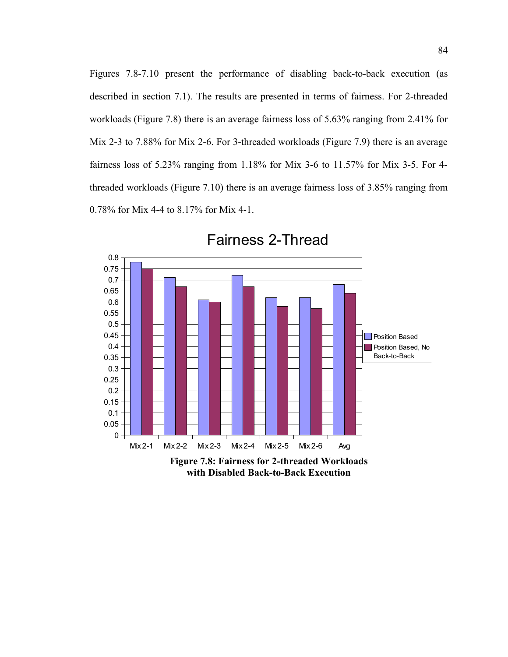Figures 7.8-7.10 present the performance of disabling back-to-back execution (as described in section 7.1). The results are presented in terms of fairness. For 2-threaded workloads (Figure 7.8) there is an average fairness loss of 5.63% ranging from 2.41% for Mix 2-3 to 7.88% for Mix 2-6. For 3-threaded workloads (Figure 7.9) there is an average fairness loss of 5.23% ranging from 1.18% for Mix 3-6 to 11.57% for Mix 3-5. For 4 threaded workloads (Figure 7.10) there is an average fairness loss of 3.85% ranging from 0.78% for Mix 4-4 to 8.17% for Mix 4-1.



Fairness 2-Thread

**with Disabled Back-to-Back Execution**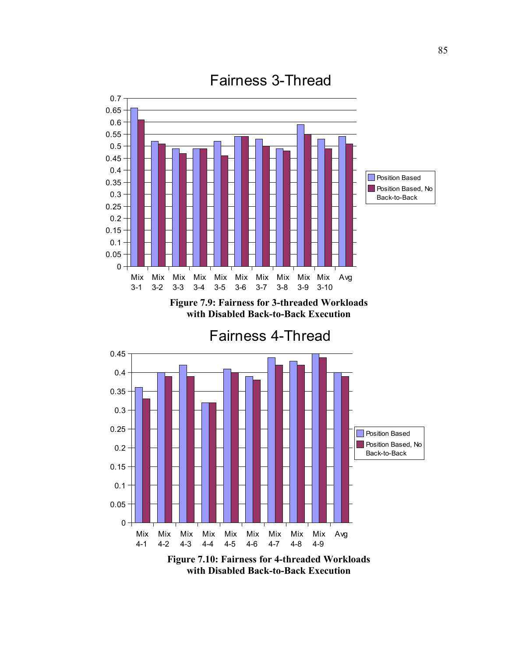

Fairness 3-Thread

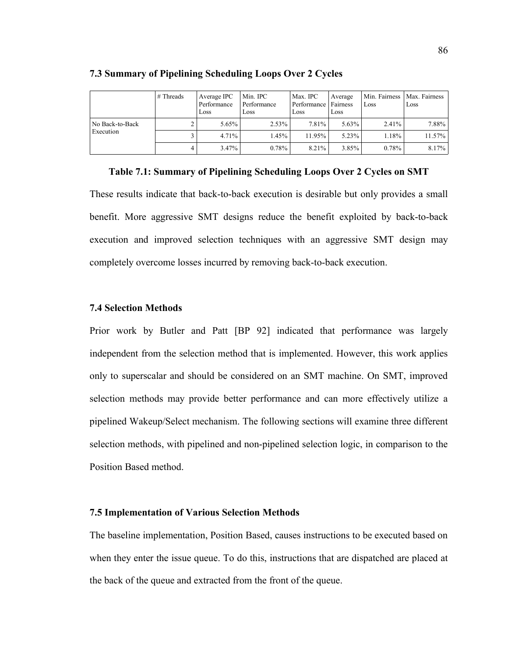|                 | # Threads | Average IPC<br>Performance<br>Loss | Min. IPC<br>Performance<br>Loss | Max. IPC<br>Performance Fairness<br>Loss | Average<br>Loss | Loss     | Min. Fairness   Max. Fairness<br>Loss |
|-----------------|-----------|------------------------------------|---------------------------------|------------------------------------------|-----------------|----------|---------------------------------------|
| No Back-to-Back |           | 5.65%                              | 2.53%                           | $7.81\%$                                 | $5.63\%$        | 2.41%    | 7.88%                                 |
| Execution       |           | 4.71%                              | 1.45%                           | 11.95%                                   | $5.23\%$        | 1.18%    | 11.57%                                |
|                 | 4         | 3.47%                              | 0.78%                           | 8.21%                                    | $3.85\%$        | $0.78\%$ | 8.17%                                 |

#### **7.3 Summary of Pipelining Scheduling Loops Over 2 Cycles**

**Table 7.1: Summary of Pipelining Scheduling Loops Over 2 Cycles on SMT**

These results indicate that back-to-back execution is desirable but only provides a small benefit. More aggressive SMT designs reduce the benefit exploited by back-to-back execution and improved selection techniques with an aggressive SMT design may completely overcome losses incurred by removing back-to-back execution.

#### **7.4 Selection Methods**

Prior work by Butler and Patt [BP 92] indicated that performance was largely independent from the selection method that is implemented. However, this work applies only to superscalar and should be considered on an SMT machine. On SMT, improved selection methods may provide better performance and can more effectively utilize a pipelined Wakeup/Select mechanism. The following sections will examine three different selection methods, with pipelined and non-pipelined selection logic, in comparison to the Position Based method.

#### **7.5 Implementation of Various Selection Methods**

The baseline implementation, Position Based, causes instructions to be executed based on when they enter the issue queue. To do this, instructions that are dispatched are placed at the back of the queue and extracted from the front of the queue.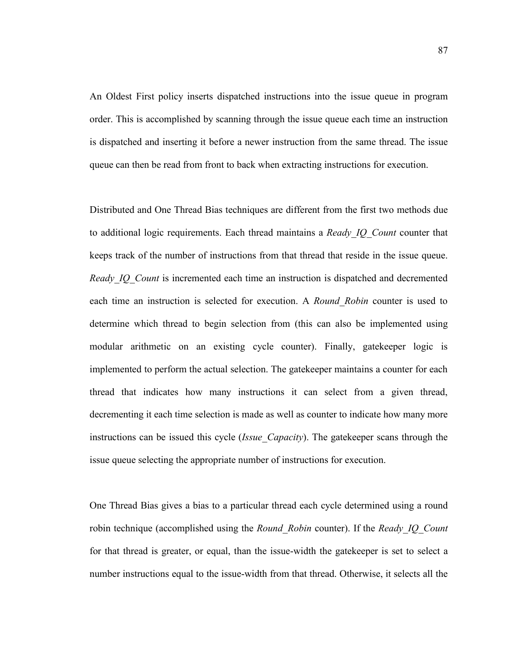An Oldest First policy inserts dispatched instructions into the issue queue in program order. This is accomplished by scanning through the issue queue each time an instruction is dispatched and inserting it before a newer instruction from the same thread. The issue queue can then be read from front to back when extracting instructions for execution.

Distributed and One Thread Bias techniques are different from the first two methods due to additional logic requirements. Each thread maintains a *Ready\_IQ\_Count* counter that keeps track of the number of instructions from that thread that reside in the issue queue. *Ready IQ\_Count* is incremented each time an instruction is dispatched and decremented each time an instruction is selected for execution. A *Round\_Robin* counter is used to determine which thread to begin selection from (this can also be implemented using modular arithmetic on an existing cycle counter). Finally, gatekeeper logic is implemented to perform the actual selection. The gatekeeper maintains a counter for each thread that indicates how many instructions it can select from a given thread, decrementing it each time selection is made as well as counter to indicate how many more instructions can be issued this cycle (*Issue\_Capacity*). The gatekeeper scans through the issue queue selecting the appropriate number of instructions for execution.

One Thread Bias gives a bias to a particular thread each cycle determined using a round robin technique (accomplished using the *Round\_Robin* counter). If the *Ready\_IQ\_Count* for that thread is greater, or equal, than the issue-width the gatekeeper is set to select a number instructions equal to the issue-width from that thread. Otherwise, it selects all the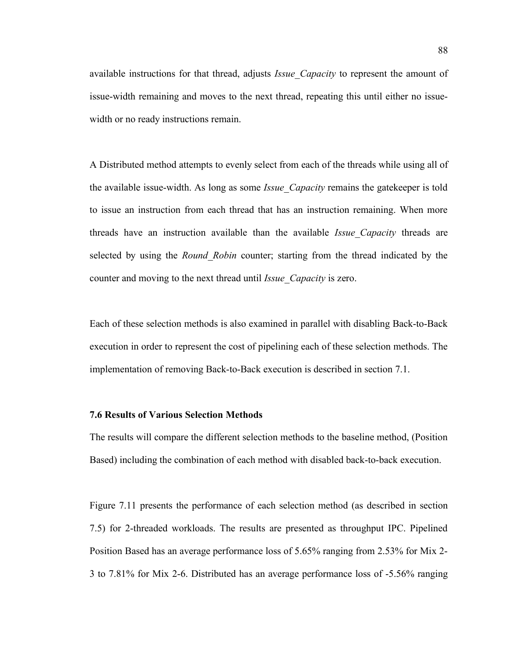available instructions for that thread, adjusts *Issue\_Capacity* to represent the amount of issue-width remaining and moves to the next thread, repeating this until either no issuewidth or no ready instructions remain.

A Distributed method attempts to evenly select from each of the threads while using all of the available issue-width. As long as some *Issue\_Capacity* remains the gatekeeper is told to issue an instruction from each thread that has an instruction remaining. When more threads have an instruction available than the available *Issue\_Capacity* threads are selected by using the *Round\_Robin* counter; starting from the thread indicated by the counter and moving to the next thread until *Issue\_Capacity* is zero.

Each of these selection methods is also examined in parallel with disabling Back-to-Back execution in order to represent the cost of pipelining each of these selection methods. The implementation of removing Back-to-Back execution is described in section 7.1.

#### **7.6 Results of Various Selection Methods**

The results will compare the different selection methods to the baseline method, (Position Based) including the combination of each method with disabled back-to-back execution.

Figure 7.11 presents the performance of each selection method (as described in section 7.5) for 2-threaded workloads. The results are presented as throughput IPC. Pipelined Position Based has an average performance loss of 5.65% ranging from 2.53% for Mix 2- 3 to 7.81% for Mix 2-6. Distributed has an average performance loss of -5.56% ranging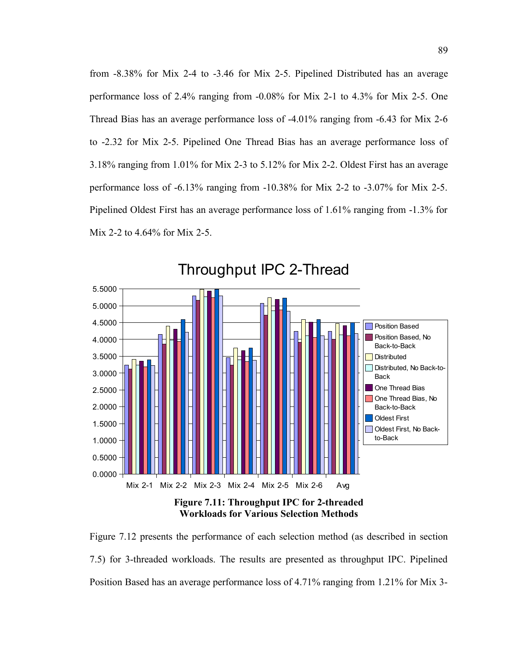from -8.38% for Mix 2-4 to -3.46 for Mix 2-5. Pipelined Distributed has an average performance loss of 2.4% ranging from -0.08% for Mix 2-1 to 4.3% for Mix 2-5. One Thread Bias has an average performance loss of -4.01% ranging from -6.43 for Mix 2-6 to -2.32 for Mix 2-5. Pipelined One Thread Bias has an average performance loss of 3.18% ranging from 1.01% for Mix 2-3 to 5.12% for Mix 2-2. Oldest First has an average performance loss of -6.13% ranging from -10.38% for Mix 2-2 to -3.07% for Mix 2-5. Pipelined Oldest First has an average performance loss of 1.61% ranging from -1.3% for Mix 2-2 to 4.64% for Mix 2-5.



**Workloads for Various Selection Methods**

Figure 7.12 presents the performance of each selection method (as described in section 7.5) for 3-threaded workloads. The results are presented as throughput IPC. Pipelined Position Based has an average performance loss of 4.71% ranging from 1.21% for Mix 3-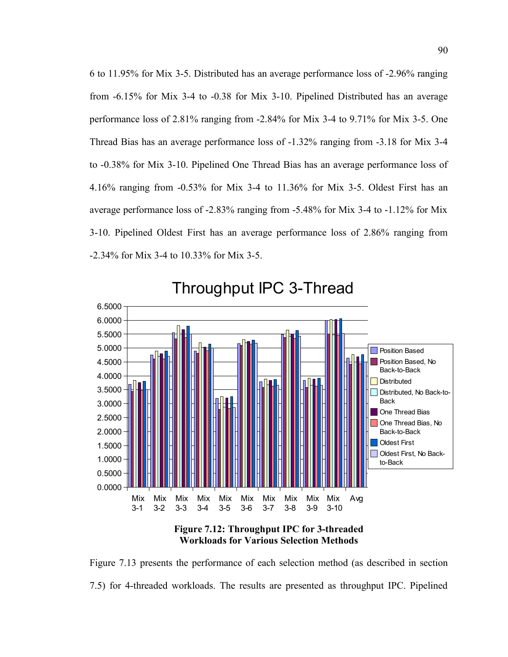6 to 11.95% for Mix 3-5. Distributed has an average performance loss of -2.96% ranging from -6.15% for Mix 3-4 to -0.38 for Mix 3-10. Pipelined Distributed has an average performance loss of 2.81% ranging from -2.84% for Mix 3-4 to 9.71% for Mix 3-5. One Thread Bias has an average performance loss of -1.32% ranging from -3.18 for Mix 3-4 to -0.38% for Mix 3-10. Pipelined One Thread Bias has an average performance loss of 4.16% ranging from -0.53% for Mix 3-4 to 11.36% for Mix 3-5. Oldest First has an average performance loss of -2.83% ranging from -5.48% for Mix 3-4 to -1.12% for Mix 3-10. Pipelined Oldest First has an average performance loss of 2.86% ranging from -2.34% for Mix 3-4 to 10.33% for Mix 3-5.



**Figure 7.12: Throughput IPC for 3-threaded Workloads for Various Selection Methods**

Figure 7.13 presents the performance of each selection method (as described in section 7.5) for 4-threaded workloads. The results are presented as throughput IPC. Pipelined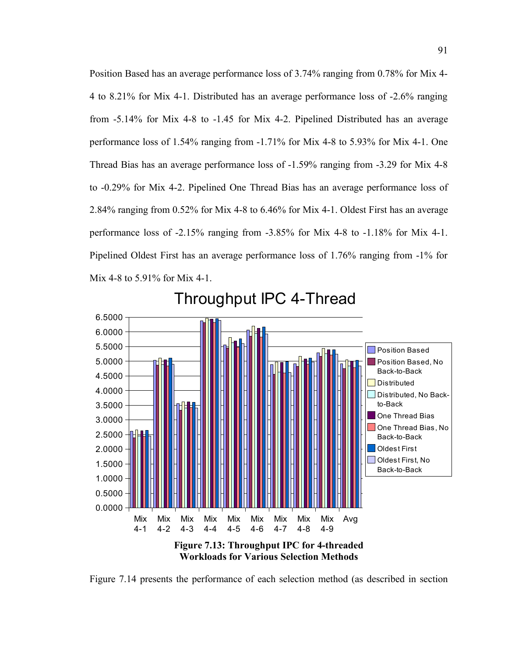Position Based has an average performance loss of 3.74% ranging from 0.78% for Mix 4- 4 to 8.21% for Mix 4-1. Distributed has an average performance loss of -2.6% ranging from -5.14% for Mix 4-8 to -1.45 for Mix 4-2. Pipelined Distributed has an average performance loss of 1.54% ranging from -1.71% for Mix 4-8 to 5.93% for Mix 4-1. One Thread Bias has an average performance loss of -1.59% ranging from -3.29 for Mix 4-8 to -0.29% for Mix 4-2. Pipelined One Thread Bias has an average performance loss of 2.84% ranging from 0.52% for Mix 4-8 to 6.46% for Mix 4-1. Oldest First has an average performance loss of -2.15% ranging from -3.85% for Mix 4-8 to -1.18% for Mix 4-1. Pipelined Oldest First has an average performance loss of 1.76% ranging from -1% for Mix 4-8 to 5.91% for Mix 4-1.



Throughput IPC 4-Thread

Figure 7.14 presents the performance of each selection method (as described in section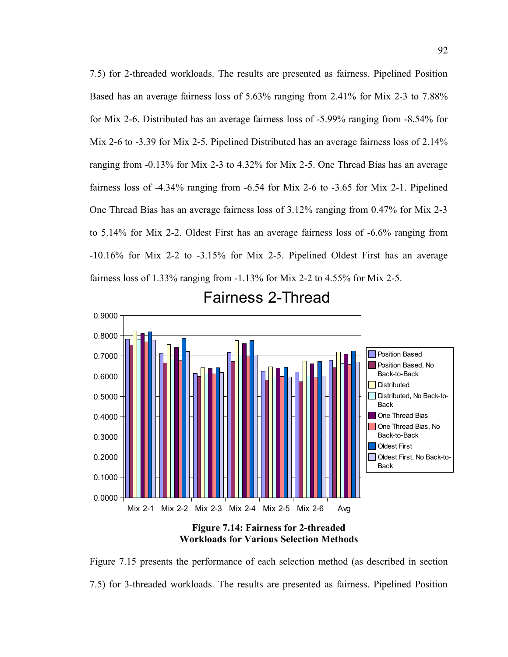7.5) for 2-threaded workloads. The results are presented as fairness. Pipelined Position Based has an average fairness loss of 5.63% ranging from 2.41% for Mix 2-3 to 7.88% for Mix 2-6. Distributed has an average fairness loss of -5.99% ranging from -8.54% for Mix 2-6 to -3.39 for Mix 2-5. Pipelined Distributed has an average fairness loss of 2.14% ranging from -0.13% for Mix 2-3 to 4.32% for Mix 2-5. One Thread Bias has an average fairness loss of -4.34% ranging from -6.54 for Mix 2-6 to -3.65 for Mix 2-1. Pipelined One Thread Bias has an average fairness loss of 3.12% ranging from 0.47% for Mix 2-3 to 5.14% for Mix 2-2. Oldest First has an average fairness loss of -6.6% ranging from -10.16% for Mix 2-2 to -3.15% for Mix 2-5. Pipelined Oldest First has an average fairness loss of 1.33% ranging from -1.13% for Mix 2-2 to 4.55% for Mix 2-5.



Fairness 2-Thread

**Figure 7.14: Fairness for 2-threaded Workloads for Various Selection Methods**

Figure 7.15 presents the performance of each selection method (as described in section 7.5) for 3-threaded workloads. The results are presented as fairness. Pipelined Position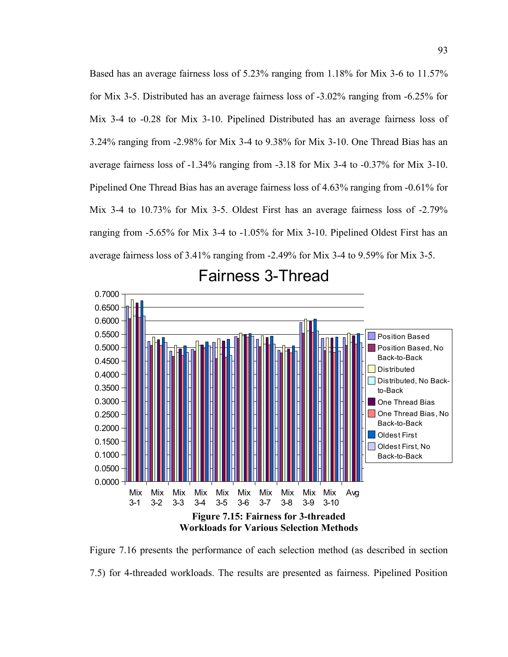Based has an average fairness loss of 5.23% ranging from 1.18% for Mix 3-6 to 11.57% for Mix 3-5. Distributed has an average fairness loss of -3.02% ranging from -6.25% for Mix 3-4 to -0.28 for Mix 3-10. Pipelined Distributed has an average fairness loss of 3.24% ranging from -2.98% for Mix 3-4 to 9.38% for Mix 3-10. One Thread Bias has an average fairness loss of -1.34% ranging from -3.18 for Mix 3-4 to -0.37% for Mix 3-10. Pipelined One Thread Bias has an average fairness loss of 4.63% ranging from -0.61% for Mix 3-4 to 10.73% for Mix 3-5. Oldest First has an average fairness loss of -2.79% ranging from -5.65% for Mix 3-4 to -1.05% for Mix 3-10. Pipelined Oldest First has an average fairness loss of 3.41% ranging from -2.49% for Mix 3-4 to 9.59% for Mix 3-5.



### Fairness 3-Thread

Figure 7.16 presents the performance of each selection method (as described in section 7.5) for 4-threaded workloads. The results are presented as fairness. Pipelined Position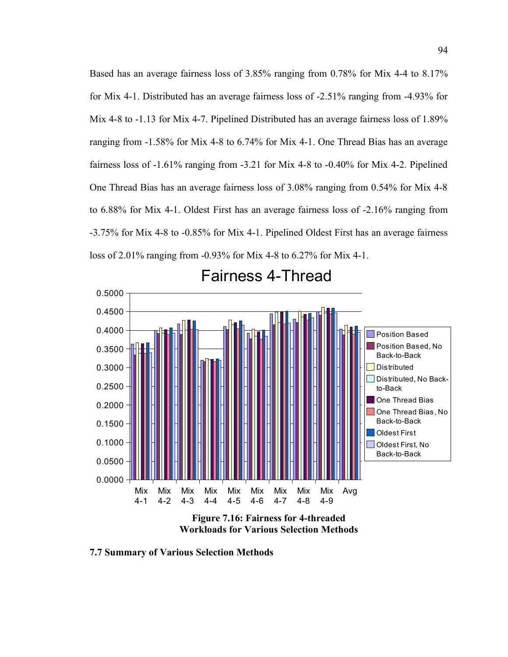Based has an average fairness loss of 3.85% ranging from 0.78% for Mix 4-4 to 8.17% for Mix 4-1. Distributed has an average fairness loss of -2.51% ranging from -4.93% for Mix 4-8 to -1.13 for Mix 4-7. Pipelined Distributed has an average fairness loss of 1.89% ranging from -1.58% for Mix 4-8 to 6.74% for Mix 4-1. One Thread Bias has an average fairness loss of -1.61% ranging from -3.21 for Mix 4-8 to -0.40% for Mix 4-2. Pipelined One Thread Bias has an average fairness loss of 3.08% ranging from 0.54% for Mix 4-8 to 6.88% for Mix 4-1. Oldest First has an average fairness loss of -2.16% ranging from -3.75% for Mix 4-8 to -0.85% for Mix 4-1. Pipelined Oldest First has an average fairness loss of 2.01% ranging from -0.93% for Mix 4-8 to 6.27% for Mix 4-1.



Fairness 4-Thread

**Figure 7.16: Fairness for 4-threaded Workloads for Various Selection Methods**

**7.7 Summary of Various Selection Methods**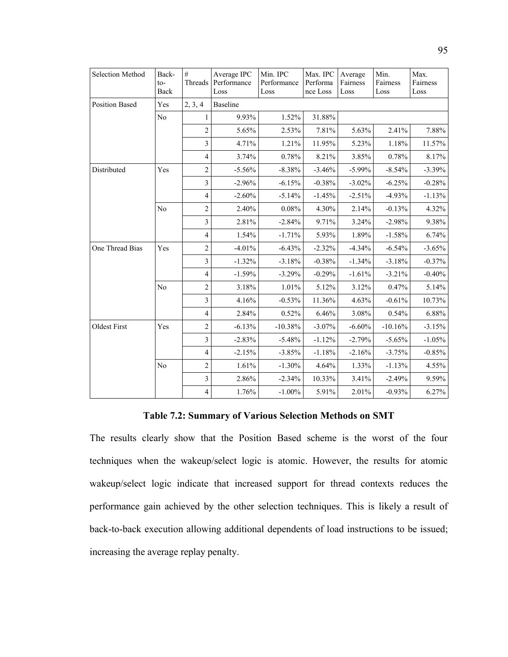| Selection Method      | Back-<br>$to$ -<br>Back | $\#$<br>Threads         | Average IPC<br>Performance<br>Loss | Min. IPC<br>Performance<br>Loss | Max. IPC<br>Performa<br>nce Loss | Average<br>Fairness<br>Loss | Min.<br>Fairness<br>Loss | Max.<br>Fairness<br>Loss |
|-----------------------|-------------------------|-------------------------|------------------------------------|---------------------------------|----------------------------------|-----------------------------|--------------------------|--------------------------|
| <b>Position Based</b> | Yes                     | 2, 3, 4                 | <b>Baseline</b>                    |                                 |                                  |                             |                          |                          |
|                       | No                      | 1                       | 9.93%                              | 1.52%                           | 31.88%                           |                             |                          |                          |
|                       |                         | $\overline{c}$          | 5.65%                              | 2.53%                           | 7.81%                            | 5.63%                       | 2.41%                    | 7.88%                    |
|                       |                         | $\mathfrak{Z}$          | 4.71%                              | 1.21%                           | 11.95%                           | 5.23%                       | 1.18%                    | 11.57%                   |
|                       |                         | $\overline{4}$          | 3.74%                              | 0.78%                           | 8.21%                            | 3.85%                       | 0.78%                    | 8.17%                    |
| Distributed           | Yes                     | $\overline{2}$          | $-5.56%$                           | $-8.38%$                        | $-3.46%$                         | $-5.99%$                    | $-8.54%$                 | $-3.39%$                 |
|                       |                         | $\overline{\mathbf{3}}$ | $-2.96%$                           | $-6.15%$                        | $-0.38%$                         | $-3.02%$                    | $-6.25%$                 | $-0.28%$                 |
|                       |                         | $\overline{4}$          | $-2.60%$                           | $-5.14%$                        | $-1.45%$                         | $-2.51%$                    | $-4.93%$                 | $-1.13%$                 |
|                       | N <sub>0</sub>          | $\overline{c}$          | 2.40%                              | 0.08%                           | 4.30%                            | 2.14%                       | $-0.13%$                 | 4.32%                    |
|                       |                         | $\mathfrak{Z}$          | 2.81%                              | $-2.84%$                        | 9.71%                            | 3.24%                       | $-2.98%$                 | 9.38%                    |
|                       |                         | $\overline{4}$          | 1.54%                              | $-1.71%$                        | 5.93%                            | 1.89%                       | $-1.58%$                 | 6.74%                    |
| One Thread Bias       | Yes                     | $\overline{c}$          | $-4.01%$                           | $-6.43%$                        | $-2.32%$                         | $-4.34%$                    | $-6.54%$                 | $-3.65%$                 |
|                       |                         | $\mathfrak{Z}$          | $-1.32%$                           | $-3.18%$                        | $-0.38%$                         | $-1.34%$                    | $-3.18%$                 | $-0.37%$                 |
|                       |                         | $\overline{4}$          | $-1.59%$                           | $-3.29%$                        | $-0.29%$                         | $-1.61%$                    | $-3.21%$                 | $-0.40%$                 |
|                       | N <sub>0</sub>          | $\overline{c}$          | 3.18%                              | 1.01%                           | 5.12%                            | 3.12%                       | 0.47%                    | 5.14%                    |
|                       |                         | $\overline{3}$          | 4.16%                              | $-0.53%$                        | 11.36%                           | 4.63%                       | $-0.61%$                 | 10.73%                   |
|                       |                         | $\overline{4}$          | 2.84%                              | 0.52%                           | 6.46%                            | 3.08%                       | 0.54%                    | 6.88%                    |
| <b>Oldest First</b>   | Yes                     | $\overline{2}$          | $-6.13%$                           | $-10.38%$                       | $-3.07\%$                        | $-6.60%$                    | $-10.16%$                | $-3.15%$                 |
|                       |                         | $\overline{3}$          | $-2.83%$                           | $-5.48%$                        | $-1.12%$                         | $-2.79%$                    | $-5.65%$                 | $-1.05%$                 |
|                       |                         | $\overline{4}$          | $-2.15%$                           | $-3.85%$                        | $-1.18%$                         | $-2.16%$                    | $-3.75%$                 | $-0.85%$                 |
|                       | N <sub>0</sub>          | $\overline{c}$          | 1.61%                              | $-1.30%$                        | 4.64%                            | 1.33%                       | $-1.13%$                 | 4.55%                    |
|                       |                         | $\overline{\mathbf{3}}$ | 2.86%                              | $-2.34%$                        | 10.33%                           | 3.41%                       | $-2.49%$                 | 9.59%                    |
|                       |                         | $\overline{4}$          | 1.76%                              | $-1.00\%$                       | 5.91%                            | 2.01%                       | $-0.93%$                 | 6.27%                    |

#### **Table 7.2: Summary of Various Selection Methods on SMT**

The results clearly show that the Position Based scheme is the worst of the four techniques when the wakeup/select logic is atomic. However, the results for atomic wakeup/select logic indicate that increased support for thread contexts reduces the performance gain achieved by the other selection techniques. This is likely a result of back-to-back execution allowing additional dependents of load instructions to be issued; increasing the average replay penalty.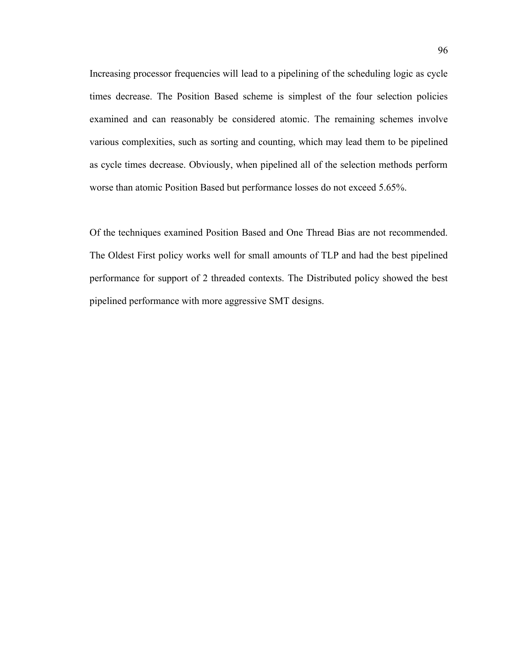Increasing processor frequencies will lead to a pipelining of the scheduling logic as cycle times decrease. The Position Based scheme is simplest of the four selection policies examined and can reasonably be considered atomic. The remaining schemes involve various complexities, such as sorting and counting, which may lead them to be pipelined as cycle times decrease. Obviously, when pipelined all of the selection methods perform worse than atomic Position Based but performance losses do not exceed 5.65%.

Of the techniques examined Position Based and One Thread Bias are not recommended. The Oldest First policy works well for small amounts of TLP and had the best pipelined performance for support of 2 threaded contexts. The Distributed policy showed the best pipelined performance with more aggressive SMT designs.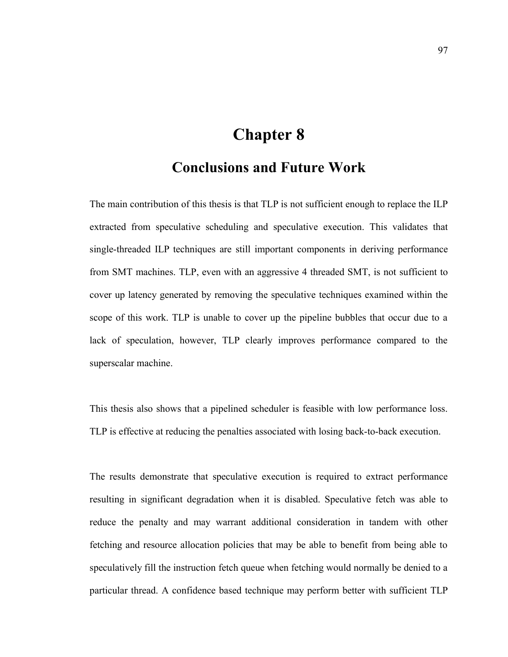### **Chapter 8**

### **Conclusions and Future Work**

The main contribution of this thesis is that TLP is not sufficient enough to replace the ILP extracted from speculative scheduling and speculative execution. This validates that single-threaded ILP techniques are still important components in deriving performance from SMT machines. TLP, even with an aggressive 4 threaded SMT, is not sufficient to cover up latency generated by removing the speculative techniques examined within the scope of this work. TLP is unable to cover up the pipeline bubbles that occur due to a lack of speculation, however, TLP clearly improves performance compared to the superscalar machine.

This thesis also shows that a pipelined scheduler is feasible with low performance loss. TLP is effective at reducing the penalties associated with losing back-to-back execution.

The results demonstrate that speculative execution is required to extract performance resulting in significant degradation when it is disabled. Speculative fetch was able to reduce the penalty and may warrant additional consideration in tandem with other fetching and resource allocation policies that may be able to benefit from being able to speculatively fill the instruction fetch queue when fetching would normally be denied to a particular thread. A confidence based technique may perform better with sufficient TLP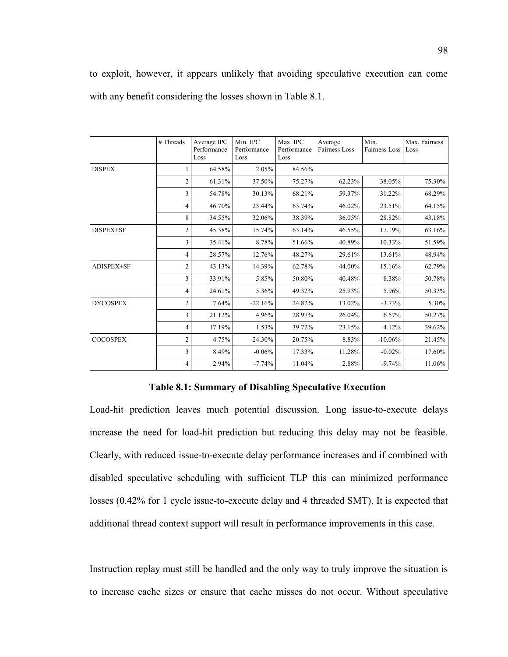to exploit, however, it appears unlikely that avoiding speculative execution can come with any benefit considering the losses shown in Table 8.1.

|                 | # Threads      | Average IPC<br>Performance<br>Loss | Min. IPC<br>Performance<br>Loss | Max. IPC<br>Performance<br>Loss | Average<br>Fairness Loss | Min.<br>Fairness Loss | Max. Fairness<br>Loss |
|-----------------|----------------|------------------------------------|---------------------------------|---------------------------------|--------------------------|-----------------------|-----------------------|
| <b>DISPEX</b>   | 1              | 64.58%                             | 2.05%                           | 84.56%                          |                          |                       |                       |
|                 | $\overline{c}$ | 61.31%                             | 37.50%                          | 75.27%                          | 62.23%                   | 38.05%                | 75.30%                |
|                 | 3              | 54.78%                             | 30.13%                          | 68.21%                          | 59.37%                   | 31.22%                | 68.29%                |
|                 | 4              | 46.70%                             | 23.44%                          | 63.74%                          | 46.02%                   | 23.51%                | 64.15%                |
|                 | 8              | 34.55%                             | 32.06%                          | 38.39%                          | 36.05%                   | 28.82%                | 43.18%                |
| DISPEX+SF       | $\overline{c}$ | 45.38%                             | 15.74%                          | 63.14%                          | 46.55%                   | 17.19%                | 63.16%                |
|                 | 3              | 35.41%                             | 8.78%                           | 51.66%                          | 40.89%                   | 10.33%                | 51.59%                |
|                 | 4              | 28.57%                             | 12.76%                          | 48.27%                          | 29.61%                   | 13.61%                | 48.94%                |
| ADISPEX+SF      | $\overline{c}$ | 43.13%                             | 14.39%                          | 62.78%                          | 44.00%                   | 15.16%                | 62.79%                |
|                 | 3              | 33.91%                             | 5.85%                           | 50.80%                          | 40.48%                   | 8.38%                 | 50.78%                |
|                 | 4              | 24.61%                             | 5.36%                           | 49.32%                          | 25.93%                   | 5.96%                 | 50.33%                |
| <b>DYCOSPEX</b> | $\overline{c}$ | 7.64%                              | $-22.16%$                       | 24.82%                          | 13.02%                   | $-3.73%$              | 5.30%                 |
|                 | 3              | 21.12%                             | 4.96%                           | 28.97%                          | 26.04%                   | 6.57%                 | 50.27%                |
|                 | 4              | 17.19%                             | 1.53%                           | 39.72%                          | 23.15%                   | 4.12%                 | 39.62%                |
| <b>COCOSPEX</b> | $\overline{c}$ | 4.75%                              | $-24.30%$                       | 20.75%                          | 8.83%                    | $-10.06%$             | 21.45%                |
|                 | 3              | 8.49%                              | $-0.06\%$                       | 17.33%                          | 11.28%                   | $-0.02%$              | 17.60%                |
|                 | 4              | 2.94%                              | $-7.74%$                        | 11.04%                          | 2.88%                    | $-9.74%$              | 11.06%                |

## **Table 8.1: Summary of Disabling Speculative Execution**

Load-hit prediction leaves much potential discussion. Long issue-to-execute delays increase the need for load-hit prediction but reducing this delay may not be feasible. Clearly, with reduced issue-to-execute delay performance increases and if combined with disabled speculative scheduling with sufficient TLP this can minimized performance losses (0.42% for 1 cycle issue-to-execute delay and 4 threaded SMT). It is expected that additional thread context support will result in performance improvements in this case.

Instruction replay must still be handled and the only way to truly improve the situation is to increase cache sizes or ensure that cache misses do not occur. Without speculative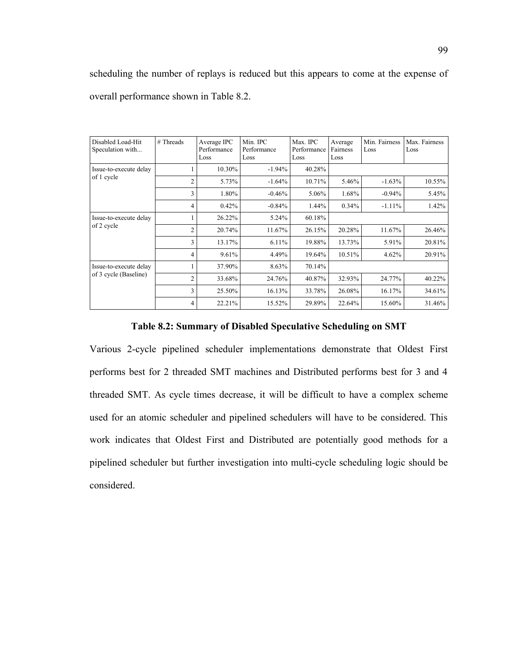scheduling the number of replays is reduced but this appears to come at the expense of overall performance shown in Table 8.2.

| Disabled Load-Hit<br>Speculation with           | $#$ Threads    | Average IPC<br>Performance<br>Loss | Min. IPC<br>Performance<br>Loss | Max. IPC<br>Performance<br>Loss | Average<br>Fairness<br>Loss | Min. Fairness<br>Loss | Max. Fairness<br>Loss |
|-------------------------------------------------|----------------|------------------------------------|---------------------------------|---------------------------------|-----------------------------|-----------------------|-----------------------|
| Issue-to-execute delay<br>of 1 cycle            |                | 10.30%                             | $-1.94%$                        | 40.28%                          |                             |                       |                       |
|                                                 | $\overline{c}$ | 5.73%                              | $-1.64%$                        | 10.71%                          | 5.46%                       | $-1.63%$              | 10.55%                |
|                                                 | 3              | 1.80%                              | $-0.46%$                        | 5.06%                           | 1.68%                       | $-0.94%$              | 5.45%                 |
|                                                 | 4              | 0.42%                              | $-0.84%$                        | 1.44%                           | $0.34\%$                    | $-1.11\%$             | 1.42%                 |
| Issue-to-execute delay<br>of 2 cycle            |                | 26.22%                             | 5.24%                           | 60.18%                          |                             |                       |                       |
|                                                 | $\overline{c}$ | 20.74%                             | 11.67%                          | 26.15%                          | 20.28%                      | 11.67%                | 26.46%                |
|                                                 | 3              | 13.17%                             | 6.11%                           | 19.88%                          | 13.73%                      | 5.91%                 | 20.81%                |
|                                                 | 4              | 9.61%                              | 4.49%                           | 19.64%                          | 10.51%                      | 4.62%                 | 20.91%                |
| Issue-to-execute delay<br>of 3 cycle (Baseline) |                | 37.90%                             | 8.63%                           | 70.14%                          |                             |                       |                       |
|                                                 | $\overline{2}$ | 33.68%                             | 24.76%                          | 40.87%                          | 32.93%                      | 24.77%                | 40.22%                |
|                                                 | 3              | 25.50%                             | 16.13%                          | 33.78%                          | 26.08%                      | 16.17%                | 34.61%                |
|                                                 | 4              | 22.21%                             | 15.52%                          | 29.89%                          | 22.64%                      | 15.60%                | 31.46%                |

## **Table 8.2: Summary of Disabled Speculative Scheduling on SMT**

Various 2-cycle pipelined scheduler implementations demonstrate that Oldest First performs best for 2 threaded SMT machines and Distributed performs best for 3 and 4 threaded SMT. As cycle times decrease, it will be difficult to have a complex scheme used for an atomic scheduler and pipelined schedulers will have to be considered. This work indicates that Oldest First and Distributed are potentially good methods for a pipelined scheduler but further investigation into multi-cycle scheduling logic should be considered.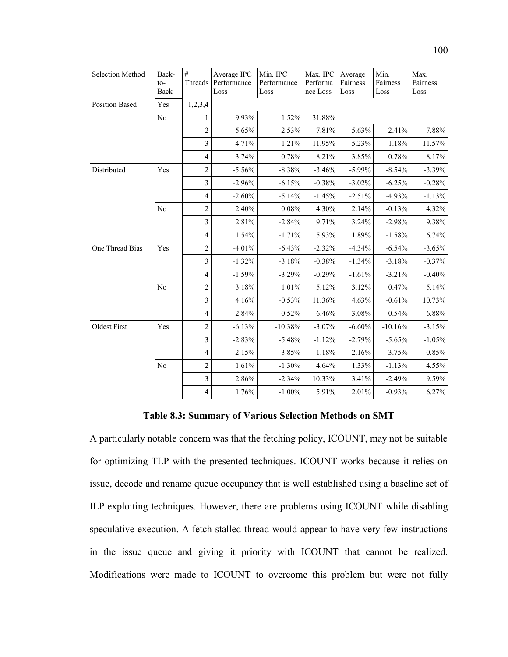| Selection Method      | Back-<br>$to-$<br>Back | $\#$<br>Threads         | Average IPC<br>Performance<br>Loss | Min. IPC<br>Performance<br>Loss | Max. IPC<br>Performa<br>nce Loss | Average<br>Fairness<br>Loss | Min.<br>Fairness<br>Loss | Max.<br>Fairness<br>Loss |
|-----------------------|------------------------|-------------------------|------------------------------------|---------------------------------|----------------------------------|-----------------------------|--------------------------|--------------------------|
| <b>Position Based</b> | Yes                    | 1,2,3,4                 |                                    |                                 |                                  |                             |                          |                          |
|                       | No                     | 1                       | 9.93%                              | 1.52%                           | 31.88%                           |                             |                          |                          |
|                       |                        | $\overline{2}$          | 5.65%                              | 2.53%                           | 7.81%                            | 5.63%                       | 2.41%                    | 7.88%                    |
|                       |                        | $\mathfrak{Z}$          | 4.71%                              | 1.21%                           | 11.95%                           | 5.23%                       | 1.18%                    | 11.57%                   |
|                       |                        | $\overline{4}$          | 3.74%                              | 0.78%                           | 8.21%                            | 3.85%                       | 0.78%                    | 8.17%                    |
| Distributed           | Yes                    | $\overline{c}$          | $-5.56%$                           | $-8.38%$                        | $-3.46%$                         | $-5.99%$                    | $-8.54%$                 | $-3.39%$                 |
|                       |                        | $\overline{\mathbf{3}}$ | $-2.96%$                           | $-6.15%$                        | $-0.38%$                         | $-3.02%$                    | $-6.25%$                 | $-0.28%$                 |
|                       |                        | $\overline{4}$          | $-2.60%$                           | $-5.14%$                        | $-1.45%$                         | $-2.51%$                    | $-4.93%$                 | $-1.13%$                 |
|                       | N <sub>0</sub>         | $\overline{2}$          | 2.40%                              | 0.08%                           | 4.30%                            | 2.14%                       | $-0.13%$                 | 4.32%                    |
|                       |                        | $\overline{\mathbf{3}}$ | 2.81%                              | $-2.84%$                        | 9.71%                            | 3.24%                       | $-2.98%$                 | 9.38%                    |
|                       |                        | $\overline{4}$          | 1.54%                              | $-1.71%$                        | 5.93%                            | 1.89%                       | $-1.58%$                 | 6.74%                    |
| One Thread Bias       | Yes                    | $\overline{c}$          | $-4.01%$                           | $-6.43%$                        | $-2.32%$                         | $-4.34%$                    | $-6.54%$                 | $-3.65%$                 |
|                       |                        | $\overline{3}$          | $-1.32%$                           | $-3.18%$                        | $-0.38%$                         | $-1.34%$                    | $-3.18%$                 | $-0.37%$                 |
|                       |                        | $\overline{4}$          | $-1.59%$                           | $-3.29%$                        | $-0.29%$                         | $-1.61%$                    | $-3.21%$                 | $-0.40%$                 |
|                       | No                     | $\overline{2}$          | 3.18%                              | 1.01%                           | 5.12%                            | 3.12%                       | 0.47%                    | 5.14%                    |
|                       |                        | $\mathfrak{Z}$          | 4.16%                              | $-0.53%$                        | 11.36%                           | 4.63%                       | $-0.61%$                 | 10.73%                   |
|                       |                        | $\overline{4}$          | 2.84%                              | 0.52%                           | 6.46%                            | 3.08%                       | 0.54%                    | 6.88%                    |
| <b>Oldest First</b>   | Yes                    | $\sqrt{2}$              | $-6.13%$                           | $-10.38%$                       | $-3.07\%$                        | $-6.60%$                    | $-10.16%$                | $-3.15%$                 |
|                       |                        | $\overline{3}$          | $-2.83%$                           | $-5.48%$                        | $-1.12%$                         | $-2.79%$                    | $-5.65%$                 | $-1.05%$                 |
|                       |                        | $\overline{4}$          | $-2.15%$                           | $-3.85%$                        | $-1.18%$                         | $-2.16%$                    | $-3.75%$                 | $-0.85%$                 |
|                       | N <sub>0</sub>         | $\overline{c}$          | 1.61%                              | $-1.30%$                        | 4.64%                            | 1.33%                       | $-1.13%$                 | 4.55%                    |
|                       |                        | $\overline{\mathbf{3}}$ | 2.86%                              | $-2.34%$                        | 10.33%                           | 3.41%                       | $-2.49%$                 | 9.59%                    |
|                       |                        | $\overline{4}$          | 1.76%                              | $-1.00\%$                       | 5.91%                            | 2.01%                       | $-0.93%$                 | 6.27%                    |

## **Table 8.3: Summary of Various Selection Methods on SMT**

A particularly notable concern was that the fetching policy, ICOUNT, may not be suitable for optimizing TLP with the presented techniques. ICOUNT works because it relies on issue, decode and rename queue occupancy that is well established using a baseline set of ILP exploiting techniques. However, there are problems using ICOUNT while disabling speculative execution. A fetch-stalled thread would appear to have very few instructions in the issue queue and giving it priority with ICOUNT that cannot be realized. Modifications were made to ICOUNT to overcome this problem but were not fully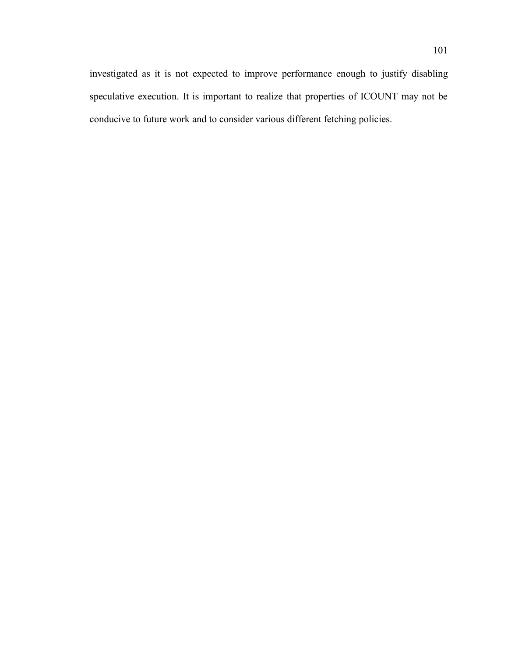investigated as it is not expected to improve performance enough to justify disabling speculative execution. It is important to realize that properties of ICOUNT may not be conducive to future work and to consider various different fetching policies.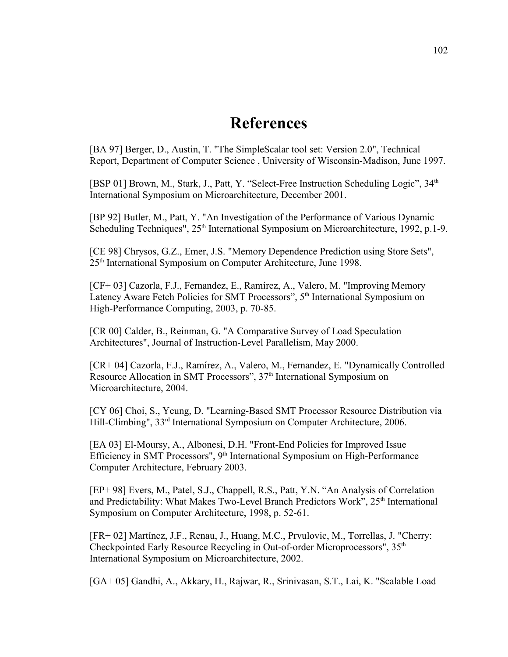## **References**

[BA 97] Berger, D., Austin, T. "The SimpleScalar tool set: Version 2.0", Technical Report, Department of Computer Science , University of Wisconsin-Madison, June 1997.

[BSP 01] Brown, M., Stark, J., Patt, Y. "Select-Free Instruction Scheduling Logic", 34<sup>th</sup> International Symposium on Microarchitecture, December 2001.

[BP 92] Butler, M., Patt, Y. "An Investigation of the Performance of Various Dynamic Scheduling Techniques", 25<sup>th</sup> International Symposium on Microarchitecture, 1992, p.1-9.

[CE 98] Chrysos, G.Z., Emer, J.S. "Memory Dependence Prediction using Store Sets", 25th International Symposium on Computer Architecture, June 1998.

[CF+ 03] Cazorla, F.J., Fernandez, E., Ramírez, A., Valero, M. "Improving Memory Latency Aware Fetch Policies for SMT Processors", 5<sup>th</sup> International Symposium on High-Performance Computing, 2003, p. 70-85.

[CR 00] Calder, B., Reinman, G. "A Comparative Survey of Load Speculation Architectures", Journal of Instruction-Level Parallelism, May 2000.

[CR+ 04] Cazorla, F.J., Ramírez, A., Valero, M., Fernandez, E. "Dynamically Controlled Resource Allocation in SMT Processors", 37<sup>th</sup> International Symposium on Microarchitecture, 2004.

[CY 06] Choi, S., Yeung, D. "Learning-Based SMT Processor Resource Distribution via Hill-Climbing", 33<sup>rd</sup> International Symposium on Computer Architecture, 2006.

[EA 03] El-Moursy, A., Albonesi, D.H. "Front-End Policies for Improved Issue Efficiency in SMT Processors", 9<sup>th</sup> International Symposium on High-Performance Computer Architecture, February 2003.

[EP+ 98] Evers, M., Patel, S.J., Chappell, R.S., Patt, Y.N. "An Analysis of Correlation and Predictability: What Makes Two-Level Branch Predictors Work", 25<sup>th</sup> International Symposium on Computer Architecture, 1998, p. 52-61.

[FR+ 02] Martínez, J.F., Renau, J., Huang, M.C., Prvulovic, M., Torrellas, J. "Cherry: Checkpointed Early Resource Recycling in Out-of-order Microprocessors", 35<sup>th</sup> International Symposium on Microarchitecture, 2002.

[GA+ 05] Gandhi, A., Akkary, H., Rajwar, R., Srinivasan, S.T., Lai, K. "Scalable Load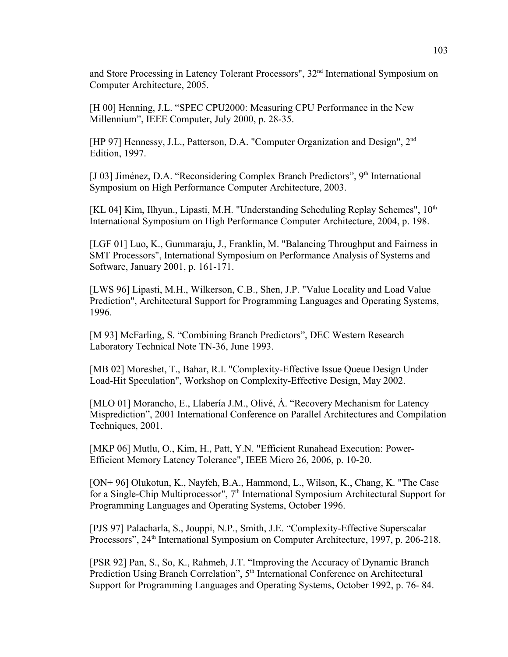and Store Processing in Latency Tolerant Processors", 32<sup>nd</sup> International Symposium on Computer Architecture, 2005.

[H 00] Henning, J.L. "SPEC CPU2000: Measuring CPU Performance in the New Millennium", IEEE Computer, July 2000, p. 28-35.

[HP 97] Hennessy, J.L., Patterson, D.A. "Computer Organization and Design", 2nd Edition, 1997.

[J 03] Jiménez, D.A. "Reconsidering Complex Branch Predictors", 9<sup>th</sup> International Symposium on High Performance Computer Architecture, 2003.

[KL 04] Kim, Ilhyun., Lipasti, M.H. "Understanding Scheduling Replay Schemes",  $10^{th}$ International Symposium on High Performance Computer Architecture, 2004, p. 198.

[LGF 01] Luo, K., Gummaraju, J., Franklin, M. "Balancing Throughput and Fairness in SMT Processors", International Symposium on Performance Analysis of Systems and Software, January 2001, p. 161-171.

[LWS 96] Lipasti, M.H., Wilkerson, C.B., Shen, J.P. "Value Locality and Load Value Prediction", Architectural Support for Programming Languages and Operating Systems, 1996.

[M 93] McFarling, S. "Combining Branch Predictors", DEC Western Research Laboratory Technical Note TN-36, June 1993.

[MB 02] Moreshet, T., Bahar, R.I. "Complexity-Effective Issue Queue Design Under Load-Hit Speculation", Workshop on Complexity-Effective Design, May 2002.

[MLO 01] Morancho, E., Llabería J.M., Olivé, À. "Recovery Mechanism for Latency Misprediction", 2001 International Conference on Parallel Architectures and Compilation Techniques, 2001.

[MKP 06] Mutlu, O., Kim, H., Patt, Y.N. "Efficient Runahead Execution: Power-Efficient Memory Latency Tolerance", IEEE Micro 26, 2006, p. 10-20.

[ON+ 96] Olukotun, K., Nayfeh, B.A., Hammond, L., Wilson, K., Chang, K. "The Case for a Single-Chip Multiprocessor", 7<sup>th</sup> International Symposium Architectural Support for Programming Languages and Operating Systems, October 1996.

[PJS 97] Palacharla, S., Jouppi, N.P., Smith, J.E. "Complexity-Effective Superscalar Processors", 24<sup>th</sup> International Symposium on Computer Architecture, 1997, p. 206-218.

[PSR 92] Pan, S., So, K., Rahmeh, J.T. "Improving the Accuracy of Dynamic Branch Prediction Using Branch Correlation", 5<sup>th</sup> International Conference on Architectural Support for Programming Languages and Operating Systems, October 1992, p. 76- 84.